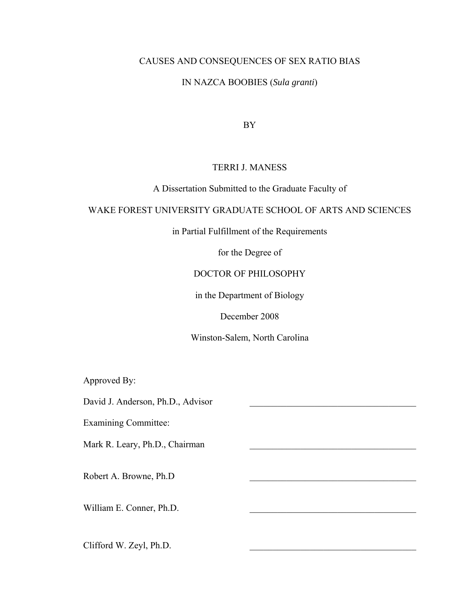### CAUSES AND CONSEQUENCES OF SEX RATIO BIAS

## IN NAZCA BOOBIES (*Sula granti*)

BY

### TERRI J. MANESS

### A Dissertation Submitted to the Graduate Faculty of

### WAKE FOREST UNIVERSITY GRADUATE SCHOOL OF ARTS AND SCIENCES

in Partial Fulfillment of the Requirements

for the Degree of

### DOCTOR OF PHILOSOPHY

in the Department of Biology

December 2008

Winston-Salem, North Carolina

Approved By:

David J. Anderson, Ph.D., Advisor

Examining Committee:

Mark R. Leary, Ph.D., Chairman

Robert A. Browne, Ph.D \_\_\_\_\_\_\_\_\_\_\_\_\_\_\_\_\_\_\_\_\_\_\_\_\_\_\_\_\_\_\_\_\_\_\_\_

William E. Conner, Ph.D.

Clifford W. Zeyl, Ph.D.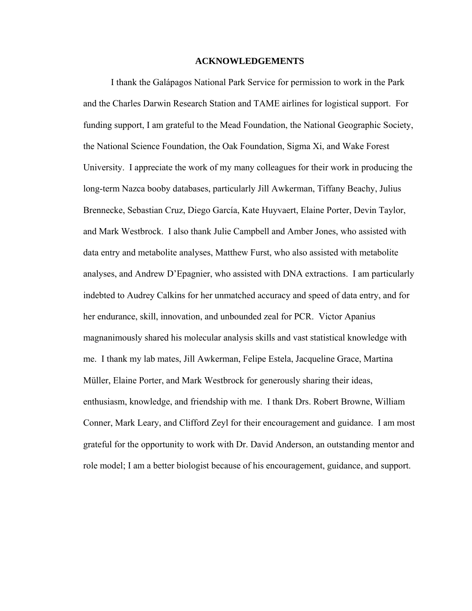### **ACKNOWLEDGEMENTS**

 I thank the Galápagos National Park Service for permission to work in the Park and the Charles Darwin Research Station and TAME airlines for logistical support. For funding support, I am grateful to the Mead Foundation, the National Geographic Society, the National Science Foundation, the Oak Foundation, Sigma Xi, and Wake Forest University. I appreciate the work of my many colleagues for their work in producing the long-term Nazca booby databases, particularly Jill Awkerman, Tiffany Beachy, Julius Brennecke, Sebastian Cruz, Diego García, Kate Huyvaert, Elaine Porter, Devin Taylor, and Mark Westbrock. I also thank Julie Campbell and Amber Jones, who assisted with data entry and metabolite analyses, Matthew Furst, who also assisted with metabolite analyses, and Andrew D'Epagnier, who assisted with DNA extractions. I am particularly indebted to Audrey Calkins for her unmatched accuracy and speed of data entry, and for her endurance, skill, innovation, and unbounded zeal for PCR. Victor Apanius magnanimously shared his molecular analysis skills and vast statistical knowledge with me. I thank my lab mates, Jill Awkerman, Felipe Estela, Jacqueline Grace, Martina Müller, Elaine Porter, and Mark Westbrock for generously sharing their ideas, enthusiasm, knowledge, and friendship with me. I thank Drs. Robert Browne, William Conner, Mark Leary, and Clifford Zeyl for their encouragement and guidance. I am most grateful for the opportunity to work with Dr. David Anderson, an outstanding mentor and role model; I am a better biologist because of his encouragement, guidance, and support.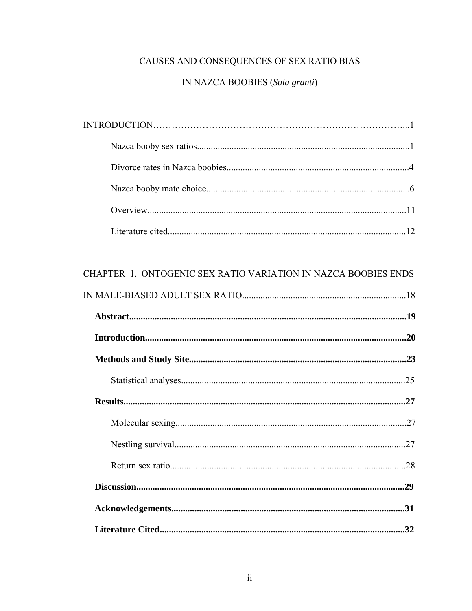# CAUSES AND CONSEQUENCES OF SEX RATIO BIAS

# IN NAZCA BOOBIES (Sula granti)

| $\textbf{INTRODUCTION}.\textcolor{red}{\textbf{0.1}} \textbf{1} \textbf{2} \textbf{3} \textbf{4} \textbf{5} \textbf{6} \textbf{6} \textbf{7} \textbf{8} \textbf{8} \textbf{9} \textbf{1} \textbf{1} \textbf{1} \textbf{1} \textbf{1} \textbf{1} \textbf{1} \textbf{1} \textbf{1} \textbf{1} \textbf{1} \textbf{1} \textbf{1} \textbf{1} \textbf{1} \textbf{1} \textbf{1} \textbf{1} \textbf{1} \textbf{1} \textbf{1} \textbf{1} \$ |  |
|------------------------------------------------------------------------------------------------------------------------------------------------------------------------------------------------------------------------------------------------------------------------------------------------------------------------------------------------------------------------------------------------------------------------------------|--|
|                                                                                                                                                                                                                                                                                                                                                                                                                                    |  |
|                                                                                                                                                                                                                                                                                                                                                                                                                                    |  |
|                                                                                                                                                                                                                                                                                                                                                                                                                                    |  |
|                                                                                                                                                                                                                                                                                                                                                                                                                                    |  |
|                                                                                                                                                                                                                                                                                                                                                                                                                                    |  |

| CHAPTER 1. ONTOGENIC SEX RATIO VARIATION IN NAZCA BOOBIES ENDS |  |
|----------------------------------------------------------------|--|
|                                                                |  |
|                                                                |  |
|                                                                |  |
|                                                                |  |
|                                                                |  |
|                                                                |  |
|                                                                |  |
|                                                                |  |
|                                                                |  |
|                                                                |  |
|                                                                |  |
|                                                                |  |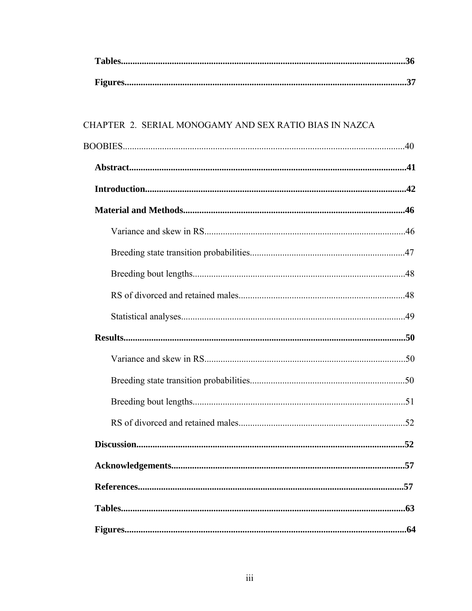| CHAPTER 2. SERIAL MONOGAMY AND SEX RATIO BIAS IN NAZCA |  |
|--------------------------------------------------------|--|
|                                                        |  |
|                                                        |  |
|                                                        |  |
|                                                        |  |
|                                                        |  |
|                                                        |  |
|                                                        |  |
|                                                        |  |
|                                                        |  |
|                                                        |  |
|                                                        |  |
|                                                        |  |
|                                                        |  |
|                                                        |  |
|                                                        |  |
|                                                        |  |
|                                                        |  |
|                                                        |  |
|                                                        |  |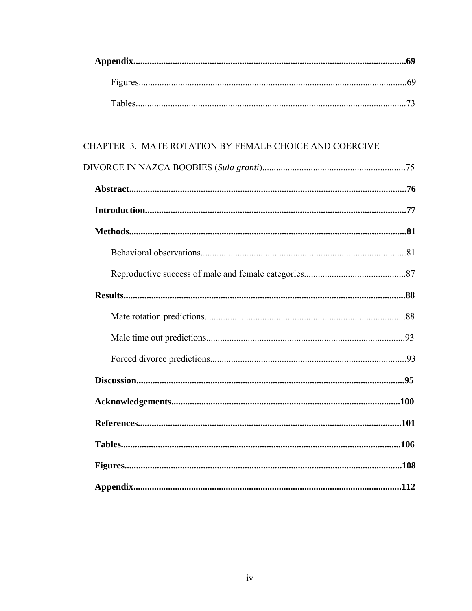# CHAPTER 3. MATE ROTATION BY FEMALE CHOICE AND COERCIVE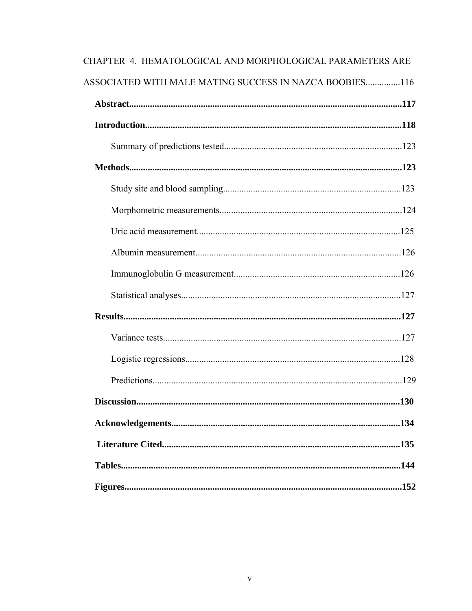| CHAPTER 4. HEMATOLOGICAL AND MORPHOLOGICAL PARAMETERS ARE |
|-----------------------------------------------------------|
| ASSOCIATED WITH MALE MATING SUCCESS IN NAZCA BOOBIES116   |
|                                                           |
|                                                           |
|                                                           |
|                                                           |
|                                                           |
|                                                           |
|                                                           |
|                                                           |
|                                                           |
|                                                           |
|                                                           |
|                                                           |
|                                                           |
|                                                           |
|                                                           |
|                                                           |
|                                                           |
|                                                           |
|                                                           |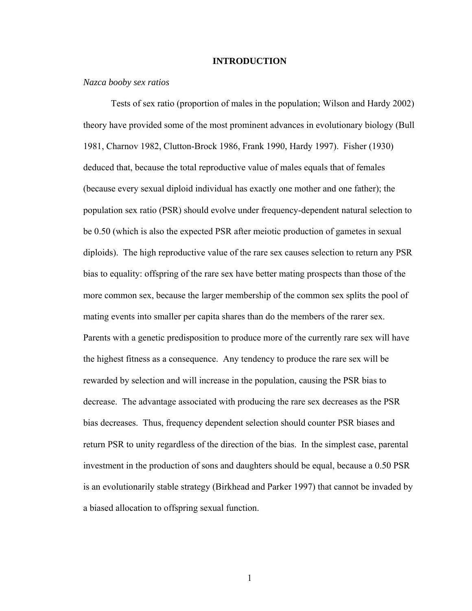#### **INTRODUCTION**

### *Nazca booby sex ratios*

Tests of sex ratio (proportion of males in the population; Wilson and Hardy 2002) theory have provided some of the most prominent advances in evolutionary biology (Bull 1981, Charnov 1982, Clutton-Brock 1986, Frank 1990, Hardy 1997). Fisher (1930) deduced that, because the total reproductive value of males equals that of females (because every sexual diploid individual has exactly one mother and one father); the population sex ratio (PSR) should evolve under frequency-dependent natural selection to be 0.50 (which is also the expected PSR after meiotic production of gametes in sexual diploids). The high reproductive value of the rare sex causes selection to return any PSR bias to equality: offspring of the rare sex have better mating prospects than those of the more common sex, because the larger membership of the common sex splits the pool of mating events into smaller per capita shares than do the members of the rarer sex. Parents with a genetic predisposition to produce more of the currently rare sex will have the highest fitness as a consequence. Any tendency to produce the rare sex will be rewarded by selection and will increase in the population, causing the PSR bias to decrease. The advantage associated with producing the rare sex decreases as the PSR bias decreases. Thus, frequency dependent selection should counter PSR biases and return PSR to unity regardless of the direction of the bias. In the simplest case, parental investment in the production of sons and daughters should be equal, because a 0.50 PSR is an evolutionarily stable strategy (Birkhead and Parker 1997) that cannot be invaded by a biased allocation to offspring sexual function.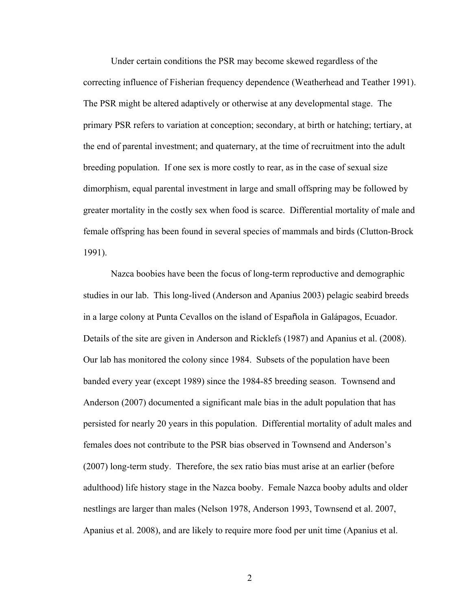Under certain conditions the PSR may become skewed regardless of the correcting influence of Fisherian frequency dependence (Weatherhead and Teather 1991). The PSR might be altered adaptively or otherwise at any developmental stage. The primary PSR refers to variation at conception; secondary, at birth or hatching; tertiary, at the end of parental investment; and quaternary, at the time of recruitment into the adult breeding population. If one sex is more costly to rear, as in the case of sexual size dimorphism, equal parental investment in large and small offspring may be followed by greater mortality in the costly sex when food is scarce. Differential mortality of male and female offspring has been found in several species of mammals and birds (Clutton-Brock 1991).

Nazca boobies have been the focus of long-term reproductive and demographic studies in our lab. This long-lived (Anderson and Apanius 2003) pelagic seabird breeds in a large colony at Punta Cevallos on the island of Española in Galápagos, Ecuador. Details of the site are given in Anderson and Ricklefs (1987) and Apanius et al. (2008). Our lab has monitored the colony since 1984. Subsets of the population have been banded every year (except 1989) since the 1984-85 breeding season. Townsend and Anderson (2007) documented a significant male bias in the adult population that has persisted for nearly 20 years in this population. Differential mortality of adult males and females does not contribute to the PSR bias observed in Townsend and Anderson's (2007) long-term study. Therefore, the sex ratio bias must arise at an earlier (before adulthood) life history stage in the Nazca booby. Female Nazca booby adults and older nestlings are larger than males (Nelson 1978, Anderson 1993, Townsend et al. 2007, Apanius et al. 2008), and are likely to require more food per unit time (Apanius et al.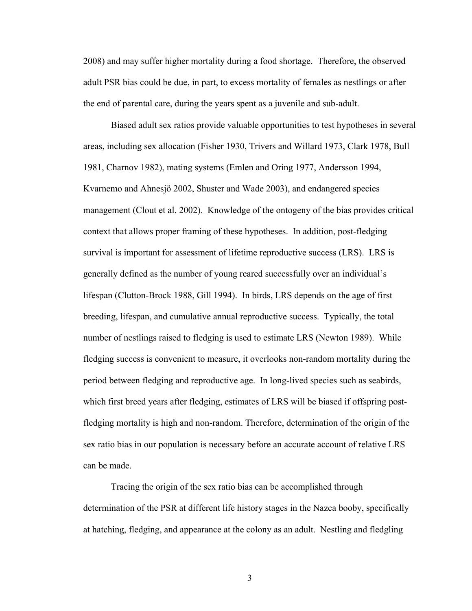2008) and may suffer higher mortality during a food shortage. Therefore, the observed adult PSR bias could be due, in part, to excess mortality of females as nestlings or after the end of parental care, during the years spent as a juvenile and sub-adult.

Biased adult sex ratios provide valuable opportunities to test hypotheses in several areas, including sex allocation (Fisher 1930, Trivers and Willard 1973, Clark 1978, Bull 1981, Charnov 1982), mating systems (Emlen and Oring 1977, Andersson 1994, Kvarnemo and Ahnesjö 2002, Shuster and Wade 2003), and endangered species management (Clout et al. 2002). Knowledge of the ontogeny of the bias provides critical context that allows proper framing of these hypotheses. In addition, post-fledging survival is important for assessment of lifetime reproductive success (LRS). LRS is generally defined as the number of young reared successfully over an individual's lifespan (Clutton-Brock 1988, Gill 1994). In birds, LRS depends on the age of first breeding, lifespan, and cumulative annual reproductive success. Typically, the total number of nestlings raised to fledging is used to estimate LRS (Newton 1989). While fledging success is convenient to measure, it overlooks non-random mortality during the period between fledging and reproductive age. In long-lived species such as seabirds, which first breed years after fledging, estimates of LRS will be biased if offspring postfledging mortality is high and non-random. Therefore, determination of the origin of the sex ratio bias in our population is necessary before an accurate account of relative LRS can be made.

Tracing the origin of the sex ratio bias can be accomplished through determination of the PSR at different life history stages in the Nazca booby, specifically at hatching, fledging, and appearance at the colony as an adult. Nestling and fledgling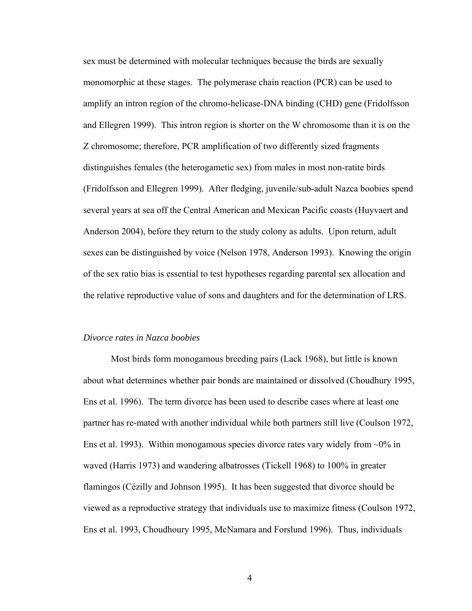sex must be determined with molecular techniques because the birds are sexually monomorphic at these stages. The polymerase chain reaction (PCR) can be used to amplify an intron region of the chromo-helicase-DNA binding (CHD) gene (Fridolfsson and Ellegren 1999). This intron region is shorter on the W chromosome than it is on the Z chromosome; therefore, PCR amplification of two differently sized fragments distinguishes females (the heterogametic sex) from males in most non-ratite birds (Fridolfsson and Ellegren 1999). After fledging, juvenile/sub-adult Nazca boobies spend several years at sea off the Central American and Mexican Pacific coasts (Huyvaert and Anderson 2004), before they return to the study colony as adults. Upon return, adult sexes can be distinguished by voice (Nelson 1978, Anderson 1993). Knowing the origin of the sex ratio bias is essential to test hypotheses regarding parental sex allocation and the relative reproductive value of sons and daughters and for the determination of LRS.

#### *Divorce rates in Nazca boobies*

Most birds form monogamous breeding pairs (Lack 1968), but little is known about what determines whether pair bonds are maintained or dissolved (Choudhury 1995, Ens et al. 1996). The term divorce has been used to describe cases where at least one partner has re-mated with another individual while both partners still live (Coulson 1972, Ens et al. 1993). Within monogamous species divorce rates vary widely from  $\sim 0\%$  in waved (Harris 1973) and wandering albatrosses (Tickell 1968) to 100% in greater flamingos (Cézilly and Johnson 1995). It has been suggested that divorce should be viewed as a reproductive strategy that individuals use to maximize fitness (Coulson 1972, Ens et al. 1993, Choudhoury 1995, McNamara and Forslund 1996). Thus, individuals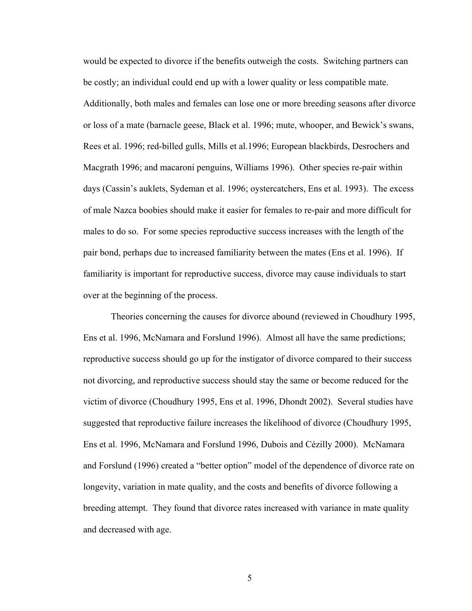would be expected to divorce if the benefits outweigh the costs. Switching partners can be costly; an individual could end up with a lower quality or less compatible mate. Additionally, both males and females can lose one or more breeding seasons after divorce or loss of a mate (barnacle geese, Black et al. 1996; mute, whooper, and Bewick's swans, Rees et al. 1996; red-billed gulls, Mills et al.1996; European blackbirds, Desrochers and Macgrath 1996; and macaroni penguins, Williams 1996). Other species re-pair within days (Cassin's auklets, Sydeman et al. 1996; oystercatchers, Ens et al. 1993). The excess of male Nazca boobies should make it easier for females to re-pair and more difficult for males to do so. For some species reproductive success increases with the length of the pair bond, perhaps due to increased familiarity between the mates (Ens et al. 1996). If familiarity is important for reproductive success, divorce may cause individuals to start over at the beginning of the process.

Theories concerning the causes for divorce abound (reviewed in Choudhury 1995, Ens et al. 1996, McNamara and Forslund 1996). Almost all have the same predictions; reproductive success should go up for the instigator of divorce compared to their success not divorcing, and reproductive success should stay the same or become reduced for the victim of divorce (Choudhury 1995, Ens et al. 1996, Dhondt 2002). Several studies have suggested that reproductive failure increases the likelihood of divorce (Choudhury 1995, Ens et al. 1996, McNamara and Forslund 1996, Dubois and Cézilly 2000). McNamara and Forslund (1996) created a "better option" model of the dependence of divorce rate on longevity, variation in mate quality, and the costs and benefits of divorce following a breeding attempt. They found that divorce rates increased with variance in mate quality and decreased with age.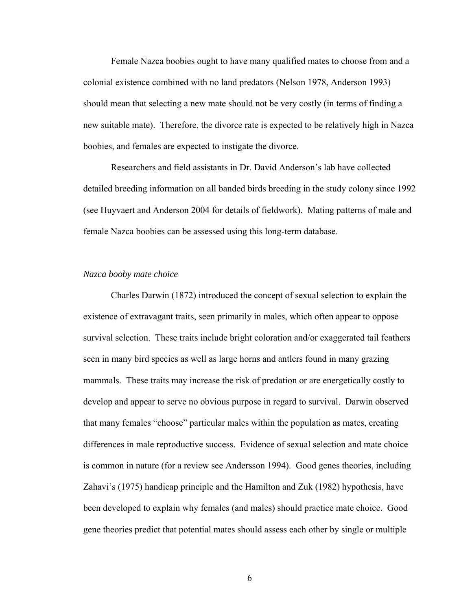Female Nazca boobies ought to have many qualified mates to choose from and a colonial existence combined with no land predators (Nelson 1978, Anderson 1993) should mean that selecting a new mate should not be very costly (in terms of finding a new suitable mate). Therefore, the divorce rate is expected to be relatively high in Nazca boobies, and females are expected to instigate the divorce.

Researchers and field assistants in Dr. David Anderson's lab have collected detailed breeding information on all banded birds breeding in the study colony since 1992 (see Huyvaert and Anderson 2004 for details of fieldwork). Mating patterns of male and female Nazca boobies can be assessed using this long-term database.

#### *Nazca booby mate choice*

Charles Darwin (1872) introduced the concept of sexual selection to explain the existence of extravagant traits, seen primarily in males, which often appear to oppose survival selection. These traits include bright coloration and/or exaggerated tail feathers seen in many bird species as well as large horns and antlers found in many grazing mammals. These traits may increase the risk of predation or are energetically costly to develop and appear to serve no obvious purpose in regard to survival. Darwin observed that many females "choose" particular males within the population as mates, creating differences in male reproductive success. Evidence of sexual selection and mate choice is common in nature (for a review see Andersson 1994). Good genes theories, including Zahavi's (1975) handicap principle and the Hamilton and Zuk (1982) hypothesis, have been developed to explain why females (and males) should practice mate choice. Good gene theories predict that potential mates should assess each other by single or multiple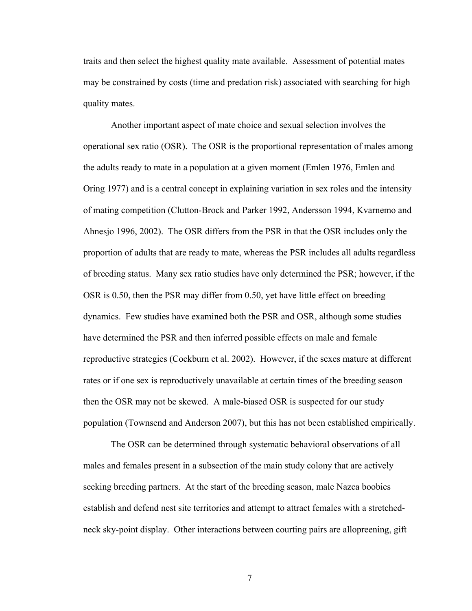traits and then select the highest quality mate available. Assessment of potential mates may be constrained by costs (time and predation risk) associated with searching for high quality mates.

Another important aspect of mate choice and sexual selection involves the operational sex ratio (OSR). The OSR is the proportional representation of males among the adults ready to mate in a population at a given moment (Emlen 1976, Emlen and Oring 1977) and is a central concept in explaining variation in sex roles and the intensity of mating competition (Clutton-Brock and Parker 1992, Andersson 1994, Kvarnemo and Ahnesjo 1996, 2002). The OSR differs from the PSR in that the OSR includes only the proportion of adults that are ready to mate, whereas the PSR includes all adults regardless of breeding status. Many sex ratio studies have only determined the PSR; however, if the OSR is 0.50, then the PSR may differ from 0.50, yet have little effect on breeding dynamics. Few studies have examined both the PSR and OSR, although some studies have determined the PSR and then inferred possible effects on male and female reproductive strategies (Cockburn et al. 2002). However, if the sexes mature at different rates or if one sex is reproductively unavailable at certain times of the breeding season then the OSR may not be skewed. A male-biased OSR is suspected for our study population (Townsend and Anderson 2007), but this has not been established empirically.

The OSR can be determined through systematic behavioral observations of all males and females present in a subsection of the main study colony that are actively seeking breeding partners. At the start of the breeding season, male Nazca boobies establish and defend nest site territories and attempt to attract females with a stretchedneck sky-point display. Other interactions between courting pairs are allopreening, gift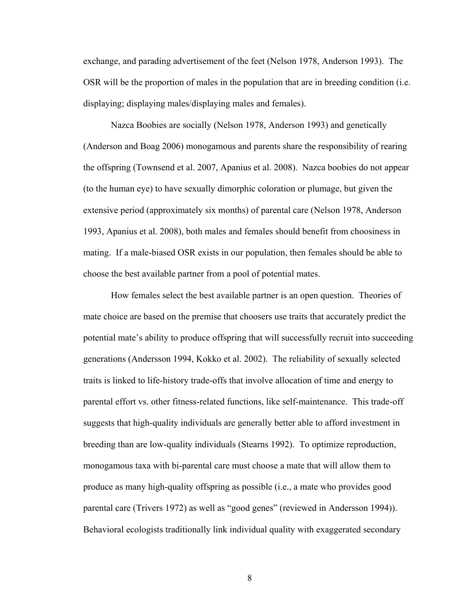exchange, and parading advertisement of the feet (Nelson 1978, Anderson 1993). The OSR will be the proportion of males in the population that are in breeding condition (i.e. displaying; displaying males/displaying males and females).

Nazca Boobies are socially (Nelson 1978, Anderson 1993) and genetically (Anderson and Boag 2006) monogamous and parents share the responsibility of rearing the offspring (Townsend et al. 2007, Apanius et al. 2008). Nazca boobies do not appear (to the human eye) to have sexually dimorphic coloration or plumage, but given the extensive period (approximately six months) of parental care (Nelson 1978, Anderson 1993, Apanius et al. 2008), both males and females should benefit from choosiness in mating. If a male-biased OSR exists in our population, then females should be able to choose the best available partner from a pool of potential mates.

How females select the best available partner is an open question. Theories of mate choice are based on the premise that choosers use traits that accurately predict the potential mate's ability to produce offspring that will successfully recruit into succeeding generations (Andersson 1994, Kokko et al. 2002). The reliability of sexually selected traits is linked to life-history trade-offs that involve allocation of time and energy to parental effort vs. other fitness-related functions, like self-maintenance. This trade-off suggests that high-quality individuals are generally better able to afford investment in breeding than are low-quality individuals (Stearns 1992). To optimize reproduction, monogamous taxa with bi-parental care must choose a mate that will allow them to produce as many high-quality offspring as possible (i.e., a mate who provides good parental care (Trivers 1972) as well as "good genes" (reviewed in Andersson 1994)). Behavioral ecologists traditionally link individual quality with exaggerated secondary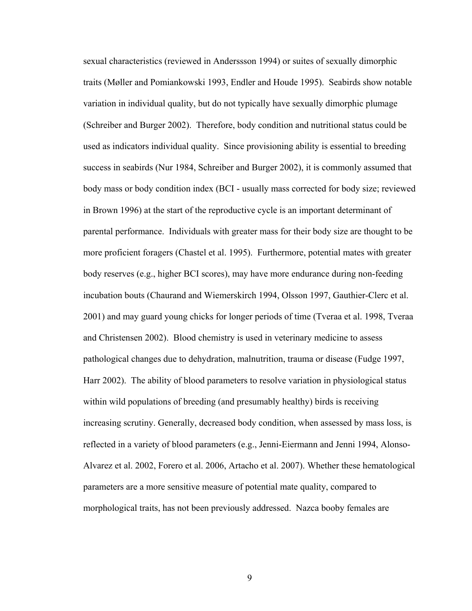sexual characteristics (reviewed in Anderssson 1994) or suites of sexually dimorphic traits (Møller and Pomiankowski 1993, Endler and Houde 1995). Seabirds show notable variation in individual quality, but do not typically have sexually dimorphic plumage (Schreiber and Burger 2002). Therefore, body condition and nutritional status could be used as indicators individual quality. Since provisioning ability is essential to breeding success in seabirds (Nur 1984, Schreiber and Burger 2002), it is commonly assumed that body mass or body condition index (BCI - usually mass corrected for body size; reviewed in Brown 1996) at the start of the reproductive cycle is an important determinant of parental performance. Individuals with greater mass for their body size are thought to be more proficient foragers (Chastel et al. 1995). Furthermore, potential mates with greater body reserves (e.g., higher BCI scores), may have more endurance during non-feeding incubation bouts (Chaurand and Wiemerskirch 1994, Olsson 1997, Gauthier-Clerc et al. 2001) and may guard young chicks for longer periods of time (Tveraa et al. 1998, Tveraa and Christensen 2002). Blood chemistry is used in veterinary medicine to assess pathological changes due to dehydration, malnutrition, trauma or disease (Fudge 1997, Harr 2002). The ability of blood parameters to resolve variation in physiological status within wild populations of breeding (and presumably healthy) birds is receiving increasing scrutiny. Generally, decreased body condition, when assessed by mass loss, is reflected in a variety of blood parameters (e.g., Jenni-Eiermann and Jenni 1994, Alonso-Alvarez et al. 2002, Forero et al. 2006, Artacho et al. 2007). Whether these hematological parameters are a more sensitive measure of potential mate quality, compared to morphological traits, has not been previously addressed. Nazca booby females are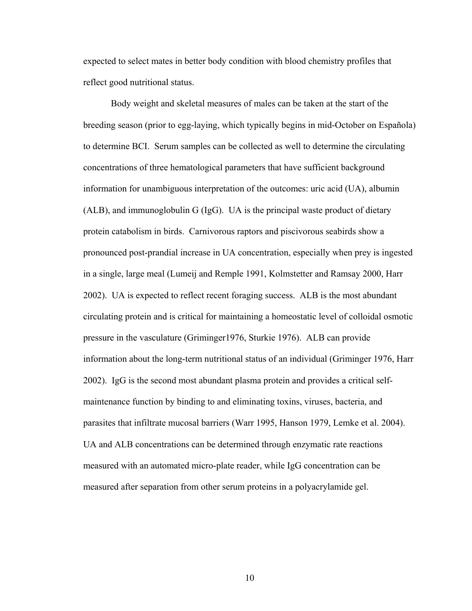expected to select mates in better body condition with blood chemistry profiles that reflect good nutritional status.

Body weight and skeletal measures of males can be taken at the start of the breeding season (prior to egg-laying, which typically begins in mid-October on Española) to determine BCI. Serum samples can be collected as well to determine the circulating concentrations of three hematological parameters that have sufficient background information for unambiguous interpretation of the outcomes: uric acid (UA), albumin (ALB), and immunoglobulin G (IgG). UA is the principal waste product of dietary protein catabolism in birds. Carnivorous raptors and piscivorous seabirds show a pronounced post-prandial increase in UA concentration, especially when prey is ingested in a single, large meal (Lumeij and Remple 1991, Kolmstetter and Ramsay 2000, Harr 2002). UA is expected to reflect recent foraging success. ALB is the most abundant circulating protein and is critical for maintaining a homeostatic level of colloidal osmotic pressure in the vasculature (Griminger1976, Sturkie 1976). ALB can provide information about the long-term nutritional status of an individual (Griminger 1976, Harr 2002). IgG is the second most abundant plasma protein and provides a critical selfmaintenance function by binding to and eliminating toxins, viruses, bacteria, and parasites that infiltrate mucosal barriers (Warr 1995, Hanson 1979, Lemke et al. 2004). UA and ALB concentrations can be determined through enzymatic rate reactions measured with an automated micro-plate reader, while IgG concentration can be measured after separation from other serum proteins in a polyacrylamide gel.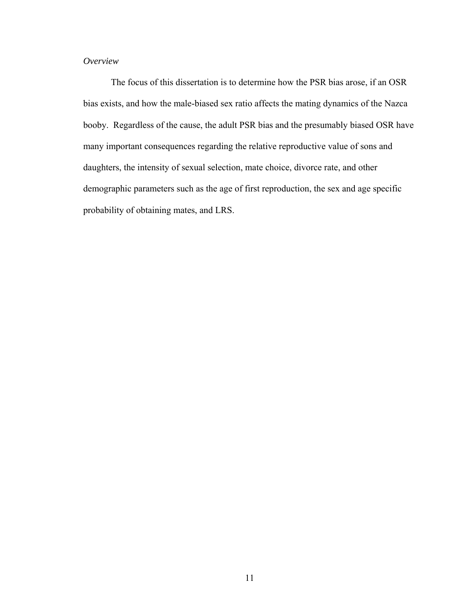### *Overview*

The focus of this dissertation is to determine how the PSR bias arose, if an OSR bias exists, and how the male-biased sex ratio affects the mating dynamics of the Nazca booby. Regardless of the cause, the adult PSR bias and the presumably biased OSR have many important consequences regarding the relative reproductive value of sons and daughters, the intensity of sexual selection, mate choice, divorce rate, and other demographic parameters such as the age of first reproduction, the sex and age specific probability of obtaining mates, and LRS.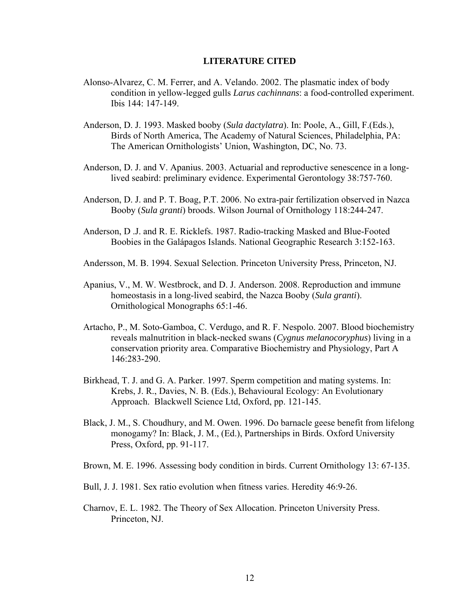### **LITERATURE CITED**

- Alonso-Alvarez, C. M. Ferrer, and A. Velando. 2002. The plasmatic index of body condition in yellow-legged gulls *Larus cachinnans*: a food-controlled experiment. Ibis 144: 147-149.
- Anderson, D. J. 1993. Masked booby (*Sula dactylatra*). In: Poole, A., Gill, F.(Eds.), Birds of North America, The Academy of Natural Sciences, Philadelphia, PA: The American Ornithologists' Union, Washington, DC, No. 73.
- Anderson, D. J. and V. Apanius. 2003. Actuarial and reproductive senescence in a long lived seabird: preliminary evidence. Experimental Gerontology 38:757-760.
- Anderson, D. J. and P. T. Boag, P.T. 2006. No extra-pair fertilization observed in Nazca Booby (*Sula granti*) broods. Wilson Journal of Ornithology 118:244-247.
- Anderson, D .J. and R. E. Ricklefs. 1987. Radio-tracking Masked and Blue-Footed Boobies in the Galápagos Islands. National Geographic Research 3:152-163.
- Andersson, M. B. 1994. Sexual Selection. Princeton University Press, Princeton, NJ.
- Apanius, V., M. W. Westbrock, and D. J. Anderson. 2008. Reproduction and immune homeostasis in a long-lived seabird, the Nazca Booby (*Sula granti*). Ornithological Monographs 65:1-46.
- Artacho, P., M. Soto-Gamboa, C. Verdugo, and R. F. Nespolo. 2007. Blood biochemistry reveals malnutrition in black-necked swans (*Cygnus melanocoryphus*) living in a conservation priority area. Comparative Biochemistry and Physiology, Part A 146:283-290.
- Birkhead, T. J. and G. A. Parker. 1997. Sperm competition and mating systems. In: Krebs, J. R., Davies, N. B. (Eds.), Behavioural Ecology: An Evolutionary Approach. Blackwell Science Ltd, Oxford, pp. 121-145.
- Black, J. M., S. Choudhury, and M. Owen. 1996. Do barnacle geese benefit from lifelong monogamy? In: Black, J. M., (Ed.), Partnerships in Birds. Oxford University Press, Oxford, pp. 91-117.
- Brown, M. E. 1996. Assessing body condition in birds. Current Ornithology 13: 67-135.
- Bull, J. J. 1981. Sex ratio evolution when fitness varies. Heredity 46:9-26.
- Charnov, E. L. 1982. The Theory of Sex Allocation. Princeton University Press. Princeton, NJ.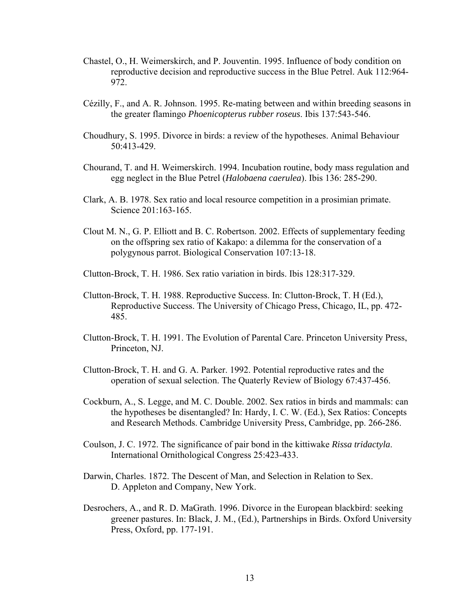- Chastel, O., H. Weimerskirch, and P. Jouventin. 1995. Influence of body condition on reproductive decision and reproductive success in the Blue Petrel. Auk 112:964- 972.
- Cézilly, F., and A. R. Johnson. 1995. Re-mating between and within breeding seasons in the greater flamingo *Phoenicopterus rubber roseus*. Ibis 137:543-546.
- Choudhury, S. 1995. Divorce in birds: a review of the hypotheses. Animal Behaviour 50:413-429.
- Chourand, T. and H. Weimerskirch. 1994. Incubation routine, body mass regulation and egg neglect in the Blue Petrel (*Halobaena caerulea*). Ibis 136: 285-290.
- Clark, A. B. 1978. Sex ratio and local resource competition in a prosimian primate. Science 201:163-165.
- Clout M. N., G. P. Elliott and B. C. Robertson. 2002. Effects of supplementary feeding on the offspring sex ratio of Kakapo: a dilemma for the conservation of a polygynous parrot. Biological Conservation 107:13-18.
- Clutton-Brock, T. H. 1986. Sex ratio variation in birds. Ibis 128:317-329.
- Clutton-Brock, T. H. 1988. Reproductive Success. In: Clutton-Brock, T. H (Ed.), Reproductive Success. The University of Chicago Press, Chicago, IL, pp. 472- 485.
- Clutton-Brock, T. H. 1991. The Evolution of Parental Care. Princeton University Press, Princeton, NJ.
- Clutton-Brock, T. H. and G. A. Parker. 1992. Potential reproductive rates and the operation of sexual selection. The Quaterly Review of Biology 67:437-456.
- Cockburn, A., S. Legge, and M. C. Double. 2002. Sex ratios in birds and mammals: can the hypotheses be disentangled? In: Hardy, I. C. W. (Ed.), Sex Ratios: Concepts and Research Methods. Cambridge University Press, Cambridge, pp. 266-286.
- Coulson, J. C. 1972. The significance of pair bond in the kittiwake *Rissa tridactyla*. International Ornithological Congress 25:423-433.
- Darwin, Charles. 1872. The Descent of Man, and Selection in Relation to Sex. D. Appleton and Company, New York.
- Desrochers, A., and R. D. MaGrath. 1996. Divorce in the European blackbird: seeking greener pastures. In: Black, J. M., (Ed.), Partnerships in Birds. Oxford University Press, Oxford, pp. 177-191.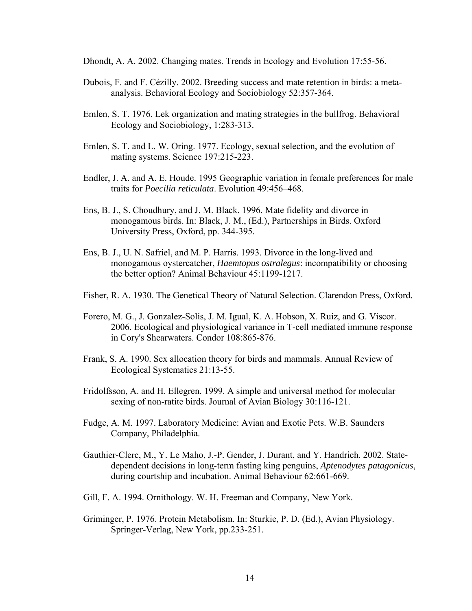Dhondt, A. A. 2002. Changing mates. Trends in Ecology and Evolution 17:55-56.

- Dubois, F. and F. Cézilly. 2002. Breeding success and mate retention in birds: a meta analysis. Behavioral Ecology and Sociobiology 52:357-364.
- Emlen, S. T. 1976. Lek organization and mating strategies in the bullfrog. Behavioral Ecology and Sociobiology, 1:283-313.
- Emlen, S. T. and L. W. Oring. 1977. Ecology, sexual selection, and the evolution of mating systems. Science 197:215-223.
- Endler, J. A. and A. E. Houde. 1995 Geographic variation in female preferences for male traits for *Poecilia reticulata*. Evolution 49:456–468.
- Ens, B. J., S. Choudhury, and J. M. Black. 1996. Mate fidelity and divorce in monogamous birds. In: Black, J. M., (Ed.), Partnerships in Birds. Oxford University Press, Oxford, pp. 344-395.
- Ens, B. J., U. N. Safriel, and M. P. Harris. 1993. Divorce in the long-lived and monogamous oystercatcher, *Haemtopus ostralegus*: incompatibility or choosing the better option? Animal Behaviour 45:1199-1217.
- Fisher, R. A. 1930. The Genetical Theory of Natural Selection. Clarendon Press, Oxford.
- Forero, M. G., J. Gonzalez-Solis, J. M. Igual, K. A. Hobson, X. Ruiz, and G. Viscor. 2006. Ecological and physiological variance in T-cell mediated immune response in Cory's Shearwaters. Condor 108:865-876.
- Frank, S. A. 1990. Sex allocation theory for birds and mammals. Annual Review of Ecological Systematics 21:13-55.
- Fridolfsson, A. and H. Ellegren. 1999. A simple and universal method for molecular sexing of non-ratite birds. Journal of Avian Biology 30:116-121.
- Fudge, A. M. 1997. Laboratory Medicine: Avian and Exotic Pets. W.B. Saunders Company, Philadelphia.
- Gauthier-Clerc, M., Y. Le Maho, J.-P. Gender, J. Durant, and Y. Handrich. 2002. Statedependent decisions in long-term fasting king penguins, *Aptenodytes patagonicus*, during courtship and incubation. Animal Behaviour 62:661-669.
- Gill, F. A. 1994. Ornithology. W. H. Freeman and Company, New York.
- Griminger, P. 1976. Protein Metabolism. In: Sturkie, P. D. (Ed.), Avian Physiology. Springer-Verlag, New York, pp.233-251.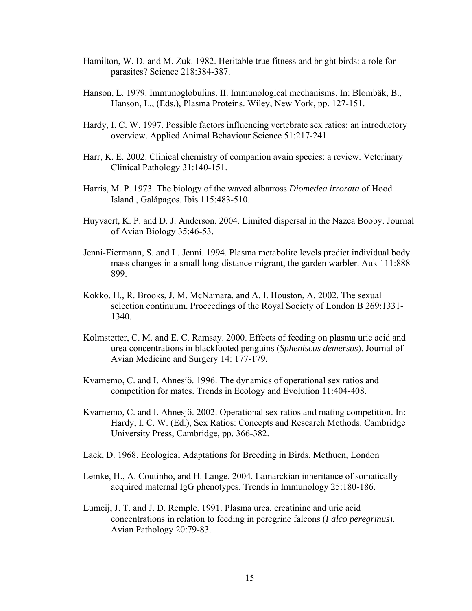- Hamilton, W. D. and M. Zuk. 1982. Heritable true fitness and bright birds: a role for parasites? Science 218:384-387.
- Hanson, L. 1979. Immunoglobulins. II. Immunological mechanisms. In: Blombäk, B., Hanson, L., (Eds.), Plasma Proteins. Wiley, New York, pp. 127-151.
- Hardy, I. C. W. 1997. Possible factors influencing vertebrate sex ratios: an introductory overview. Applied Animal Behaviour Science 51:217-241.
- Harr, K. E. 2002. Clinical chemistry of companion avain species: a review. Veterinary Clinical Pathology 31:140-151.
- Harris, M. P. 1973. The biology of the waved albatross *Diomedea irrorata* of Hood Island , Galápagos. Ibis 115:483-510.
- Huyvaert, K. P. and D. J. Anderson. 2004. Limited dispersal in the Nazca Booby. Journal of Avian Biology 35:46-53.
- Jenni-Eiermann, S. and L. Jenni. 1994. Plasma metabolite levels predict individual body mass changes in a small long-distance migrant, the garden warbler. Auk 111:888- 899.
- Kokko, H., R. Brooks, J. M. McNamara, and A. I. Houston, A. 2002. The sexual selection continuum. Proceedings of the Royal Society of London B 269:1331- 1340.
- Kolmstetter, C. M. and E. C. Ramsay. 2000. Effects of feeding on plasma uric acid and urea concentrations in blackfooted penguins (*Spheniscus demersus*). Journal of Avian Medicine and Surgery 14: 177-179.
- Kvarnemo, C. and I. Ahnesjö. 1996. The dynamics of operational sex ratios and competition for mates. Trends in Ecology and Evolution 11:404-408.
- Kvarnemo, C. and I. Ahnesjö. 2002. Operational sex ratios and mating competition. In: Hardy, I. C. W. (Ed.), Sex Ratios: Concepts and Research Methods. Cambridge University Press, Cambridge, pp. 366-382.
- Lack, D. 1968. Ecological Adaptations for Breeding in Birds. Methuen, London
- Lemke, H., A. Coutinho, and H. Lange. 2004. Lamarckian inheritance of somatically acquired maternal IgG phenotypes. Trends in Immunology 25:180-186.
- Lumeij, J. T. and J. D. Remple. 1991. Plasma urea, creatinine and uric acid concentrations in relation to feeding in peregrine falcons (*Falco peregrinus*). Avian Pathology 20:79-83.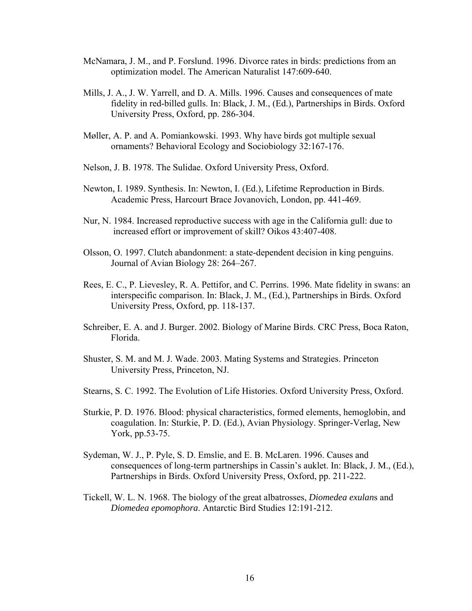- McNamara, J. M., and P. Forslund. 1996. Divorce rates in birds: predictions from an optimization model. The American Naturalist 147:609-640.
- Mills, J. A., J. W. Yarrell, and D. A. Mills. 1996. Causes and consequences of mate fidelity in red-billed gulls. In: Black, J. M., (Ed.), Partnerships in Birds. Oxford University Press, Oxford, pp. 286-304.
- Møller, A. P. and A. Pomiankowski. 1993. Why have birds got multiple sexual ornaments? Behavioral Ecology and Sociobiology 32:167-176.
- Nelson, J. B. 1978. The Sulidae. Oxford University Press, Oxford.
- Newton, I. 1989. Synthesis. In: Newton, I. (Ed.), Lifetime Reproduction in Birds. Academic Press, Harcourt Brace Jovanovich, London, pp. 441-469.
- Nur, N. 1984. Increased reproductive success with age in the California gull: due to increased effort or improvement of skill? Oikos 43:407-408.
- Olsson, O. 1997. Clutch abandonment: a state-dependent decision in king penguins. Journal of Avian Biology 28: 264–267.
- Rees, E. C., P. Lievesley, R. A. Pettifor, and C. Perrins. 1996. Mate fidelity in swans: an interspecific comparison. In: Black, J. M., (Ed.), Partnerships in Birds. Oxford University Press, Oxford, pp. 118-137.
- Schreiber, E. A. and J. Burger. 2002. Biology of Marine Birds. CRC Press, Boca Raton, Florida.
- Shuster, S. M. and M. J. Wade. 2003. Mating Systems and Strategies. Princeton University Press, Princeton, NJ.
- Stearns, S. C. 1992. The Evolution of Life Histories. Oxford University Press, Oxford.
- Sturkie, P. D. 1976. Blood: physical characteristics, formed elements, hemoglobin, and coagulation. In: Sturkie, P. D. (Ed.), Avian Physiology. Springer-Verlag, New York, pp.53-75.
- Sydeman, W. J., P. Pyle, S. D. Emslie, and E. B. McLaren. 1996. Causes and consequences of long-term partnerships in Cassin's auklet. In: Black, J. M., (Ed.), Partnerships in Birds. Oxford University Press, Oxford, pp. 211-222.
- Tickell, W. L. N. 1968. The biology of the great albatrosses, *Diomedea exulan*s and *Diomedea epomophora*. Antarctic Bird Studies 12:191-212.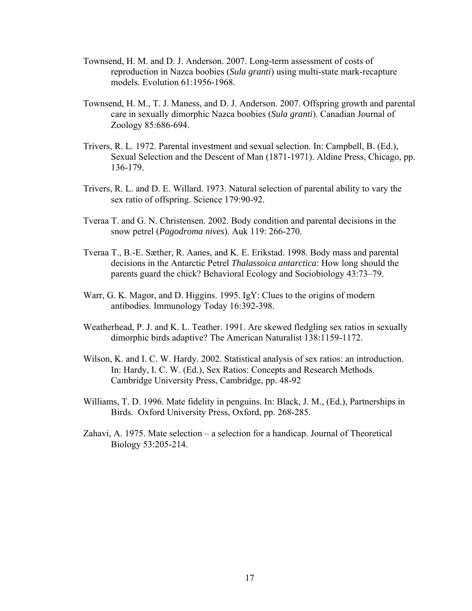- Townsend, H. M. and D. J. Anderson. 2007. Long-term assessment of costs of reproduction in Nazca boobies (*Sula granti*) using multi-state mark-recapture models. Evolution 61:1956-1968.
- Townsend, H. M., T. J. Maness, and D. J. Anderson. 2007. Offspring growth and parental care in sexually dimorphic Nazca boobies (*Sula granti*). Canadian Journal of Zoology 85:686-694.
- Trivers, R. L. 1972. Parental investment and sexual selection. In: Campbell, B. (Ed.), Sexual Selection and the Descent of Man (1871-1971). Aldine Press, Chicago, pp. 136-179.
- Trivers, R. L. and D. E. Willard. 1973. Natural selection of parental ability to vary the sex ratio of offspring. Science 179:90-92.
- Tveraa T. and G. N. Christensen. 2002. Body condition and parental decisions in the snow petrel (*Pagodroma nives*). Auk 119: 266-270.
- Tveraa T., B.-E. Sæther, R. Aanes, and K. E. Erikstad. 1998. Body mass and parental decisions in the Antarctic Petrel *Thalassoica antarctica*: How long should the parents guard the chick? Behavioral Ecology and Sociobiology 43:73–79.
- Warr, G. K. Magor, and D. Higgins. 1995. IgY: Clues to the origins of modern antibodies. Immunology Today 16:392-398.
- Weatherhead, P. J. and K. L. Teather. 1991. Are skewed fledgling sex ratios in sexually dimorphic birds adaptive? The American Naturalist 138:1159-1172.
- Wilson, K. and I. C. W. Hardy. 2002. Statistical analysis of sex ratios: an introduction. In: Hardy, I. C. W. (Ed.), Sex Ratios: Concepts and Research Methods. Cambridge University Press, Cambridge, pp. 48-92
- Williams, T. D. 1996. Mate fidelity in penguins. In: Black, J. M., (Ed.), Partnerships in Birds. Oxford University Press, Oxford, pp. 268-285.
- Zahavi, A. 1975. Mate selection a selection for a handicap. Journal of Theoretical Biology 53:205-214.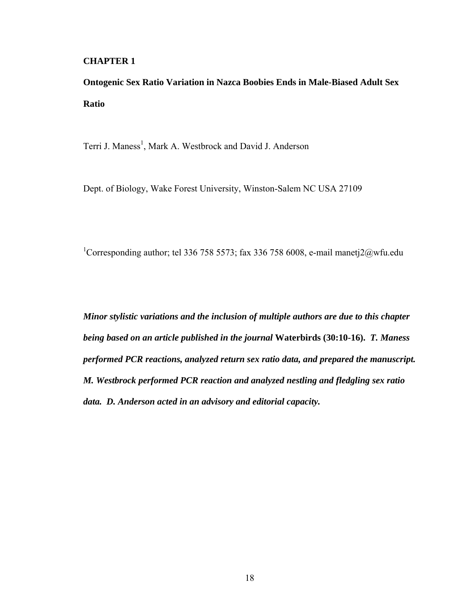### **CHAPTER 1**

**Ontogenic Sex Ratio Variation in Nazca Boobies Ends in Male-Biased Adult Sex Ratio** 

Terri J. Maness<sup>1</sup>, Mark A. Westbrock and David J. Anderson

Dept. of Biology, Wake Forest University, Winston-Salem NC USA 27109

<sup>1</sup>Corresponding author; tel 336 758 5573; fax 336 758 6008, e-mail manetj $2@$ wfu.edu

*Minor stylistic variations and the inclusion of multiple authors are due to this chapter being based on an article published in the journal* **Waterbirds (30:10-16).** *T. Maness performed PCR reactions, analyzed return sex ratio data, and prepared the manuscript. M. Westbrock performed PCR reaction and analyzed nestling and fledgling sex ratio data. D. Anderson acted in an advisory and editorial capacity.*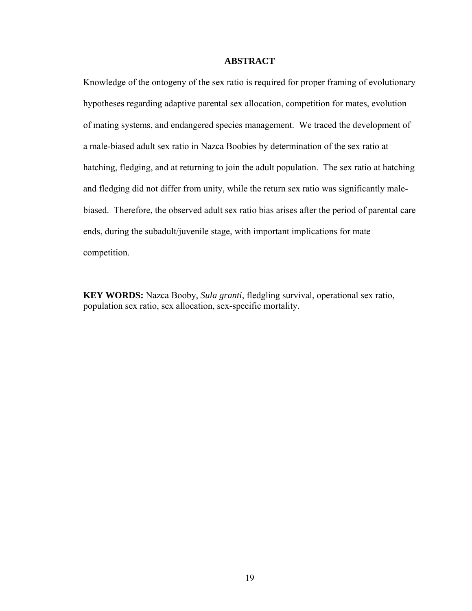### **ABSTRACT**

Knowledge of the ontogeny of the sex ratio is required for proper framing of evolutionary hypotheses regarding adaptive parental sex allocation, competition for mates, evolution of mating systems, and endangered species management. We traced the development of a male-biased adult sex ratio in Nazca Boobies by determination of the sex ratio at hatching, fledging, and at returning to join the adult population. The sex ratio at hatching and fledging did not differ from unity, while the return sex ratio was significantly malebiased. Therefore, the observed adult sex ratio bias arises after the period of parental care ends, during the subadult/juvenile stage, with important implications for mate competition.

**KEY WORDS:** Nazca Booby, *Sula granti*, fledgling survival, operational sex ratio, population sex ratio, sex allocation, sex-specific mortality.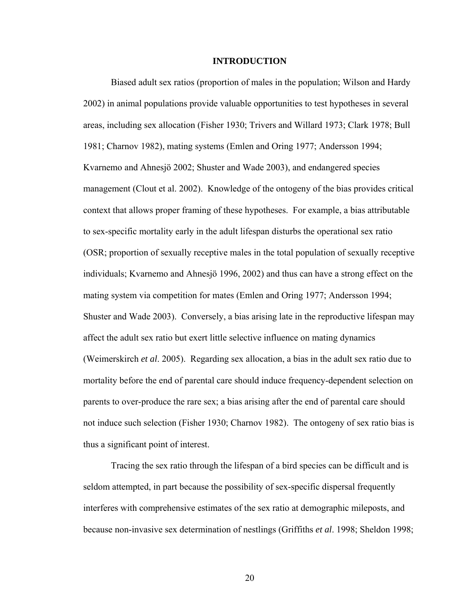#### **INTRODUCTION**

Biased adult sex ratios (proportion of males in the population; Wilson and Hardy 2002) in animal populations provide valuable opportunities to test hypotheses in several areas, including sex allocation (Fisher 1930; Trivers and Willard 1973; Clark 1978; Bull 1981; Charnov 1982), mating systems (Emlen and Oring 1977; Andersson 1994; Kvarnemo and Ahnesjö 2002; Shuster and Wade 2003), and endangered species management (Clout et al. 2002). Knowledge of the ontogeny of the bias provides critical context that allows proper framing of these hypotheses. For example, a bias attributable to sex-specific mortality early in the adult lifespan disturbs the operational sex ratio (OSR; proportion of sexually receptive males in the total population of sexually receptive individuals; Kvarnemo and Ahnesjö 1996, 2002) and thus can have a strong effect on the mating system via competition for mates (Emlen and Oring 1977; Andersson 1994; Shuster and Wade 2003). Conversely, a bias arising late in the reproductive lifespan may affect the adult sex ratio but exert little selective influence on mating dynamics (Weimerskirch *et al*. 2005). Regarding sex allocation, a bias in the adult sex ratio due to mortality before the end of parental care should induce frequency-dependent selection on parents to over-produce the rare sex; a bias arising after the end of parental care should not induce such selection (Fisher 1930; Charnov 1982). The ontogeny of sex ratio bias is thus a significant point of interest.

Tracing the sex ratio through the lifespan of a bird species can be difficult and is seldom attempted, in part because the possibility of sex-specific dispersal frequently interferes with comprehensive estimates of the sex ratio at demographic mileposts, and because non-invasive sex determination of nestlings (Griffiths *et al*. 1998; Sheldon 1998;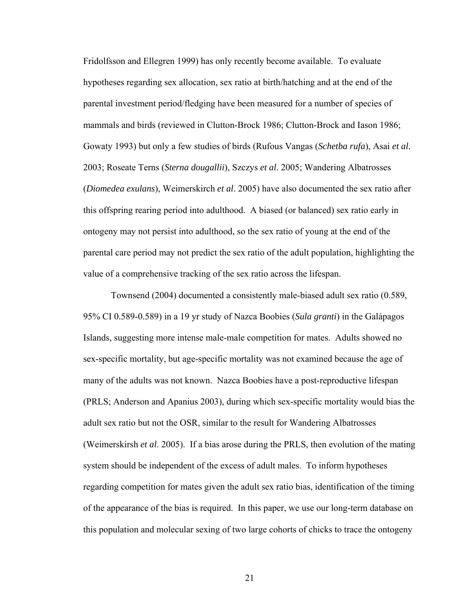Fridolfsson and Ellegren 1999) has only recently become available. To evaluate hypotheses regarding sex allocation, sex ratio at birth/hatching and at the end of the parental investment period/fledging have been measured for a number of species of mammals and birds (reviewed in Clutton-Brock 1986; Clutton-Brock and Iason 1986; Gowaty 1993) but only a few studies of birds (Rufous Vangas (*Schetba rufa*), Asai *et al*. 2003; Roseate Terns (*Sterna dougallii*), Szczys *et al*. 2005; Wandering Albatrosses (*Diomedea exulans*), Weimerskirch *et al*. 2005) have also documented the sex ratio after this offspring rearing period into adulthood. A biased (or balanced) sex ratio early in ontogeny may not persist into adulthood, so the sex ratio of young at the end of the parental care period may not predict the sex ratio of the adult population, highlighting the value of a comprehensive tracking of the sex ratio across the lifespan.

 Townsend (2004) documented a consistently male-biased adult sex ratio (0.589, 95% CI 0.589-0.589) in a 19 yr study of Nazca Boobies (*Sula granti*) in the Galápagos Islands, suggesting more intense male-male competition for mates. Adults showed no sex-specific mortality, but age-specific mortality was not examined because the age of many of the adults was not known. Nazca Boobies have a post-reproductive lifespan (PRLS; Anderson and Apanius 2003), during which sex-specific mortality would bias the adult sex ratio but not the OSR, similar to the result for Wandering Albatrosses (Weimerskirsh *et al*. 2005). If a bias arose during the PRLS, then evolution of the mating system should be independent of the excess of adult males. To inform hypotheses regarding competition for mates given the adult sex ratio bias, identification of the timing of the appearance of the bias is required. In this paper, we use our long-term database on this population and molecular sexing of two large cohorts of chicks to trace the ontogeny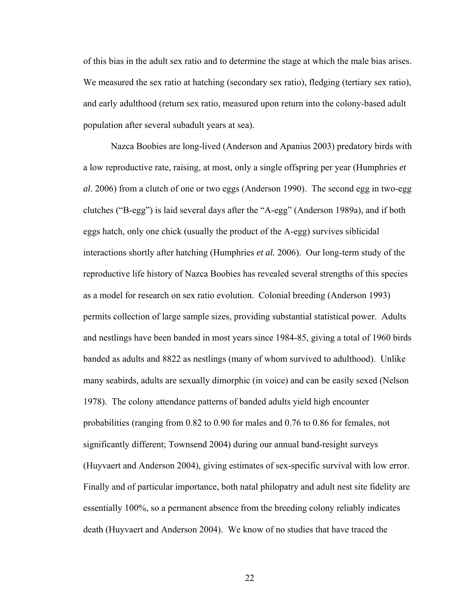of this bias in the adult sex ratio and to determine the stage at which the male bias arises. We measured the sex ratio at hatching (secondary sex ratio), fledging (tertiary sex ratio), and early adulthood (return sex ratio, measured upon return into the colony-based adult population after several subadult years at sea).

Nazca Boobies are long-lived (Anderson and Apanius 2003) predatory birds with a low reproductive rate, raising, at most, only a single offspring per year (Humphries *et al*. 2006) from a clutch of one or two eggs (Anderson 1990). The second egg in two-egg clutches ("B-egg") is laid several days after the "A-egg" (Anderson 1989a), and if both eggs hatch, only one chick (usually the product of the A-egg) survives siblicidal interactions shortly after hatching (Humphries *et al.* 2006). Our long-term study of the reproductive life history of Nazca Boobies has revealed several strengths of this species as a model for research on sex ratio evolution. Colonial breeding (Anderson 1993) permits collection of large sample sizes, providing substantial statistical power. Adults and nestlings have been banded in most years since 1984-85, giving a total of 1960 birds banded as adults and 8822 as nestlings (many of whom survived to adulthood). Unlike many seabirds, adults are sexually dimorphic (in voice) and can be easily sexed (Nelson 1978). The colony attendance patterns of banded adults yield high encounter probabilities (ranging from 0.82 to 0.90 for males and 0.76 to 0.86 for females, not significantly different; Townsend 2004) during our annual band-resight surveys (Huyvaert and Anderson 2004), giving estimates of sex-specific survival with low error. Finally and of particular importance, both natal philopatry and adult nest site fidelity are essentially 100%, so a permanent absence from the breeding colony reliably indicates death (Huyvaert and Anderson 2004). We know of no studies that have traced the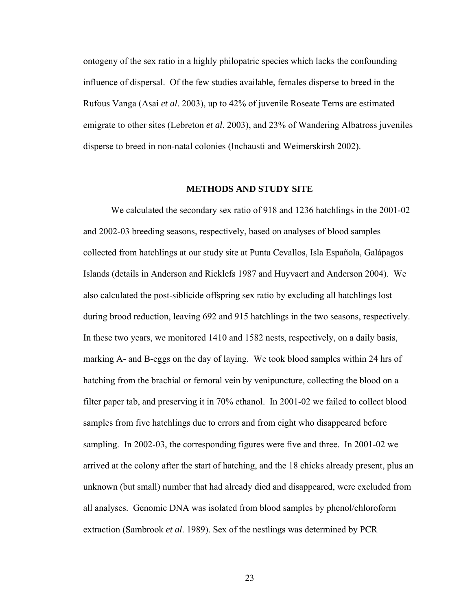ontogeny of the sex ratio in a highly philopatric species which lacks the confounding influence of dispersal. Of the few studies available, females disperse to breed in the Rufous Vanga (Asai *et al*. 2003), up to 42% of juvenile Roseate Terns are estimated emigrate to other sites (Lebreton *et al*. 2003), and 23% of Wandering Albatross juveniles disperse to breed in non-natal colonies (Inchausti and Weimerskirsh 2002).

#### **METHODS AND STUDY SITE**

We calculated the secondary sex ratio of 918 and 1236 hatchlings in the 2001-02 and 2002-03 breeding seasons, respectively, based on analyses of blood samples collected from hatchlings at our study site at Punta Cevallos, Isla Española, Galápagos Islands (details in Anderson and Ricklefs 1987 and Huyvaert and Anderson 2004). We also calculated the post-siblicide offspring sex ratio by excluding all hatchlings lost during brood reduction, leaving 692 and 915 hatchlings in the two seasons, respectively. In these two years, we monitored 1410 and 1582 nests, respectively, on a daily basis, marking A- and B-eggs on the day of laying. We took blood samples within 24 hrs of hatching from the brachial or femoral vein by venipuncture, collecting the blood on a filter paper tab, and preserving it in 70% ethanol. In 2001-02 we failed to collect blood samples from five hatchlings due to errors and from eight who disappeared before sampling. In 2002-03, the corresponding figures were five and three. In 2001-02 we arrived at the colony after the start of hatching, and the 18 chicks already present, plus an unknown (but small) number that had already died and disappeared, were excluded from all analyses. Genomic DNA was isolated from blood samples by phenol/chloroform extraction (Sambrook *et al*. 1989). Sex of the nestlings was determined by PCR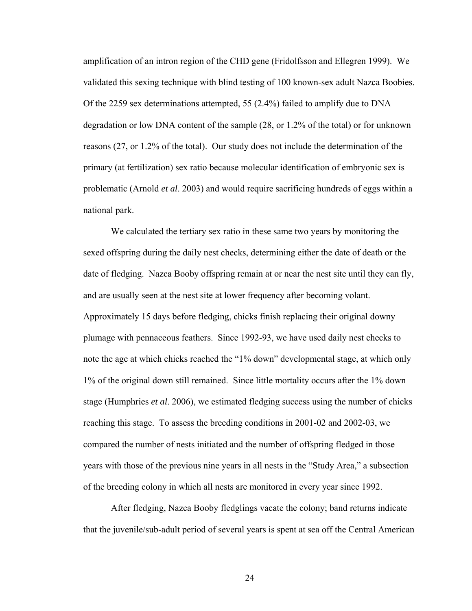amplification of an intron region of the CHD gene (Fridolfsson and Ellegren 1999). We validated this sexing technique with blind testing of 100 known-sex adult Nazca Boobies. Of the 2259 sex determinations attempted, 55 (2.4%) failed to amplify due to DNA degradation or low DNA content of the sample (28, or 1.2% of the total) or for unknown reasons (27, or 1.2% of the total). Our study does not include the determination of the primary (at fertilization) sex ratio because molecular identification of embryonic sex is problematic (Arnold *et al*. 2003) and would require sacrificing hundreds of eggs within a national park.

We calculated the tertiary sex ratio in these same two years by monitoring the sexed offspring during the daily nest checks, determining either the date of death or the date of fledging. Nazca Booby offspring remain at or near the nest site until they can fly, and are usually seen at the nest site at lower frequency after becoming volant. Approximately 15 days before fledging, chicks finish replacing their original downy plumage with pennaceous feathers. Since 1992-93, we have used daily nest checks to note the age at which chicks reached the "1% down" developmental stage, at which only 1% of the original down still remained. Since little mortality occurs after the 1% down stage (Humphries *et al*. 2006), we estimated fledging success using the number of chicks reaching this stage. To assess the breeding conditions in 2001-02 and 2002-03, we compared the number of nests initiated and the number of offspring fledged in those years with those of the previous nine years in all nests in the "Study Area," a subsection of the breeding colony in which all nests are monitored in every year since 1992.

 After fledging, Nazca Booby fledglings vacate the colony; band returns indicate that the juvenile/sub-adult period of several years is spent at sea off the Central American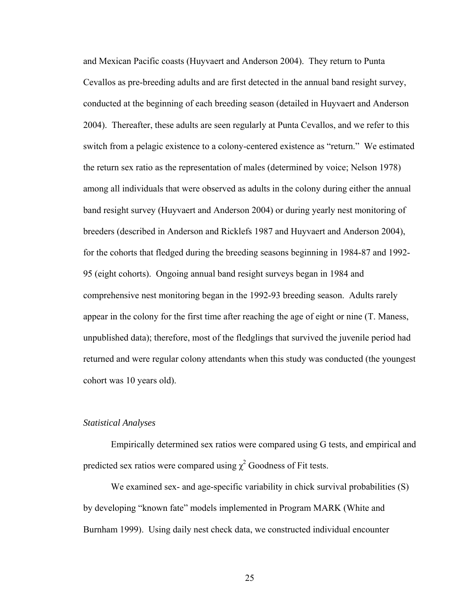and Mexican Pacific coasts (Huyvaert and Anderson 2004). They return to Punta Cevallos as pre-breeding adults and are first detected in the annual band resight survey, conducted at the beginning of each breeding season (detailed in Huyvaert and Anderson 2004). Thereafter, these adults are seen regularly at Punta Cevallos, and we refer to this switch from a pelagic existence to a colony-centered existence as "return." We estimated the return sex ratio as the representation of males (determined by voice; Nelson 1978) among all individuals that were observed as adults in the colony during either the annual band resight survey (Huyvaert and Anderson 2004) or during yearly nest monitoring of breeders (described in Anderson and Ricklefs 1987 and Huyvaert and Anderson 2004), for the cohorts that fledged during the breeding seasons beginning in 1984-87 and 1992- 95 (eight cohorts). Ongoing annual band resight surveys began in 1984 and comprehensive nest monitoring began in the 1992-93 breeding season. Adults rarely appear in the colony for the first time after reaching the age of eight or nine (T. Maness, unpublished data); therefore, most of the fledglings that survived the juvenile period had returned and were regular colony attendants when this study was conducted (the youngest cohort was 10 years old).

### *Statistical Analyses*

Empirically determined sex ratios were compared using G tests, and empirical and predicted sex ratios were compared using  $\chi^2$  Goodness of Fit tests.

We examined sex- and age-specific variability in chick survival probabilities (S) by developing "known fate" models implemented in Program MARK (White and Burnham 1999). Using daily nest check data, we constructed individual encounter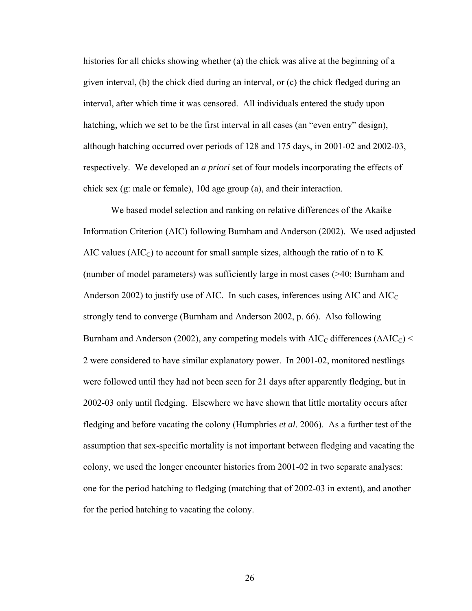histories for all chicks showing whether (a) the chick was alive at the beginning of a given interval, (b) the chick died during an interval, or (c) the chick fledged during an interval, after which time it was censored. All individuals entered the study upon hatching, which we set to be the first interval in all cases (an "even entry" design), although hatching occurred over periods of 128 and 175 days, in 2001-02 and 2002-03, respectively. We developed an *a priori* set of four models incorporating the effects of chick sex (g: male or female), 10d age group (a), and their interaction.

 We based model selection and ranking on relative differences of the Akaike Information Criterion (AIC) following Burnham and Anderson (2002). We used adjusted AIC values ( $AIC<sub>C</sub>$ ) to account for small sample sizes, although the ratio of n to K (number of model parameters) was sufficiently large in most cases (>40; Burnham and Anderson 2002) to justify use of AIC. In such cases, inferences using AIC and  $AIC<sub>C</sub>$ strongly tend to converge (Burnham and Anderson 2002, p. 66). Also following Burnham and Anderson (2002), any competing models with AIC<sub>C</sub> differences ( $\triangle AIC_C$ ) < 2 were considered to have similar explanatory power. In 2001-02, monitored nestlings were followed until they had not been seen for 21 days after apparently fledging, but in 2002-03 only until fledging. Elsewhere we have shown that little mortality occurs after fledging and before vacating the colony (Humphries *et al*. 2006). As a further test of the assumption that sex-specific mortality is not important between fledging and vacating the colony, we used the longer encounter histories from 2001-02 in two separate analyses: one for the period hatching to fledging (matching that of 2002-03 in extent), and another for the period hatching to vacating the colony.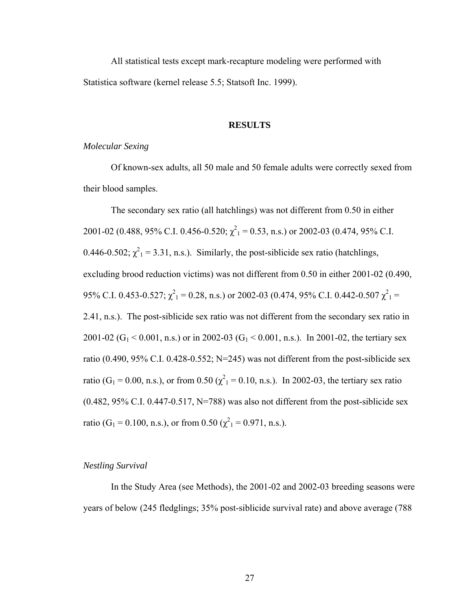All statistical tests except mark-recapture modeling were performed with Statistica software (kernel release 5.5; Statsoft Inc. 1999).

#### **RESULTS**

### *Molecular Sexing*

Of known-sex adults, all 50 male and 50 female adults were correctly sexed from their blood samples.

The secondary sex ratio (all hatchlings) was not different from 0.50 in either 2001-02 (0.488, 95% C.I. 0.456-0.520;  $\chi^2$ <sub>1</sub> = 0.53, n.s.) or 2002-03 (0.474, 95% C.I. 0.446-0.502;  $\chi^2$ <sub>1</sub> = 3.31, n.s.). Similarly, the post-siblicide sex ratio (hatchlings, excluding brood reduction victims) was not different from 0.50 in either 2001-02 (0.490, 95% C.I. 0.453-0.527;  $\chi^2$ <sub>1</sub> = 0.28, n.s.) or 2002-03 (0.474, 95% C.I. 0.442-0.507  $\chi^2$ <sub>1</sub> = 2.41, n.s.). The post-siblicide sex ratio was not different from the secondary sex ratio in 2001-02 (G<sub>1</sub> < 0.001, n.s.) or in 2002-03 (G<sub>1</sub> < 0.001, n.s.). In 2001-02, the tertiary sex ratio (0.490, 95% C.I. 0.428-0.552; N=245) was not different from the post-siblicide sex ratio (G<sub>1</sub> = 0.00, n.s.), or from 0.50 ( $\chi^2$ <sub>1</sub> = 0.10, n.s.). In 2002-03, the tertiary sex ratio  $(0.482, 95\% \text{ C.I. } 0.447 - 0.517, \text{ N} = 788)$  was also not different from the post-siblicide sex ratio (G<sub>1</sub> = 0.100, n.s.), or from 0.50 ( $\chi^2$ <sub>1</sub> = 0.971, n.s.).

### *Nestling Survival*

In the Study Area (see Methods), the 2001-02 and 2002-03 breeding seasons were years of below (245 fledglings; 35% post-siblicide survival rate) and above average (788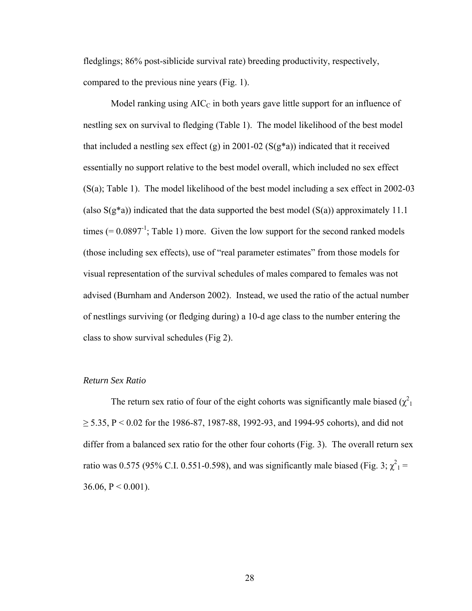fledglings; 86% post-siblicide survival rate) breeding productivity, respectively, compared to the previous nine years (Fig. 1).

Model ranking using  $AIC<sub>C</sub>$  in both years gave little support for an influence of nestling sex on survival to fledging (Table 1). The model likelihood of the best model that included a nestling sex effect (g) in 2001-02 ( $S(g^*a)$ ) indicated that it received essentially no support relative to the best model overall, which included no sex effect (S(a); Table 1). The model likelihood of the best model including a sex effect in 2002-03 (also  $S(g^*a)$ ) indicated that the data supported the best model  $(S(a))$  approximately 11.1 times  $(= 0.0897<sup>-1</sup>)$ ; Table 1) more. Given the low support for the second ranked models (those including sex effects), use of "real parameter estimates" from those models for visual representation of the survival schedules of males compared to females was not advised (Burnham and Anderson 2002). Instead, we used the ratio of the actual number of nestlings surviving (or fledging during) a 10-d age class to the number entering the class to show survival schedules (Fig 2).

### *Return Sex Ratio*

The return sex ratio of four of the eight cohorts was significantly male biased  $(\chi^2)$  $\geq$  5.35, P < 0.02 for the 1986-87, 1987-88, 1992-93, and 1994-95 cohorts), and did not differ from a balanced sex ratio for the other four cohorts (Fig. 3). The overall return sex ratio was 0.575 (95% C.I. 0.551-0.598), and was significantly male biased (Fig. 3;  $\chi^2$ <sub>1</sub> = 36.06,  $P < 0.001$ ).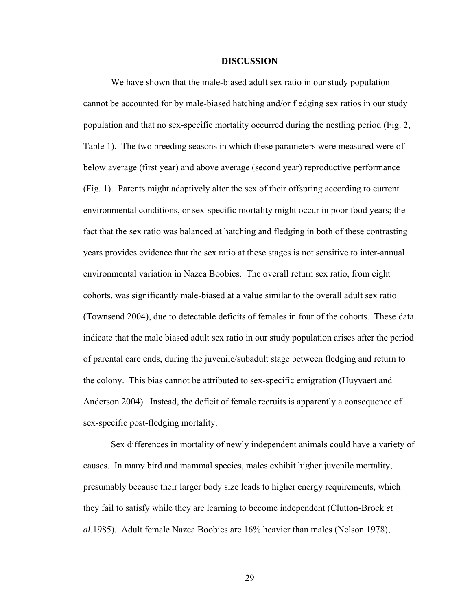#### **DISCUSSION**

We have shown that the male-biased adult sex ratio in our study population cannot be accounted for by male-biased hatching and/or fledging sex ratios in our study population and that no sex-specific mortality occurred during the nestling period (Fig. 2, Table 1). The two breeding seasons in which these parameters were measured were of below average (first year) and above average (second year) reproductive performance (Fig. 1). Parents might adaptively alter the sex of their offspring according to current environmental conditions, or sex-specific mortality might occur in poor food years; the fact that the sex ratio was balanced at hatching and fledging in both of these contrasting years provides evidence that the sex ratio at these stages is not sensitive to inter-annual environmental variation in Nazca Boobies. The overall return sex ratio, from eight cohorts, was significantly male-biased at a value similar to the overall adult sex ratio (Townsend 2004), due to detectable deficits of females in four of the cohorts. These data indicate that the male biased adult sex ratio in our study population arises after the period of parental care ends, during the juvenile/subadult stage between fledging and return to the colony. This bias cannot be attributed to sex-specific emigration (Huyvaert and Anderson 2004). Instead, the deficit of female recruits is apparently a consequence of sex-specific post-fledging mortality.

Sex differences in mortality of newly independent animals could have a variety of causes. In many bird and mammal species, males exhibit higher juvenile mortality, presumably because their larger body size leads to higher energy requirements, which they fail to satisfy while they are learning to become independent (Clutton-Brock *et al*.1985). Adult female Nazca Boobies are 16% heavier than males (Nelson 1978),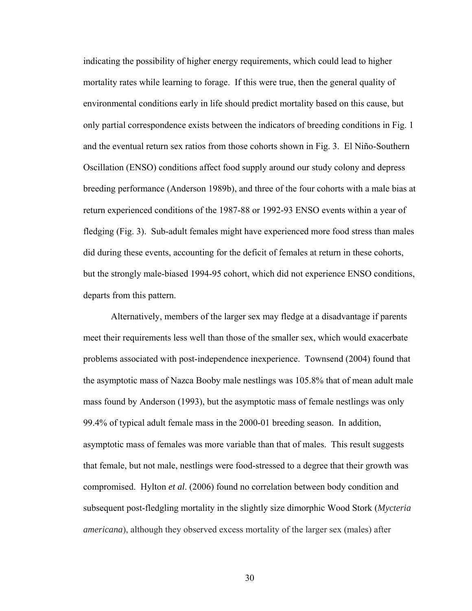indicating the possibility of higher energy requirements, which could lead to higher mortality rates while learning to forage. If this were true, then the general quality of environmental conditions early in life should predict mortality based on this cause, but only partial correspondence exists between the indicators of breeding conditions in Fig. 1 and the eventual return sex ratios from those cohorts shown in Fig. 3. El Niño-Southern Oscillation (ENSO) conditions affect food supply around our study colony and depress breeding performance (Anderson 1989b), and three of the four cohorts with a male bias at return experienced conditions of the 1987-88 or 1992-93 ENSO events within a year of fledging (Fig. 3). Sub-adult females might have experienced more food stress than males did during these events, accounting for the deficit of females at return in these cohorts, but the strongly male-biased 1994-95 cohort, which did not experience ENSO conditions, departs from this pattern.

Alternatively, members of the larger sex may fledge at a disadvantage if parents meet their requirements less well than those of the smaller sex, which would exacerbate problems associated with post-independence inexperience. Townsend (2004) found that the asymptotic mass of Nazca Booby male nestlings was 105.8% that of mean adult male mass found by Anderson (1993), but the asymptotic mass of female nestlings was only 99.4% of typical adult female mass in the 2000-01 breeding season. In addition, asymptotic mass of females was more variable than that of males. This result suggests that female, but not male, nestlings were food-stressed to a degree that their growth was compromised. Hylton *et al*. (2006) found no correlation between body condition and subsequent post-fledgling mortality in the slightly size dimorphic Wood Stork (*Mycteria americana*), although they observed excess mortality of the larger sex (males) after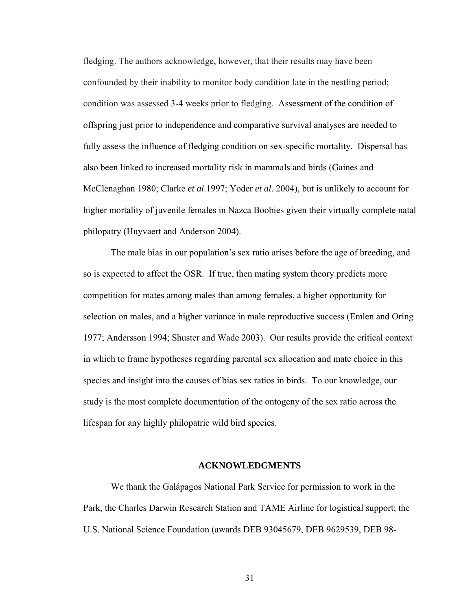fledging. The authors acknowledge, however, that their results may have been confounded by their inability to monitor body condition late in the nestling period; condition was assessed 3-4 weeks prior to fledging. Assessment of the condition of offspring just prior to independence and comparative survival analyses are needed to fully assess the influence of fledging condition on sex-specific mortality. Dispersal has also been linked to increased mortality risk in mammals and birds (Gaines and McClenaghan 1980; Clarke *et al*.1997; Yoder *et al*. 2004), but is unlikely to account for higher mortality of juvenile females in Nazca Boobies given their virtually complete natal philopatry (Huyvaert and Anderson 2004).

The male bias in our population's sex ratio arises before the age of breeding, and so is expected to affect the OSR. If true, then mating system theory predicts more competition for mates among males than among females, a higher opportunity for selection on males, and a higher variance in male reproductive success (Emlen and Oring 1977; Andersson 1994; Shuster and Wade 2003). Our results provide the critical context in which to frame hypotheses regarding parental sex allocation and mate choice in this species and insight into the causes of bias sex ratios in birds. To our knowledge, our study is the most complete documentation of the ontogeny of the sex ratio across the lifespan for any highly philopatric wild bird species.

#### **ACKNOWLEDGMENTS**

We thank the Galápagos National Park Service for permission to work in the Park, the Charles Darwin Research Station and TAME Airline for logistical support; the U.S. National Science Foundation (awards DEB 93045679, DEB 9629539, DEB 98-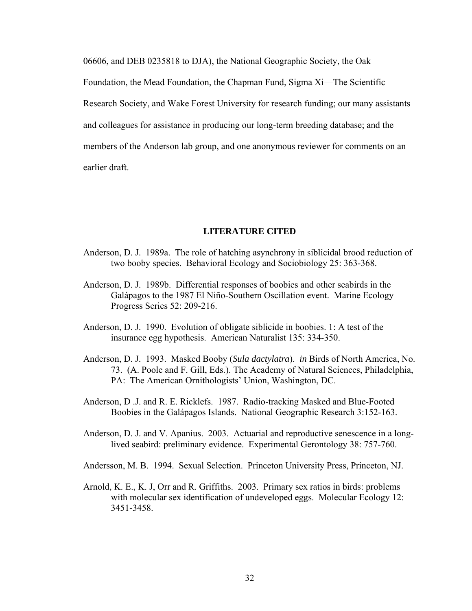06606, and DEB 0235818 to DJA), the National Geographic Society, the Oak Foundation, the Mead Foundation, the Chapman Fund, Sigma Xi—The Scientific Research Society, and Wake Forest University for research funding; our many assistants and colleagues for assistance in producing our long-term breeding database; and the members of the Anderson lab group, and one anonymous reviewer for comments on an earlier draft.

## **LITERATURE CITED**

- Anderson, D. J. 1989a. The role of hatching asynchrony in siblicidal brood reduction of two booby species. Behavioral Ecology and Sociobiology 25: 363-368.
- Anderson, D. J. 1989b. Differential responses of boobies and other seabirds in the Galápagos to the 1987 El Niño-Southern Oscillation event. Marine Ecology Progress Series 52: 209-216.
- Anderson, D. J. 1990. Evolution of obligate siblicide in boobies. 1: A test of the insurance egg hypothesis. American Naturalist 135: 334-350.
- Anderson, D. J. 1993. Masked Booby (*Sula dactylatra*). *in* Birds of North America, No. 73. (A. Poole and F. Gill, Eds.). The Academy of Natural Sciences, Philadelphia, PA: The American Ornithologists' Union, Washington, DC.
- Anderson, D .J. and R. E. Ricklefs. 1987. Radio-tracking Masked and Blue-Footed Boobies in the Galápagos Islands. National Geographic Research 3:152-163.
- Anderson, D. J. and V. Apanius. 2003. Actuarial and reproductive senescence in a long lived seabird: preliminary evidence. Experimental Gerontology 38: 757-760.
- Andersson, M. B. 1994. Sexual Selection. Princeton University Press, Princeton, NJ.
- Arnold, K. E., K. J, Orr and R. Griffiths. 2003. Primary sex ratios in birds: problems with molecular sex identification of undeveloped eggs. Molecular Ecology 12: 3451-3458.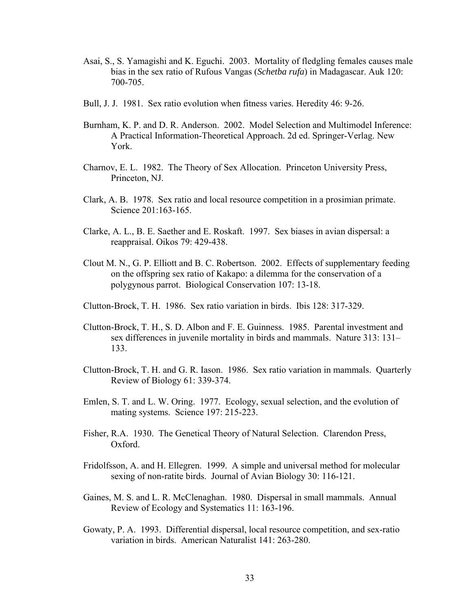- Asai, S., S. Yamagishi and K. Eguchi. 2003. Mortality of fledgling females causes male bias in the sex ratio of Rufous Vangas (*Schetba rufa*) in Madagascar. Auk 120: 700-705.
- Bull, J. J. 1981. Sex ratio evolution when fitness varies. Heredity 46: 9-26.
- Burnham, K. P. and D. R. Anderson. 2002. Model Selection and Multimodel Inference: A Practical Information-Theoretical Approach. 2d ed. Springer-Verlag. New York.
- Charnov, E. L. 1982. The Theory of Sex Allocation. Princeton University Press, Princeton, NJ.
- Clark, A. B. 1978. Sex ratio and local resource competition in a prosimian primate. Science 201:163-165.
- Clarke, A. L., B. E. Saether and E. Roskaft. 1997. Sex biases in avian dispersal: a reappraisal. Oikos 79: 429-438.
- Clout M. N., G. P. Elliott and B. C. Robertson. 2002. Effects of supplementary feeding on the offspring sex ratio of Kakapo: a dilemma for the conservation of a polygynous parrot. Biological Conservation 107: 13-18.
- Clutton-Brock, T. H. 1986. Sex ratio variation in birds. Ibis 128: 317-329.
- Clutton-Brock, T. H., S. D. Albon and F. E. Guinness. 1985. Parental investment and sex differences in juvenile mortality in birds and mammals. Nature 313: 131– 133.
- Clutton-Brock, T. H. and G. R. Iason. 1986. Sex ratio variation in mammals. Quarterly Review of Biology 61: 339-374.
- Emlen, S. T. and L. W. Oring. 1977. Ecology, sexual selection, and the evolution of mating systems. Science 197: 215-223.
- Fisher, R.A. 1930. The Genetical Theory of Natural Selection. Clarendon Press, Oxford.
- Fridolfsson, A. and H. Ellegren. 1999. A simple and universal method for molecular sexing of non-ratite birds. Journal of Avian Biology 30: 116-121.
- Gaines, M. S. and L. R. McClenaghan. 1980. Dispersal in small mammals. Annual Review of Ecology and Systematics 11: 163-196.
- Gowaty, P. A. 1993. Differential dispersal, local resource competition, and sex-ratio variation in birds. American Naturalist 141: 263-280.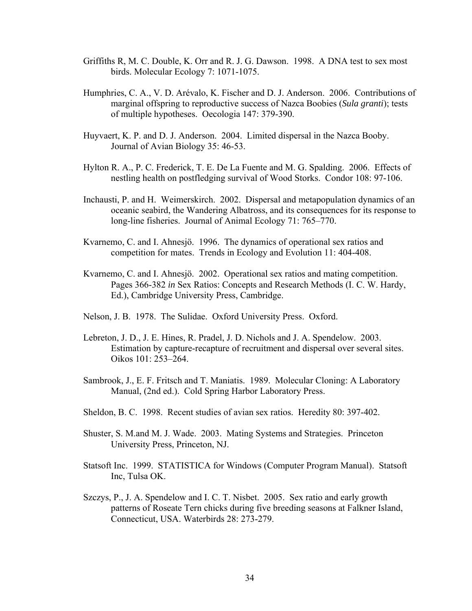- Griffiths R, M. C. Double, K. Orr and R. J. G. Dawson. 1998. A DNA test to sex most birds. Molecular Ecology 7: 1071-1075.
- Humphries, C. A., V. D. Arévalo, K. Fischer and D. J. Anderson. 2006. Contributions of marginal offspring to reproductive success of Nazca Boobies (*Sula granti*); tests of multiple hypotheses. Oecologia 147: 379-390.
- Huyvaert, K. P. and D. J. Anderson. 2004. Limited dispersal in the Nazca Booby. Journal of Avian Biology 35: 46-53.
- Hylton R. A., P. C. Frederick, T. E. De La Fuente and M. G. Spalding. 2006. Effects of nestling health on postfledging survival of Wood Storks. Condor 108: 97-106.
- Inchausti, P. and H. Weimerskirch. 2002. Dispersal and metapopulation dynamics of an oceanic seabird, the Wandering Albatross, and its consequences for its response to long-line fisheries. Journal of Animal Ecology 71: 765–770.
- Kvarnemo, C. and I. Ahnesjö. 1996. The dynamics of operational sex ratios and competition for mates. Trends in Ecology and Evolution 11: 404-408.
- Kvarnemo, C. and I. Ahnesjö. 2002. Operational sex ratios and mating competition. Pages 366-382 *in* Sex Ratios: Concepts and Research Methods (I. C. W. Hardy, Ed.), Cambridge University Press, Cambridge.
- Nelson, J. B. 1978. The Sulidae. Oxford University Press. Oxford.
- Lebreton, J. D., J. E. Hines, R. Pradel, J. D. Nichols and J. A. Spendelow. 2003. Estimation by capture-recapture of recruitment and dispersal over several sites. Oikos 101: 253–264.
- Sambrook, J., E. F. Fritsch and T. Maniatis. 1989. Molecular Cloning: A Laboratory Manual, (2nd ed.). Cold Spring Harbor Laboratory Press.
- Sheldon, B. C. 1998. Recent studies of avian sex ratios. Heredity 80: 397-402.
- Shuster, S. M.and M. J. Wade. 2003. Mating Systems and Strategies. Princeton University Press, Princeton, NJ.
- Statsoft Inc. 1999. STATISTICA for Windows (Computer Program Manual). Statsoft Inc, Tulsa OK.
- Szczys, P., J. A. Spendelow and I. C. T. Nisbet. 2005. Sex ratio and early growth patterns of Roseate Tern chicks during five breeding seasons at Falkner Island, Connecticut, USA. Waterbirds 28: 273-279.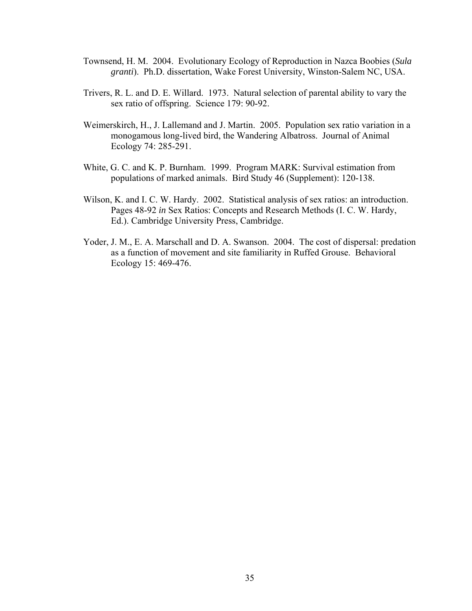- Townsend, H. M. 2004. Evolutionary Ecology of Reproduction in Nazca Boobies (*Sula granti*). Ph.D. dissertation, Wake Forest University, Winston-Salem NC, USA.
- Trivers, R. L. and D. E. Willard. 1973. Natural selection of parental ability to vary the sex ratio of offspring. Science 179: 90-92.
- Weimerskirch, H., J. Lallemand and J. Martin. 2005. Population sex ratio variation in a monogamous long-lived bird, the Wandering Albatross. Journal of Animal Ecology 74: 285-291.
- White, G. C. and K. P. Burnham. 1999. Program MARK: Survival estimation from populations of marked animals. Bird Study 46 (Supplement): 120-138.
- Wilson, K. and I. C. W. Hardy. 2002. Statistical analysis of sex ratios: an introduction. Pages 48-92 *in* Sex Ratios: Concepts and Research Methods (I. C. W. Hardy, Ed.). Cambridge University Press, Cambridge.
- Yoder, J. M., E. A. Marschall and D. A. Swanson. 2004. The cost of dispersal: predation as a function of movement and site familiarity in Ruffed Grouse. Behavioral Ecology 15: 469-476.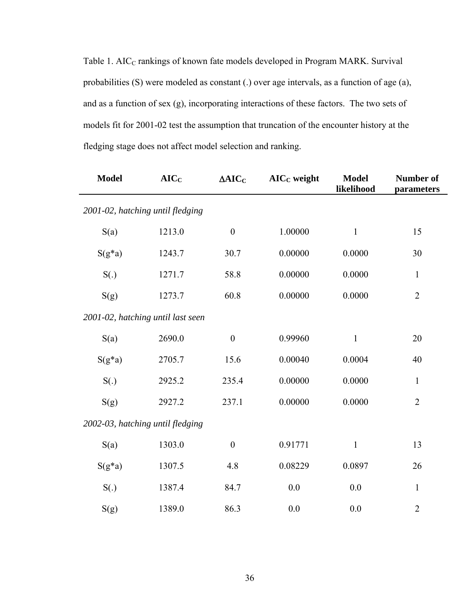Table 1. AIC<sub>C</sub> rankings of known fate models developed in Program MARK. Survival probabilities (S) were modeled as constant (.) over age intervals, as a function of age (a), and as a function of sex (g), incorporating interactions of these factors. The two sets of models fit for 2001-02 test the assumption that truncation of the encounter history at the fledging stage does not affect model selection and ranking.

| <b>Model</b>                      | AIC <sub>C</sub> | $\Delta AIC_C$   | $AICC$ weight | <b>Model</b><br>likelihood | Number of<br>parameters |  |  |  |
|-----------------------------------|------------------|------------------|---------------|----------------------------|-------------------------|--|--|--|
| 2001-02, hatching until fledging  |                  |                  |               |                            |                         |  |  |  |
| S(a)                              | 1213.0           | $\boldsymbol{0}$ | 1.00000       | $\mathbf{1}$               | 15                      |  |  |  |
| $S(g^*a)$                         | 1243.7           | 30.7             | 0.00000       | 0.0000                     | 30                      |  |  |  |
| S(.)                              | 1271.7           | 58.8             | 0.00000       | 0.0000                     | $\mathbf{1}$            |  |  |  |
| S(g)                              | 1273.7           | 60.8             | 0.00000       | 0.0000                     | $\overline{2}$          |  |  |  |
| 2001-02, hatching until last seen |                  |                  |               |                            |                         |  |  |  |
| S(a)                              | 2690.0           | $\boldsymbol{0}$ | 0.99960       | $\mathbf{1}$               | 20                      |  |  |  |
| $S(g^*a)$                         | 2705.7           | 15.6             | 0.00040       | 0.0004                     | 40                      |  |  |  |
| S(.)                              | 2925.2           | 235.4            | 0.00000       | 0.0000                     | $\mathbf{1}$            |  |  |  |
| S(g)                              | 2927.2           | 237.1            | 0.00000       | 0.0000                     | $\overline{2}$          |  |  |  |
| 2002-03, hatching until fledging  |                  |                  |               |                            |                         |  |  |  |
| S(a)                              | 1303.0           | $\mathbf{0}$     | 0.91771       | $\mathbf{1}$               | 13                      |  |  |  |
| $S(g^*a)$                         | 1307.5           | 4.8              | 0.08229       | 0.0897                     | 26                      |  |  |  |
| S(.)                              | 1387.4           | 84.7             | 0.0           | 0.0                        | $\mathbf{1}$            |  |  |  |
| S(g)                              | 1389.0           | 86.3             | 0.0           | 0.0                        | $\overline{2}$          |  |  |  |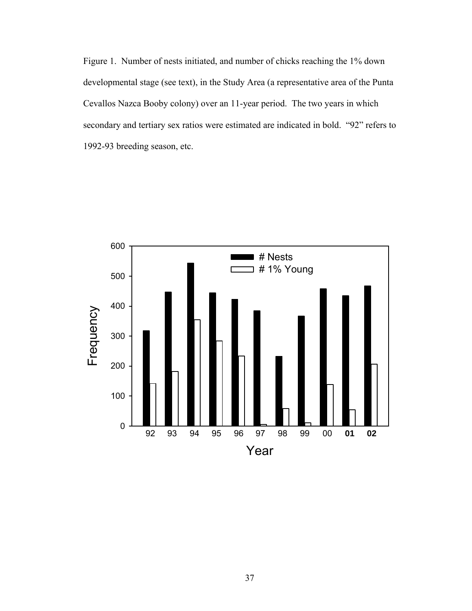Figure 1. Number of nests initiated, and number of chicks reaching the 1% down developmental stage (see text), in the Study Area (a representative area of the Punta Cevallos Nazca Booby colony) over an 11-year period. The two years in which secondary and tertiary sex ratios were estimated are indicated in bold. "92" refers to 1992-93 breeding season, etc.

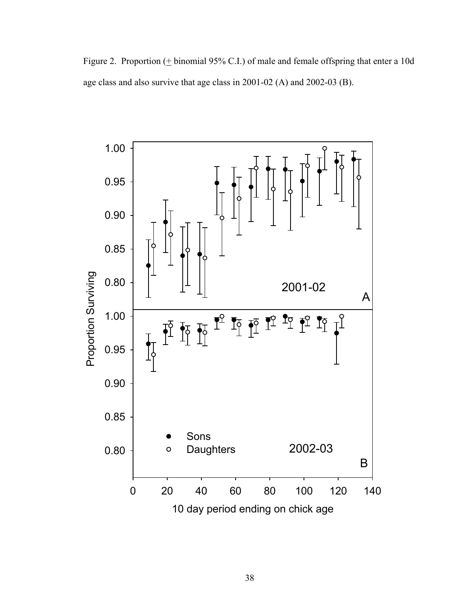Figure 2. Proportion  $($  + binomial 95% C.I.) of male and female offspring that enter a 10d age class and also survive that age class in 2001-02 (A) and 2002-03 (B).

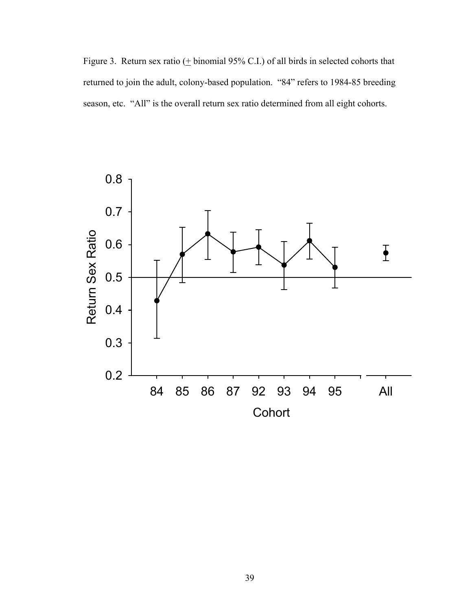Figure 3. Return sex ratio  $(± binomial 95\% C.I.)$  of all birds in selected cohorts that returned to join the adult, colony-based population. "84" refers to 1984-85 breeding season, etc. "All" is the overall return sex ratio determined from all eight cohorts.

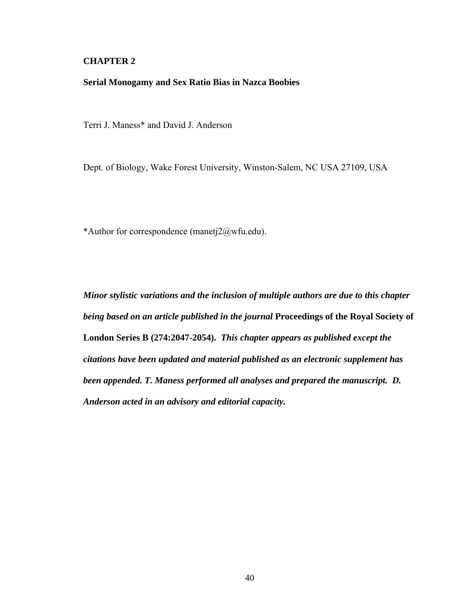# **CHAPTER 2**

## **Serial Monogamy and Sex Ratio Bias in Nazca Boobies**

Terri J. Maness\* and David J. Anderson

Dept. of Biology, Wake Forest University, Winston-Salem, NC USA 27109, USA

\*Author for correspondence (manetj2@wfu.edu).

*Minor stylistic variations and the inclusion of multiple authors are due to this chapter being based on an article published in the journal* **Proceedings of the Royal Society of London Series B (274:2047-2054).** *This chapter appears as published except the citations have been updated and material published as an electronic supplement has been appended. T. Maness performed all analyses and prepared the manuscript. D. Anderson acted in an advisory and editorial capacity.*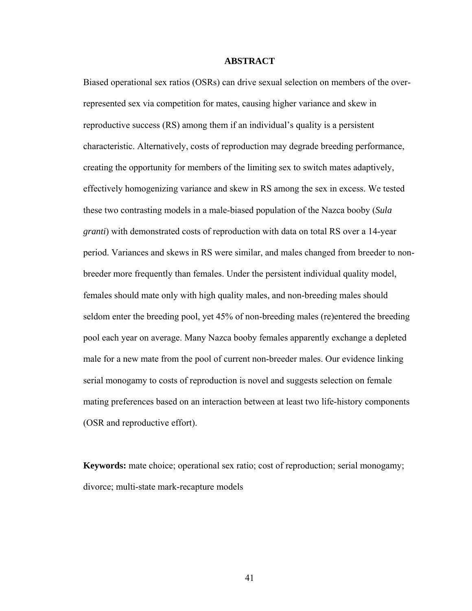### **ABSTRACT**

Biased operational sex ratios (OSRs) can drive sexual selection on members of the overrepresented sex via competition for mates, causing higher variance and skew in reproductive success (RS) among them if an individual's quality is a persistent characteristic. Alternatively, costs of reproduction may degrade breeding performance, creating the opportunity for members of the limiting sex to switch mates adaptively, effectively homogenizing variance and skew in RS among the sex in excess. We tested these two contrasting models in a male-biased population of the Nazca booby (*Sula granti*) with demonstrated costs of reproduction with data on total RS over a 14-year period. Variances and skews in RS were similar, and males changed from breeder to nonbreeder more frequently than females. Under the persistent individual quality model, females should mate only with high quality males, and non-breeding males should seldom enter the breeding pool, yet 45% of non-breeding males (re)entered the breeding pool each year on average. Many Nazca booby females apparently exchange a depleted male for a new mate from the pool of current non-breeder males. Our evidence linking serial monogamy to costs of reproduction is novel and suggests selection on female mating preferences based on an interaction between at least two life-history components (OSR and reproductive effort).

**Keywords:** mate choice; operational sex ratio; cost of reproduction; serial monogamy; divorce; multi-state mark-recapture models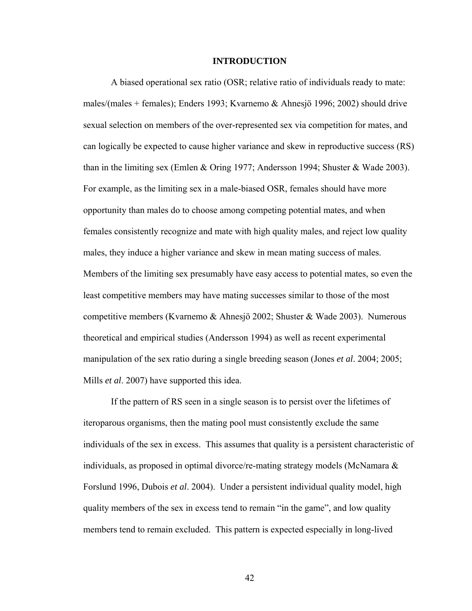#### **INTRODUCTION**

A biased operational sex ratio (OSR; relative ratio of individuals ready to mate: males/(males + females); Enders 1993; Kvarnemo & Ahnesjö 1996; 2002) should drive sexual selection on members of the over-represented sex via competition for mates, and can logically be expected to cause higher variance and skew in reproductive success (RS) than in the limiting sex (Emlen & Oring 1977; Andersson 1994; Shuster & Wade 2003). For example, as the limiting sex in a male-biased OSR, females should have more opportunity than males do to choose among competing potential mates, and when females consistently recognize and mate with high quality males, and reject low quality males, they induce a higher variance and skew in mean mating success of males. Members of the limiting sex presumably have easy access to potential mates, so even the least competitive members may have mating successes similar to those of the most competitive members (Kvarnemo & Ahnesjö 2002; Shuster & Wade 2003). Numerous theoretical and empirical studies (Andersson 1994) as well as recent experimental manipulation of the sex ratio during a single breeding season (Jones *et al*. 2004; 2005; Mills *et al*. 2007) have supported this idea.

If the pattern of RS seen in a single season is to persist over the lifetimes of iteroparous organisms, then the mating pool must consistently exclude the same individuals of the sex in excess. This assumes that quality is a persistent characteristic of individuals, as proposed in optimal divorce/re-mating strategy models (McNamara  $\&$ Forslund 1996, Dubois *et al*. 2004). Under a persistent individual quality model, high quality members of the sex in excess tend to remain "in the game", and low quality members tend to remain excluded. This pattern is expected especially in long-lived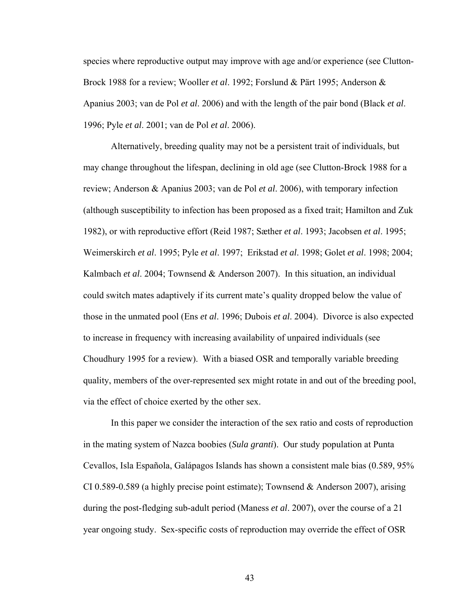species where reproductive output may improve with age and/or experience (see Clutton-Brock 1988 for a review; Wooller *et al*. 1992; Forslund & Pärt 1995; Anderson & Apanius 2003; van de Pol *et al*. 2006) and with the length of the pair bond (Black *et al*. 1996; Pyle *et al*. 2001; van de Pol *et al*. 2006).

Alternatively, breeding quality may not be a persistent trait of individuals, but may change throughout the lifespan, declining in old age (see Clutton-Brock 1988 for a review; Anderson & Apanius 2003; van de Pol *et al*. 2006), with temporary infection (although susceptibility to infection has been proposed as a fixed trait; Hamilton and Zuk 1982), or with reproductive effort (Reid 1987; Sæther *et al*. 1993; Jacobsen *et al*. 1995; Weimerskirch *et al*. 1995; Pyle *et al*. 1997; Erikstad *et al*. 1998; Golet *et al*. 1998; 2004; Kalmbach *et al*. 2004; Townsend & Anderson 2007). In this situation, an individual could switch mates adaptively if its current mate's quality dropped below the value of those in the unmated pool (Ens *et al*. 1996; Dubois *et al*. 2004). Divorce is also expected to increase in frequency with increasing availability of unpaired individuals (see Choudhury 1995 for a review). With a biased OSR and temporally variable breeding quality, members of the over-represented sex might rotate in and out of the breeding pool, via the effect of choice exerted by the other sex.

In this paper we consider the interaction of the sex ratio and costs of reproduction in the mating system of Nazca boobies (*Sula granti*). Our study population at Punta Cevallos, Isla Española, Galápagos Islands has shown a consistent male bias (0.589, 95% CI 0.589-0.589 (a highly precise point estimate); Townsend & Anderson 2007), arising during the post-fledging sub-adult period (Maness *et al*. 2007), over the course of a 21 year ongoing study. Sex-specific costs of reproduction may override the effect of OSR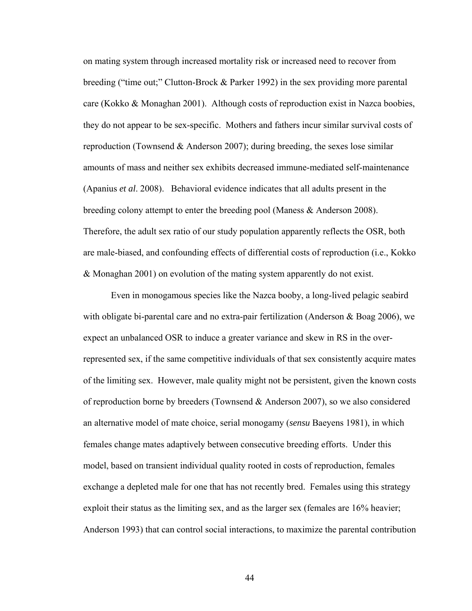on mating system through increased mortality risk or increased need to recover from breeding ("time out;" Clutton-Brock & Parker 1992) in the sex providing more parental care (Kokko & Monaghan 2001). Although costs of reproduction exist in Nazca boobies, they do not appear to be sex-specific. Mothers and fathers incur similar survival costs of reproduction (Townsend  $&$  Anderson 2007); during breeding, the sexes lose similar amounts of mass and neither sex exhibits decreased immune-mediated self-maintenance (Apanius *et al*. 2008). Behavioral evidence indicates that all adults present in the breeding colony attempt to enter the breeding pool (Maness & Anderson 2008). Therefore, the adult sex ratio of our study population apparently reflects the OSR, both are male-biased, and confounding effects of differential costs of reproduction (i.e., Kokko & Monaghan 2001) on evolution of the mating system apparently do not exist.

Even in monogamous species like the Nazca booby, a long-lived pelagic seabird with obligate bi-parental care and no extra-pair fertilization (Anderson & Boag 2006), we expect an unbalanced OSR to induce a greater variance and skew in RS in the overrepresented sex, if the same competitive individuals of that sex consistently acquire mates of the limiting sex. However, male quality might not be persistent, given the known costs of reproduction borne by breeders (Townsend & Anderson 2007), so we also considered an alternative model of mate choice, serial monogamy (*sensu* Baeyens 1981), in which females change mates adaptively between consecutive breeding efforts. Under this model, based on transient individual quality rooted in costs of reproduction, females exchange a depleted male for one that has not recently bred. Females using this strategy exploit their status as the limiting sex, and as the larger sex (females are 16% heavier; Anderson 1993) that can control social interactions, to maximize the parental contribution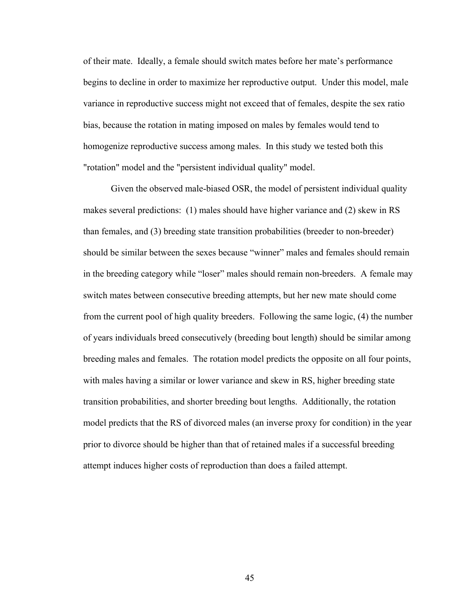of their mate. Ideally, a female should switch mates before her mate's performance begins to decline in order to maximize her reproductive output. Under this model, male variance in reproductive success might not exceed that of females, despite the sex ratio bias, because the rotation in mating imposed on males by females would tend to homogenize reproductive success among males. In this study we tested both this "rotation" model and the "persistent individual quality" model.

Given the observed male-biased OSR, the model of persistent individual quality makes several predictions: (1) males should have higher variance and (2) skew in RS than females, and (3) breeding state transition probabilities (breeder to non-breeder) should be similar between the sexes because "winner" males and females should remain in the breeding category while "loser" males should remain non-breeders. A female may switch mates between consecutive breeding attempts, but her new mate should come from the current pool of high quality breeders. Following the same logic, (4) the number of years individuals breed consecutively (breeding bout length) should be similar among breeding males and females. The rotation model predicts the opposite on all four points, with males having a similar or lower variance and skew in RS, higher breeding state transition probabilities, and shorter breeding bout lengths. Additionally, the rotation model predicts that the RS of divorced males (an inverse proxy for condition) in the year prior to divorce should be higher than that of retained males if a successful breeding attempt induces higher costs of reproduction than does a failed attempt.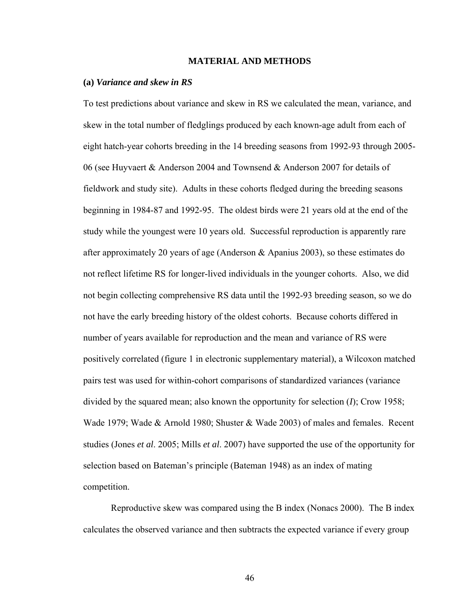### **MATERIAL AND METHODS**

#### **(a)** *Variance and skew in RS*

To test predictions about variance and skew in RS we calculated the mean, variance, and skew in the total number of fledglings produced by each known-age adult from each of eight hatch-year cohorts breeding in the 14 breeding seasons from 1992-93 through 2005- 06 (see Huyvaert & Anderson 2004 and Townsend & Anderson 2007 for details of fieldwork and study site). Adults in these cohorts fledged during the breeding seasons beginning in 1984-87 and 1992-95. The oldest birds were 21 years old at the end of the study while the youngest were 10 years old. Successful reproduction is apparently rare after approximately 20 years of age (Anderson & Apanius 2003), so these estimates do not reflect lifetime RS for longer-lived individuals in the younger cohorts. Also, we did not begin collecting comprehensive RS data until the 1992-93 breeding season, so we do not have the early breeding history of the oldest cohorts. Because cohorts differed in number of years available for reproduction and the mean and variance of RS were positively correlated (figure 1 in electronic supplementary material), a Wilcoxon matched pairs test was used for within-cohort comparisons of standardized variances (variance divided by the squared mean; also known the opportunity for selection (*I*); Crow 1958; Wade 1979; Wade & Arnold 1980; Shuster & Wade 2003) of males and females. Recent studies (Jones *et al*. 2005; Mills *et al*. 2007) have supported the use of the opportunity for selection based on Bateman's principle (Bateman 1948) as an index of mating competition.

Reproductive skew was compared using the B index (Nonacs 2000). The B index calculates the observed variance and then subtracts the expected variance if every group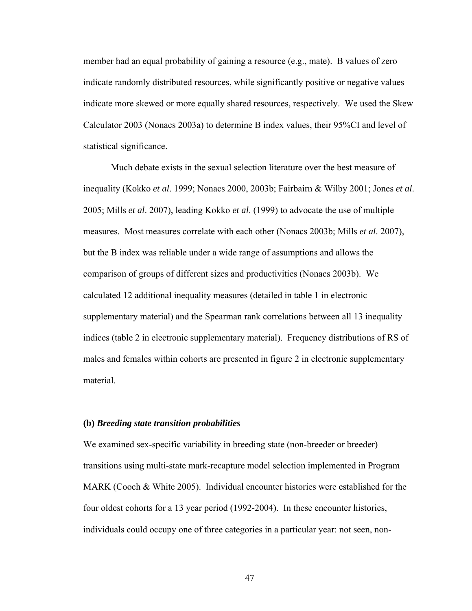member had an equal probability of gaining a resource (e.g., mate). B values of zero indicate randomly distributed resources, while significantly positive or negative values indicate more skewed or more equally shared resources, respectively. We used the Skew Calculator 2003 (Nonacs 2003a) to determine B index values, their 95%CI and level of statistical significance.

Much debate exists in the sexual selection literature over the best measure of inequality (Kokko *et al*. 1999; Nonacs 2000, 2003b; Fairbairn & Wilby 2001; Jones *et al*. 2005; Mills *et al*. 2007), leading Kokko *et al*. (1999) to advocate the use of multiple measures. Most measures correlate with each other (Nonacs 2003b; Mills *et al*. 2007), but the B index was reliable under a wide range of assumptions and allows the comparison of groups of different sizes and productivities (Nonacs 2003b). We calculated 12 additional inequality measures (detailed in table 1 in electronic supplementary material) and the Spearman rank correlations between all 13 inequality indices (table 2 in electronic supplementary material). Frequency distributions of RS of males and females within cohorts are presented in figure 2 in electronic supplementary material.

#### **(b)** *Breeding state transition probabilities*

We examined sex-specific variability in breeding state (non-breeder or breeder) transitions using multi-state mark-recapture model selection implemented in Program MARK (Cooch & White 2005). Individual encounter histories were established for the four oldest cohorts for a 13 year period (1992-2004). In these encounter histories, individuals could occupy one of three categories in a particular year: not seen, non-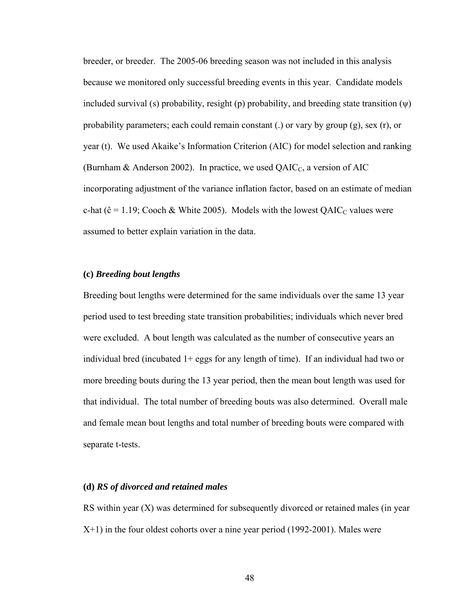breeder, or breeder. The 2005-06 breeding season was not included in this analysis because we monitored only successful breeding events in this year. Candidate models included survival (s) probability, resight (p) probability, and breeding state transition  $(\psi)$ probability parameters; each could remain constant (.) or vary by group (g), sex (r), or year (t). We used Akaike's Information Criterion (AIC) for model selection and ranking (Burnham & Anderson 2002). In practice, we used  $QAIC<sub>C</sub>$ , a version of AIC incorporating adjustment of the variance inflation factor, based on an estimate of median c-hat ( $\hat{c}$  = 1.19; Cooch & White 2005). Models with the lowest QAIC<sub>C</sub> values were assumed to better explain variation in the data.

## **(c)** *Breeding bout lengths*

Breeding bout lengths were determined for the same individuals over the same 13 year period used to test breeding state transition probabilities; individuals which never bred were excluded. A bout length was calculated as the number of consecutive years an individual bred (incubated  $1+$  eggs for any length of time). If an individual had two or more breeding bouts during the 13 year period, then the mean bout length was used for that individual. The total number of breeding bouts was also determined. Overall male and female mean bout lengths and total number of breeding bouts were compared with separate t-tests.

## **(d)** *RS of divorced and retained males*

RS within year (X) was determined for subsequently divorced or retained males (in year X+1) in the four oldest cohorts over a nine year period (1992-2001). Males were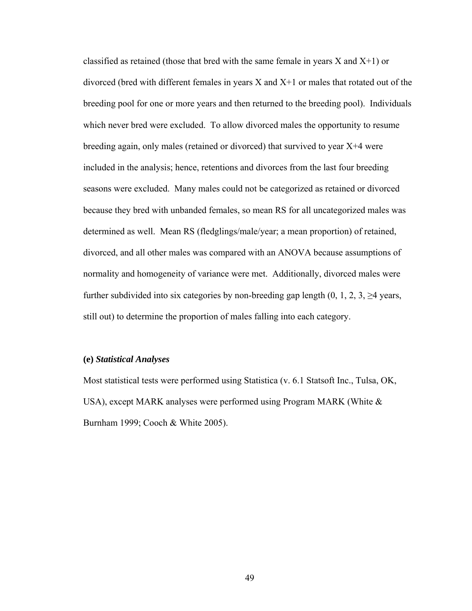classified as retained (those that bred with the same female in years  $X$  and  $X+1$ ) or divorced (bred with different females in years X and X+1 or males that rotated out of the breeding pool for one or more years and then returned to the breeding pool). Individuals which never bred were excluded. To allow divorced males the opportunity to resume breeding again, only males (retained or divorced) that survived to year X+4 were included in the analysis; hence, retentions and divorces from the last four breeding seasons were excluded. Many males could not be categorized as retained or divorced because they bred with unbanded females, so mean RS for all uncategorized males was determined as well. Mean RS (fledglings/male/year; a mean proportion) of retained, divorced, and all other males was compared with an ANOVA because assumptions of normality and homogeneity of variance were met. Additionally, divorced males were further subdivided into six categories by non-breeding gap length  $(0, 1, 2, 3, \geq 4$  years, still out) to determine the proportion of males falling into each category.

## **(e)** *Statistical Analyses*

Most statistical tests were performed using Statistica (v. 6.1 Statsoft Inc., Tulsa, OK, USA), except MARK analyses were performed using Program MARK (White  $\&$ Burnham 1999; Cooch & White 2005).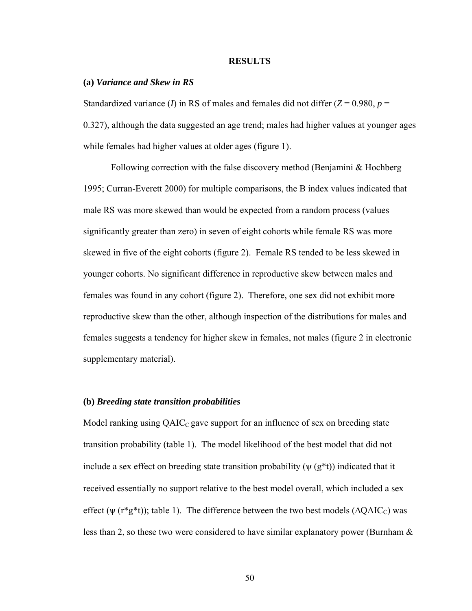#### **RESULTS**

### **(a)** *Variance and Skew in RS*

Standardized variance (*I*) in RS of males and females did not differ  $(Z = 0.980, p =$ 0.327), although the data suggested an age trend; males had higher values at younger ages while females had higher values at older ages (figure 1).

 Following correction with the false discovery method (Benjamini & Hochberg 1995; Curran-Everett 2000) for multiple comparisons, the B index values indicated that male RS was more skewed than would be expected from a random process (values significantly greater than zero) in seven of eight cohorts while female RS was more skewed in five of the eight cohorts (figure 2). Female RS tended to be less skewed in younger cohorts. No significant difference in reproductive skew between males and females was found in any cohort (figure 2). Therefore, one sex did not exhibit more reproductive skew than the other, although inspection of the distributions for males and females suggests a tendency for higher skew in females, not males (figure 2 in electronic supplementary material).

### **(b)** *Breeding state transition probabilities*

Model ranking using  $QAIC_{C}$  gave support for an influence of sex on breeding state transition probability (table 1). The model likelihood of the best model that did not include a sex effect on breeding state transition probability  $(\psi(g^*t))$  indicated that it received essentially no support relative to the best model overall, which included a sex effect ( $\psi$  (r\*g\*t)); table 1). The difference between the two best models ( $\Delta QAIC_C$ ) was less than 2, so these two were considered to have similar explanatory power (Burnham &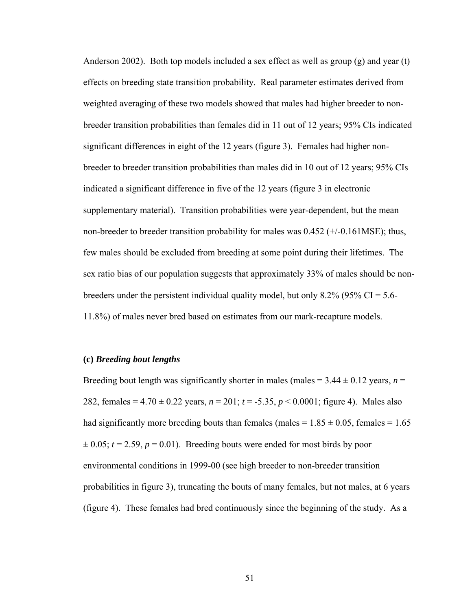Anderson 2002). Both top models included a sex effect as well as group  $(g)$  and year  $(t)$ effects on breeding state transition probability. Real parameter estimates derived from weighted averaging of these two models showed that males had higher breeder to nonbreeder transition probabilities than females did in 11 out of 12 years; 95% CIs indicated significant differences in eight of the 12 years (figure 3). Females had higher nonbreeder to breeder transition probabilities than males did in 10 out of 12 years; 95% CIs indicated a significant difference in five of the 12 years (figure 3 in electronic supplementary material). Transition probabilities were year-dependent, but the mean non-breeder to breeder transition probability for males was 0.452 (+/-0.161MSE); thus, few males should be excluded from breeding at some point during their lifetimes. The sex ratio bias of our population suggests that approximately 33% of males should be nonbreeders under the persistent individual quality model, but only 8.2% (95% CI = 5.6-11.8%) of males never bred based on estimates from our mark-recapture models.

## **(c)** *Breeding bout lengths*

Breeding bout length was significantly shorter in males (males  $= 3.44 \pm 0.12$  years,  $n =$ 282, females =  $4.70 \pm 0.22$  years,  $n = 201$ ;  $t = -5.35$ ,  $p < 0.0001$ ; figure 4). Males also had significantly more breeding bouts than females (males =  $1.85 \pm 0.05$ , females =  $1.65$ )  $\pm 0.05$ ;  $t = 2.59$ ,  $p = 0.01$ ). Breeding bouts were ended for most birds by poor environmental conditions in 1999-00 (see high breeder to non-breeder transition probabilities in figure 3), truncating the bouts of many females, but not males, at 6 years (figure 4). These females had bred continuously since the beginning of the study. As a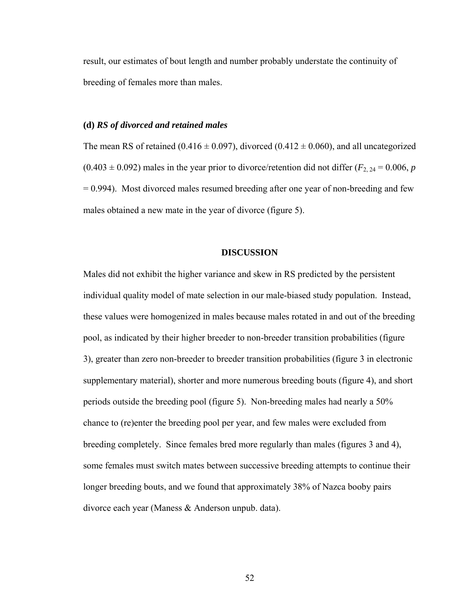result, our estimates of bout length and number probably understate the continuity of breeding of females more than males.

## **(d)** *RS of divorced and retained males*

The mean RS of retained (0.416  $\pm$  0.097), divorced (0.412  $\pm$  0.060), and all uncategorized  $(0.403 \pm 0.092)$  males in the year prior to divorce/retention did not differ  $(F_{2, 24} = 0.006, p$  $= 0.994$ ). Most divorced males resumed breeding after one year of non-breeding and few males obtained a new mate in the year of divorce (figure 5).

### **DISCUSSION**

Males did not exhibit the higher variance and skew in RS predicted by the persistent individual quality model of mate selection in our male-biased study population. Instead, these values were homogenized in males because males rotated in and out of the breeding pool, as indicated by their higher breeder to non-breeder transition probabilities (figure 3), greater than zero non-breeder to breeder transition probabilities (figure 3 in electronic supplementary material), shorter and more numerous breeding bouts (figure 4), and short periods outside the breeding pool (figure 5). Non-breeding males had nearly a 50% chance to (re)enter the breeding pool per year, and few males were excluded from breeding completely. Since females bred more regularly than males (figures 3 and 4), some females must switch mates between successive breeding attempts to continue their longer breeding bouts, and we found that approximately 38% of Nazca booby pairs divorce each year (Maness & Anderson unpub. data).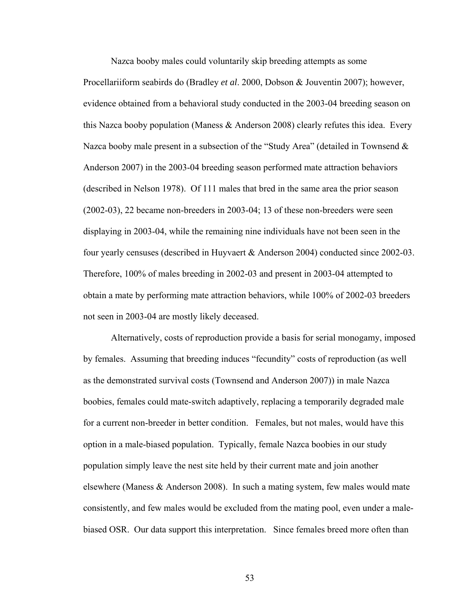Nazca booby males could voluntarily skip breeding attempts as some Procellariiform seabirds do (Bradley *et al*. 2000, Dobson & Jouventin 2007); however, evidence obtained from a behavioral study conducted in the 2003-04 breeding season on this Nazca booby population (Maness  $&$  Anderson 2008) clearly refutes this idea. Every Nazca booby male present in a subsection of the "Study Area" (detailed in Townsend & Anderson 2007) in the 2003-04 breeding season performed mate attraction behaviors (described in Nelson 1978). Of 111 males that bred in the same area the prior season (2002-03), 22 became non-breeders in 2003-04; 13 of these non-breeders were seen displaying in 2003-04, while the remaining nine individuals have not been seen in the four yearly censuses (described in Huyvaert & Anderson 2004) conducted since 2002-03. Therefore, 100% of males breeding in 2002-03 and present in 2003-04 attempted to obtain a mate by performing mate attraction behaviors, while 100% of 2002-03 breeders not seen in 2003-04 are mostly likely deceased.

Alternatively, costs of reproduction provide a basis for serial monogamy, imposed by females. Assuming that breeding induces "fecundity" costs of reproduction (as well as the demonstrated survival costs (Townsend and Anderson 2007)) in male Nazca boobies, females could mate-switch adaptively, replacing a temporarily degraded male for a current non-breeder in better condition. Females, but not males, would have this option in a male-biased population. Typically, female Nazca boobies in our study population simply leave the nest site held by their current mate and join another elsewhere (Maness & Anderson 2008). In such a mating system, few males would mate consistently, and few males would be excluded from the mating pool, even under a malebiased OSR. Our data support this interpretation. Since females breed more often than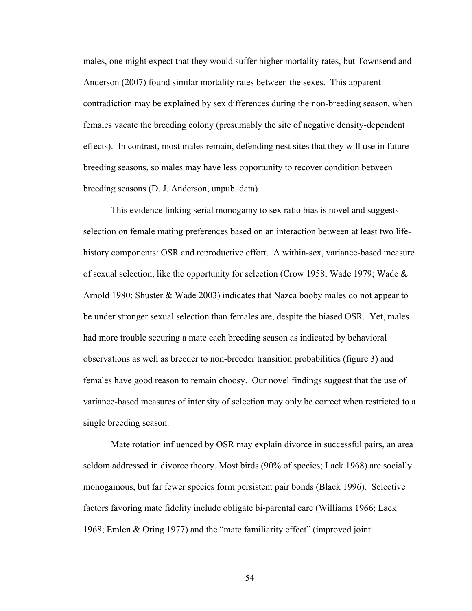males, one might expect that they would suffer higher mortality rates, but Townsend and Anderson (2007) found similar mortality rates between the sexes. This apparent contradiction may be explained by sex differences during the non-breeding season, when females vacate the breeding colony (presumably the site of negative density-dependent effects). In contrast, most males remain, defending nest sites that they will use in future breeding seasons, so males may have less opportunity to recover condition between breeding seasons (D. J. Anderson, unpub. data).

This evidence linking serial monogamy to sex ratio bias is novel and suggests selection on female mating preferences based on an interaction between at least two lifehistory components: OSR and reproductive effort. A within-sex, variance-based measure of sexual selection, like the opportunity for selection (Crow 1958; Wade 1979; Wade  $\&$ Arnold 1980; Shuster & Wade 2003) indicates that Nazca booby males do not appear to be under stronger sexual selection than females are, despite the biased OSR. Yet, males had more trouble securing a mate each breeding season as indicated by behavioral observations as well as breeder to non-breeder transition probabilities (figure 3) and females have good reason to remain choosy. Our novel findings suggest that the use of variance-based measures of intensity of selection may only be correct when restricted to a single breeding season.

Mate rotation influenced by OSR may explain divorce in successful pairs, an area seldom addressed in divorce theory. Most birds (90% of species; Lack 1968) are socially monogamous, but far fewer species form persistent pair bonds (Black 1996). Selective factors favoring mate fidelity include obligate bi-parental care (Williams 1966; Lack 1968; Emlen & Oring 1977) and the "mate familiarity effect" (improved joint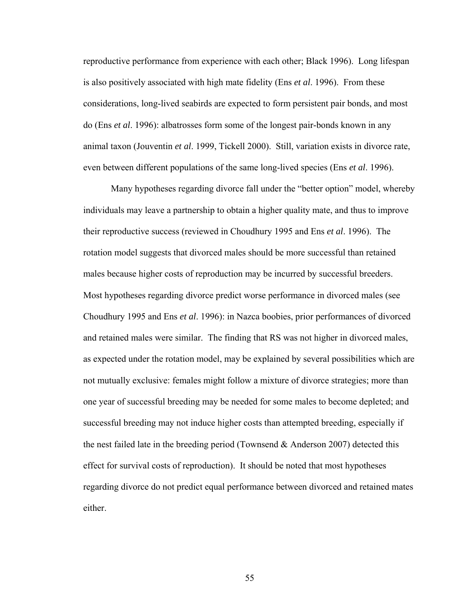reproductive performance from experience with each other; Black 1996). Long lifespan is also positively associated with high mate fidelity (Ens *et al*. 1996). From these considerations, long-lived seabirds are expected to form persistent pair bonds, and most do (Ens *et al*. 1996): albatrosses form some of the longest pair-bonds known in any animal taxon (Jouventin *et al*. 1999, Tickell 2000). Still, variation exists in divorce rate, even between different populations of the same long-lived species (Ens *et al*. 1996).

Many hypotheses regarding divorce fall under the "better option" model, whereby individuals may leave a partnership to obtain a higher quality mate, and thus to improve their reproductive success (reviewed in Choudhury 1995 and Ens *et al*. 1996). The rotation model suggests that divorced males should be more successful than retained males because higher costs of reproduction may be incurred by successful breeders. Most hypotheses regarding divorce predict worse performance in divorced males (see Choudhury 1995 and Ens *et al*. 1996): in Nazca boobies, prior performances of divorced and retained males were similar. The finding that RS was not higher in divorced males, as expected under the rotation model, may be explained by several possibilities which are not mutually exclusive: females might follow a mixture of divorce strategies; more than one year of successful breeding may be needed for some males to become depleted; and successful breeding may not induce higher costs than attempted breeding, especially if the nest failed late in the breeding period (Townsend  $\&$  Anderson 2007) detected this effect for survival costs of reproduction). It should be noted that most hypotheses regarding divorce do not predict equal performance between divorced and retained mates either.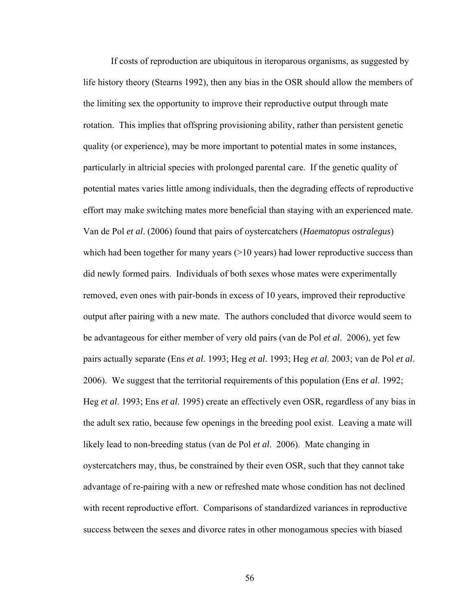If costs of reproduction are ubiquitous in iteroparous organisms, as suggested by life history theory (Stearns 1992), then any bias in the OSR should allow the members of the limiting sex the opportunity to improve their reproductive output through mate rotation. This implies that offspring provisioning ability, rather than persistent genetic quality (or experience), may be more important to potential mates in some instances, particularly in altricial species with prolonged parental care. If the genetic quality of potential mates varies little among individuals, then the degrading effects of reproductive effort may make switching mates more beneficial than staying with an experienced mate. Van de Pol *et al*. (2006) found that pairs of oystercatchers (*Haematopus ostralegus*) which had been together for many years  $(>=10$  years) had lower reproductive success than did newly formed pairs. Individuals of both sexes whose mates were experimentally removed, even ones with pair-bonds in excess of 10 years, improved their reproductive output after pairing with a new mate. The authors concluded that divorce would seem to be advantageous for either member of very old pairs (van de Pol *et al*. 2006), yet few pairs actually separate (Ens *et al*. 1993; Heg *et al*. 1993; Heg *et al*. 2003; van de Pol *et al*. 2006). We suggest that the territorial requirements of this population (Ens e*t al*. 1992; Heg *et al*. 1993; Ens *et al*. 1995) create an effectively even OSR, regardless of any bias in the adult sex ratio, because few openings in the breeding pool exist. Leaving a mate will likely lead to non-breeding status (van de Pol *et al*. 2006). Mate changing in oystercatchers may, thus, be constrained by their even OSR, such that they cannot take advantage of re-pairing with a new or refreshed mate whose condition has not declined with recent reproductive effort. Comparisons of standardized variances in reproductive success between the sexes and divorce rates in other monogamous species with biased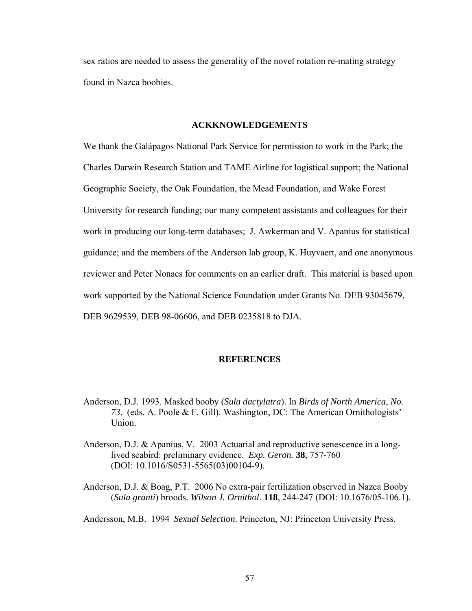sex ratios are needed to assess the generality of the novel rotation re-mating strategy found in Nazca boobies.

### **ACKKNOWLEDGEMENTS**

We thank the Galápagos National Park Service for permission to work in the Park; the Charles Darwin Research Station and TAME Airline for logistical support; the National Geographic Society, the Oak Foundation, the Mead Foundation, and Wake Forest University for research funding; our many competent assistants and colleagues for their work in producing our long-term databases; J. Awkerman and V. Apanius for statistical guidance; and the members of the Anderson lab group, K. Huyvaert, and one anonymous reviewer and Peter Nonacs for comments on an earlier draft. This material is based upon work supported by the National Science Foundation under Grants No. DEB 93045679, DEB 9629539, DEB 98-06606, and DEB 0235818 to DJA.

## **REFERENCES**

- Anderson, D.J. 1993. Masked booby (*Sula dactylatra*). In *Birds of North America*, *No. 73*. (eds. A. Poole & F. Gill). Washington, DC: The American Ornithologists' Union.
- Anderson, D.J. & Apanius, V. 2003 Actuarial and reproductive senescence in a long lived seabird: preliminary evidence. *Exp. Geron.* **38**, 757-760 (DOI: 10.1016/S0531-5565(03)00104-9).
- Anderson, D.J. & Boag, P.T. 2006 No extra-pair fertilization observed in Nazca Booby (*Sula granti*) broods. *Wilson J. Ornithol*. **118**, 244-247 (DOI: 10.1676/05-106.1).

Andersson, M.B. 1994 *Sexual Selection*. Princeton, NJ: Princeton University Press.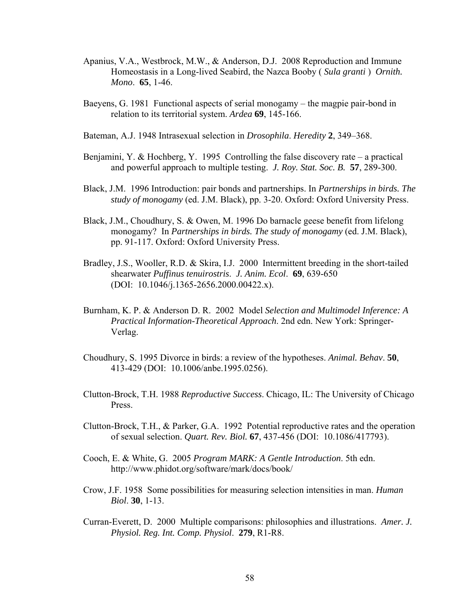- Apanius, V.A., Westbrock, M.W., & Anderson, D.J. 2008 Reproduction and Immune Homeostasis in a Long-lived Seabird, the Nazca Booby ( *Sula granti* ) *Ornith. Mono*. **65**, 1-46.
- Baeyens, G. 1981 Functional aspects of serial monogamy the magpie pair-bond in relation to its territorial system. *Ardea* **69**, 145-166.
- Bateman, A.J. 1948 Intrasexual selection in *Drosophila*. *Heredity* **2**, 349–368.
- Benjamini, Y. & Hochberg, Y. 1995 Controlling the false discovery rate a practical and powerful approach to multiple testing. *J. Roy. Stat. Soc. B.* **57**, 289-300.
- Black, J.M. 1996 Introduction: pair bonds and partnerships. In *Partnerships in birds. The study of monogamy* (ed. J.M. Black), pp. 3-20. Oxford: Oxford University Press.
- Black, J.M., Choudhury, S. & Owen, M. 1996 Do barnacle geese benefit from lifelong monogamy? In *Partnerships in birds. The study of monogamy* (ed. J.M. Black), pp. 91-117. Oxford: Oxford University Press.
- Bradley, J.S., Wooller, R.D. & Skira, I.J. 2000 Intermittent breeding in the short-tailed shearwater *Puffinus tenuirostris*. *J. Anim. Ecol*. **69**, 639-650 (DOI: 10.1046/j.1365-2656.2000.00422.x).
- Burnham, K. P. & Anderson D. R. 2002 Model *Selection and Multimodel Inference: A Practical Information-Theoretical Approach*. 2nd edn. New York: Springer-Verlag.
- Choudhury, S. 1995 Divorce in birds: a review of the hypotheses. *Animal. Behav*. **50**, 413-429 (DOI: 10.1006/anbe.1995.0256).
- Clutton-Brock, T.H. 1988 *Reproductive Success*. Chicago, IL: The University of Chicago Press.
- Clutton-Brock, T.H., & Parker, G.A. 1992 Potential reproductive rates and the operation of sexual selection. *Quart. Rev. Biol.* **67**, 437-456 (DOI: 10.1086/417793).
- Cooch, E. & White, G. 2005 *Program MARK: A Gentle Introduction*. 5th edn. http://www.phidot.org/software/mark/docs/book/
- Crow, J.F. 1958 Some possibilities for measuring selection intensities in man. *Human Biol*. **30**, 1-13.
- Curran-Everett, D. 2000 Multiple comparisons: philosophies and illustrations. *Amer. J. Physiol. Reg. Int. Comp. Physiol*. **279**, R1-R8.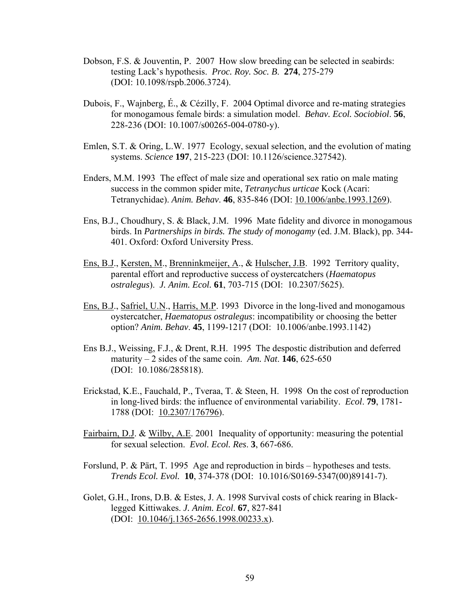- Dobson, F.S. & Jouventin, P. 2007 How slow breeding can be selected in seabirds: testing Lack's hypothesis. *Proc. Roy. Soc. B*. **274**, 275-279 (DOI: 10.1098/rspb.2006.3724).
- Dubois, F., Wajnberg, É., & Cézilly, F. 2004 Optimal divorce and re-mating strategies for monogamous female birds: a simulation model. *Behav. Ecol. Sociobiol*. **56**, 228-236 (DOI: 10.1007/s00265-004-0780-y).
- Emlen, S.T. & Oring, L.W. 1977 Ecology, sexual selection, and the evolution of mating systems. *Science* **197**, 215-223 (DOI: 10.1126/science.327542).
- Enders, M.M. 1993 The effect of male size and operational sex ratio on male mating success in the common spider mite, *Tetranychus urticae* Kock (Acari: Tetranychidae). *Anim. Behav*. **46**, 835-846 (DOI: 10.1006/anbe.1993.1269).
- Ens, B.J., Choudhury, S. & Black, J.M. 1996 Mate fidelity and divorce in monogamous birds. In *Partnerships in birds. The study of monogamy* (ed. J.M. Black), pp. 344- 401. Oxford: Oxford University Press.
- Ens, B.J., Kersten, M., Brenninkmeijer, A., & Hulscher, J.B. 1992 Territory quality, parental effort and reproductive success of oystercatchers (*Haematopus ostralegus*). *J. Anim. Ecol.* **61**, 703-715 (DOI: 10.2307/5625).
- Ens, B.J., Safriel, U.N., Harris, M.P. 1993 Divorce in the long-lived and monogamous oystercatcher, *Haematopus ostralegus*: incompatibility or choosing the better option? *Anim. Behav*. **45**, 1199-1217 (DOI: 10.1006/anbe.1993.1142)
- Ens B.J., Weissing, F.J., & Drent, R.H. 1995 The despostic distribution and deferred maturity  $-2$  sides of the same coin. Am. Nat. **146**, 625-650 (DOI: 10.1086/285818).
- Erickstad, K.E., Fauchald, P., Tveraa, T. & Steen, H. 1998 On the cost of reproduction in long-lived birds: the influence of environmental variability. *Ecol*. **79**, 1781- 1788 (DOI: 10.2307/176796).
- Fairbairn, D.J. & Wilby, A.E. 2001 Inequality of opportunity: measuring the potential for sexual selection. *Evol. Ecol. Res*. **3**, 667-686.
- Forslund, P. & Pärt, T. 1995 Age and reproduction in birds hypotheses and tests. *Trends Ecol. Evol.* **10**, 374-378 (DOI: 10.1016/S0169-5347(00)89141-7).
- Golet, G.H., Irons, D.B. & Estes, J. A. 1998 Survival costs of chick rearing in Black legged Kittiwakes. *J. Anim. Ecol*. **67**, 827-841 (DOI: 10.1046/j.1365-2656.1998.00233.x).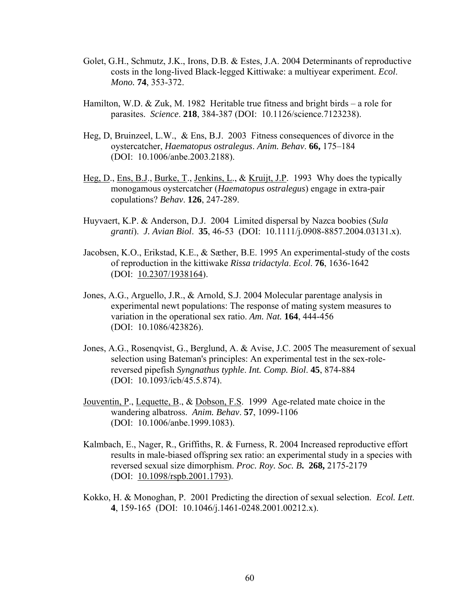- Golet, G.H., Schmutz, J.K., Irons, D.B. & Estes, J.A. 2004 Determinants of reproductive costs in the long-lived Black-legged Kittiwake: a multiyear experiment. *Ecol*. *Mono.* **74**, 353-372.
- Hamilton, W.D. & Zuk, M. 1982 Heritable true fitness and bright birds a role for parasites. *Science*. **218**, 384-387 (DOI: 10.1126/science.7123238).
- Heg, D, Bruinzeel, L.W., & Ens, B.J. 2003 Fitness consequences of divorce in the oystercatcher, *Haematopus ostralegus*. *Anim. Behav*. **66,** 175–184 (DOI: 10.1006/anbe.2003.2188).
- Heg, D., Ens, B.J., Burke, T., Jenkins, L., & Kruijt, J.P. 1993 Why does the typically monogamous oystercatcher (*Haematopus ostralegus*) engage in extra-pair copulations? *Behav*. **126**, 247-289.
- Huyvaert, K.P. & Anderson, D.J. 2004 Limited dispersal by Nazca boobies (*Sula granti*). *J. Avian Biol*. **35**, 46-53 (DOI: 10.1111/j.0908-8857.2004.03131.x).
- Jacobsen, K.O., Erikstad, K.E., & Sæther, B.E. 1995 An experimental-study of the costs of reproduction in the kittiwake *Rissa tridactyla*. *Ecol*. **76**, 1636-1642 (DOI: 10.2307/1938164).
- Jones, A.G., Arguello, J.R., & Arnold, S.J. 2004 Molecular parentage analysis in experimental newt populations: The response of mating system measures to variation in the operational sex ratio. *Am. Nat.* **164**, 444-456 (DOI: 10.1086/423826).
- Jones, A.G., Rosenqvist, G., Berglund, A. & Avise, J.C. 2005 The measurement of sexual selection using Bateman's principles: An experimental test in the sex-rolereversed pipefish *Syngnathus typhle*. *Int. Comp. Biol*. **45**, 874-884 (DOI: 10.1093/icb/45.5.874).
- Jouventin, P., Lequette, B., & Dobson, F.S. 1999 Age-related mate choice in the wandering albatross. *Anim. Behav*. **57**, 1099-1106 (DOI: 10.1006/anbe.1999.1083).
- Kalmbach, E., Nager, R., Griffiths, R. & Furness, R. 2004 Increased reproductive effort results in male-biased offspring sex ratio: an experimental study in a species with reversed sexual size dimorphism. *Proc. Roy. Soc. B***. 268,** 2175-2179 (DOI: 10.1098/rspb.2001.1793).
- Kokko, H. & Monoghan, P. 2001 Predicting the direction of sexual selection. *Ecol. Lett*. **4**, 159-165 (DOI: 10.1046/j.1461-0248.2001.00212.x).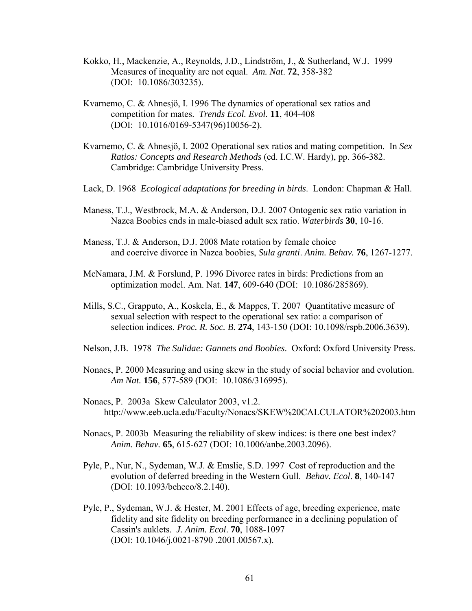- Kokko, H., Mackenzie, A., Reynolds, J.D., Lindström, J., & Sutherland, W.J. 1999 Measures of inequality are not equal. *Am. Nat*. **72**, 358-382 (DOI: 10.1086/303235).
- Kvarnemo, C. & Ahnesjö, I. 1996 The dynamics of operational sex ratios and competition for mates. *Trends Ecol. Evol.* **11**, 404-408 (DOI: 10.1016/0169-5347(96)10056-2).
- Kvarnemo, C. & Ahnesjö, I. 2002 Operational sex ratios and mating competition. In *Sex Ratios: Concepts and Research Methods* (ed. I.C.W. Hardy), pp. 366-382. Cambridge: Cambridge University Press.
- Lack, D. 1968 *Ecological adaptations for breeding in birds*. London: Chapman & Hall.
- Maness, T.J., Westbrock, M.A. & Anderson, D.J. 2007 Ontogenic sex ratio variation in Nazca Boobies ends in male-biased adult sex ratio. *Waterbirds* **30**, 10-16.
- Maness, T.J. & Anderson, D.J. 2008 Mate rotation by female choice and coercive divorce in Nazca boobies, *Sula granti*. *Anim. Behav.* **76**, 1267-1277.
- McNamara, J.M. & Forslund, P. 1996 Divorce rates in birds: Predictions from an optimization model. Am. Nat. **147**, 609-640 (DOI: 10.1086/285869).
- Mills, S.C., Grapputo, A., Koskela, E., & Mappes, T. 2007 Quantitative measure of sexual selection with respect to the operational sex ratio: a comparison of selection indices. *Proc. R. Soc. B.* **274**, 143-150 (DOI: 10.1098/rspb.2006.3639).
- Nelson, J.B. 1978 *The Sulidae: Gannets and Boobies*. Oxford: Oxford University Press.
- Nonacs, P. 2000 Measuring and using skew in the study of social behavior and evolution. *Am Nat.* **156**, 577-589 (DOI: 10.1086/316995).
- Nonacs, P. 2003a Skew Calculator 2003, v1.2. http://www.eeb.ucla.edu/Faculty/Nonacs/SKEW%20CALCULATOR%202003.htm
- Nonacs, P. 2003b Measuring the reliability of skew indices: is there one best index? *Anim. Behav.* **65**, 615-627 (DOI: 10.1006/anbe.2003.2096).
- Pyle, P., Nur, N., Sydeman, W.J. & Emslie, S.D. 1997 Cost of reproduction and the evolution of deferred breeding in the Western Gull. *Behav. Ecol*. **8**, 140-147 (DOI: 10.1093/beheco/8.2.140).
- Pyle, P., Sydeman, W.J. & Hester, M. 2001 Effects of age, breeding experience, mate fidelity and site fidelity on breeding performance in a declining population of Cassin's auklets. *J. Anim. Ecol*. **70**, 1088-1097 (DOI: 10.1046/j.0021-8790 .2001.00567.x).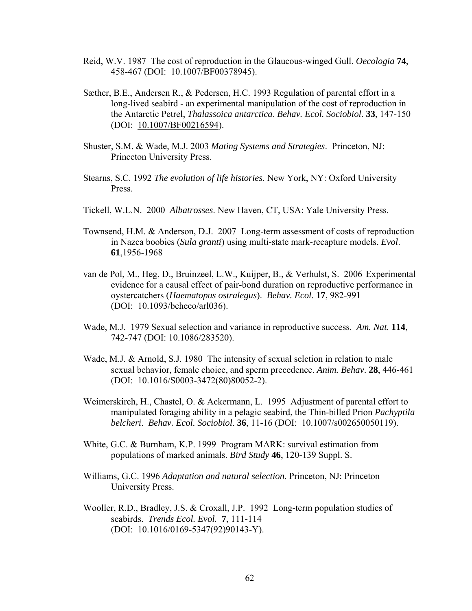- Reid, W.V. 1987 The cost of reproduction in the Glaucous-winged Gull. *Oecologia* **74**, 458-467 (DOI: 10.1007/BF00378945).
- Sæther, B.E., Andersen R., & Pedersen, H.C. 1993 Regulation of parental effort in a long-lived seabird - an experimental manipulation of the cost of reproduction in the Antarctic Petrel, *Thalassoica antarctica*. *Behav. Ecol. Sociobiol*. **33**, 147-150 (DOI: 10.1007/BF00216594).
- Shuster, S.M. & Wade, M.J. 2003 *Mating Systems and Strategies*. Princeton, NJ: Princeton University Press.
- Stearns, S.C. 1992 *The evolution of life histories*. New York, NY: Oxford University Press.
- Tickell, W.L.N. 2000 *Albatrosses*. New Haven, CT, USA: Yale University Press.
- Townsend, H.M. & Anderson, D.J. 2007 Long-term assessment of costs of reproduction in Nazca boobies (*Sula granti*) using multi-state mark-recapture models. *Evol*. **61**,1956-1968
- van de Pol, M., Heg, D., Bruinzeel, L.W., Kuijper, B., & Verhulst, S. 2006 Experimental evidence for a causal effect of pair-bond duration on reproductive performance in oystercatchers (*Haematopus ostralegus*). *Behav. Ecol*. **17**, 982-991 (DOI: 10.1093/beheco/arl036).
- Wade, M.J. 1979 Sexual selection and variance in reproductive success. *Am. Nat.* **114**, 742-747 (DOI: 10.1086/283520).
- Wade, M.J. & Arnold, S.J. 1980 The intensity of sexual selction in relation to male sexual behavior, female choice, and sperm precedence. *Anim. Behav*. **28**, 446-461 (DOI: 10.1016/S0003-3472(80)80052-2).
- Weimerskirch, H., Chastel, O. & Ackermann, L. 1995 Adjustment of parental effort to manipulated foraging ability in a pelagic seabird, the Thin-billed Prion *Pachyptila belcheri*. *Behav. Ecol. Sociobiol*. **36**, 11-16 (DOI: 10.1007/s002650050119).
- White, G.C. & Burnham, K.P. 1999 Program MARK: survival estimation from populations of marked animals. *Bird Study* **46**, 120-139 Suppl. S.
- Williams, G.C. 1996 *Adaptation and natural selection*. Princeton, NJ: Princeton University Press.
- Wooller, R.D., Bradley, J.S. & Croxall, J.P. 1992 Long-term population studies of seabirds. *Trends Ecol. Evol.* **7**, 111-114 (DOI: 10.1016/0169-5347(92)90143-Y).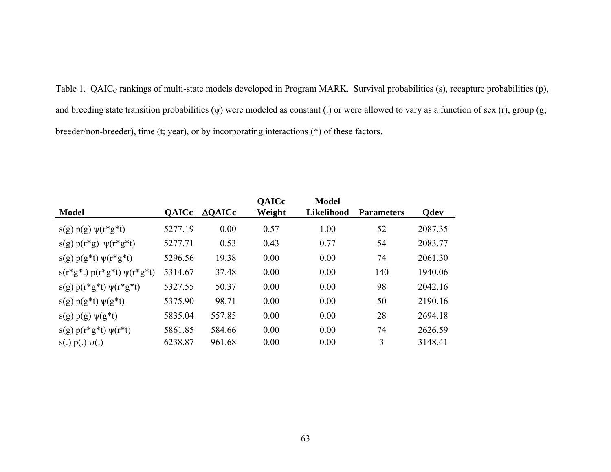Table 1. QAIC<sub>C</sub> rankings of multi-state models developed in Program MARK. Survival probabilities (s), recapture probabilities (p), and breeding state transition probabilities (ψ) were modeled as constant (.) or were allowed to vary as a function of sex (r), group (g; breeder/non-breeder), time (t; year), or by incorporating interactions (\*) of these factors.

|                                 |              |                   | <b>QAICc</b> | Model             |                   |             |
|---------------------------------|--------------|-------------------|--------------|-------------------|-------------------|-------------|
| <b>Model</b>                    | <b>QAICc</b> | $\triangle$ QAICc | Weight       | <b>Likelihood</b> | <b>Parameters</b> | <b>Qdev</b> |
| $s(g) p(g) \psi(r^*g^*t)$       | 5277.19      | 0.00              | 0.57         | 1.00              | 52                | 2087.35     |
| $s(g) p(r*g) \psi(r*g*t)$       | 5277.71      | 0.53              | 0.43         | 0.77              | 54                | 2083.77     |
| $s(g) p(g*t) \psi(r*g*t)$       | 5296.56      | 19.38             | 0.00         | 0.00              | 74                | 2061.30     |
| $s(r*g*t) p(r*g*t) \psi(r*g*t)$ | 5314.67      | 37.48             | 0.00         | 0.00              | 140               | 1940.06     |
| $s(g) p(r*g*t) \psi(r*g*t)$     | 5327.55      | 50.37             | 0.00         | 0.00              | 98                | 2042.16     |
| $s(g) p(g*t) \psi(g*t)$         | 5375.90      | 98.71             | 0.00         | 0.00              | 50                | 2190.16     |
| $s(g) p(g) \psi(g^*t)$          | 5835.04      | 557.85            | 0.00         | 0.00              | 28                | 2694.18     |
| $s(g) p(r*g*t) \psi(r*t)$       | 5861.85      | 584.66            | 0.00         | 0.00              | 74                | 2626.59     |
| $s(.) p(.) \psi(.)$             | 6238.87      | 961.68            | 0.00         | 0.00              | 3                 | 3148.41     |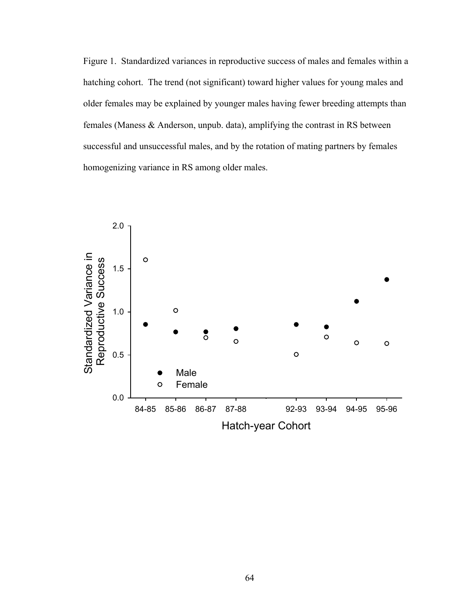Figure 1. Standardized variances in reproductive success of males and females within a hatching cohort. The trend (not significant) toward higher values for young males and older females may be explained by younger males having fewer breeding attempts than females (Maness & Anderson, unpub. data), amplifying the contrast in RS between successful and unsuccessful males, and by the rotation of mating partners by females homogenizing variance in RS among older males.

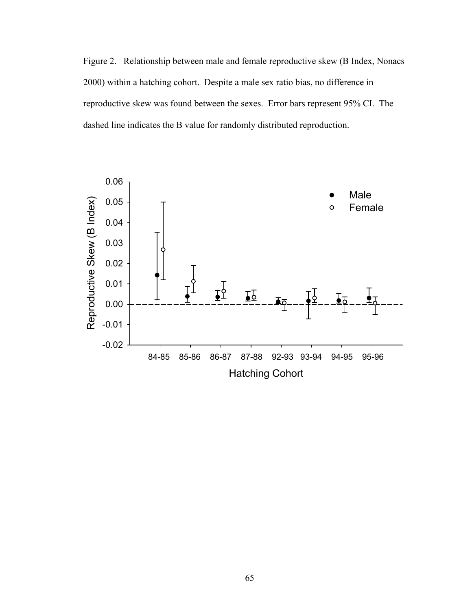Figure 2. Relationship between male and female reproductive skew (B Index, Nonacs 2000) within a hatching cohort. Despite a male sex ratio bias, no difference in reproductive skew was found between the sexes. Error bars represent 95% CI. The dashed line indicates the B value for randomly distributed reproduction.

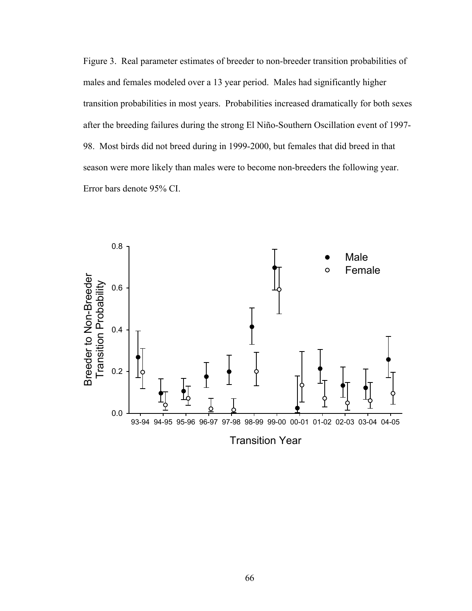Figure 3. Real parameter estimates of breeder to non-breeder transition probabilities of males and females modeled over a 13 year period. Males had significantly higher transition probabilities in most years. Probabilities increased dramatically for both sexes after the breeding failures during the strong El Niño-Southern Oscillation event of 1997- 98. Most birds did not breed during in 1999-2000, but females that did breed in that season were more likely than males were to become non-breeders the following year. Error bars denote 95% CI.

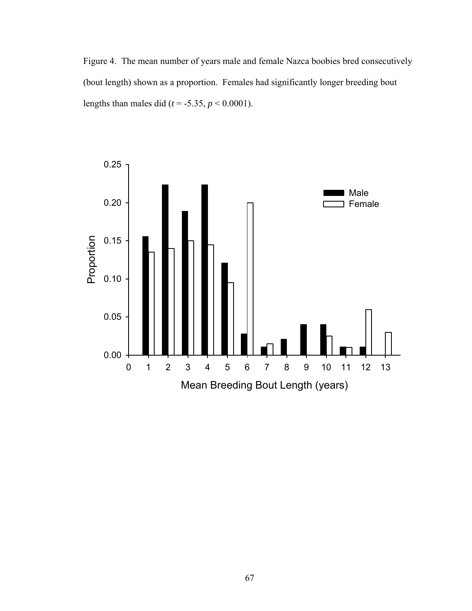Figure 4. The mean number of years male and female Nazca boobies bred consecutively (bout length) shown as a proportion. Females had significantly longer breeding bout lengths than males did ( $t = -5.35$ ,  $p < 0.0001$ ).

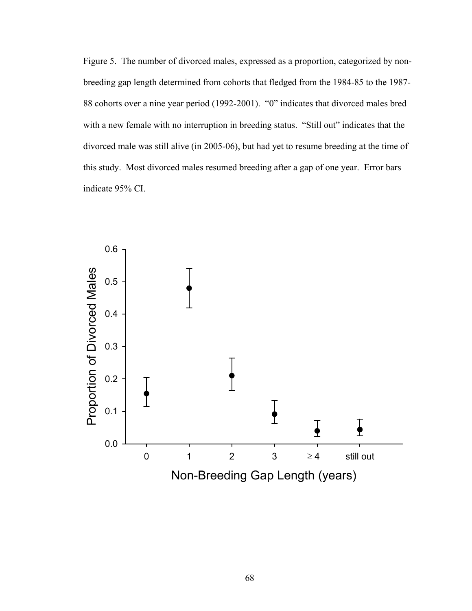Figure 5. The number of divorced males, expressed as a proportion, categorized by nonbreeding gap length determined from cohorts that fledged from the 1984-85 to the 1987- 88 cohorts over a nine year period (1992-2001). "0" indicates that divorced males bred with a new female with no interruption in breeding status. "Still out" indicates that the divorced male was still alive (in 2005-06), but had yet to resume breeding at the time of this study. Most divorced males resumed breeding after a gap of one year. Error bars indicate 95% CI.

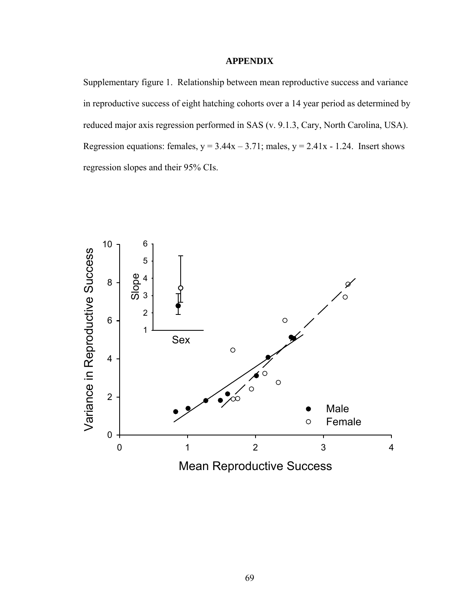# **APPENDIX**

Supplementary figure 1. Relationship between mean reproductive success and variance in reproductive success of eight hatching cohorts over a 14 year period as determined by reduced major axis regression performed in SAS (v. 9.1.3, Cary, North Carolina, USA). Regression equations: females,  $y = 3.44x - 3.71$ ; males,  $y = 2.41x - 1.24$ . Insert shows regression slopes and their 95% CIs.

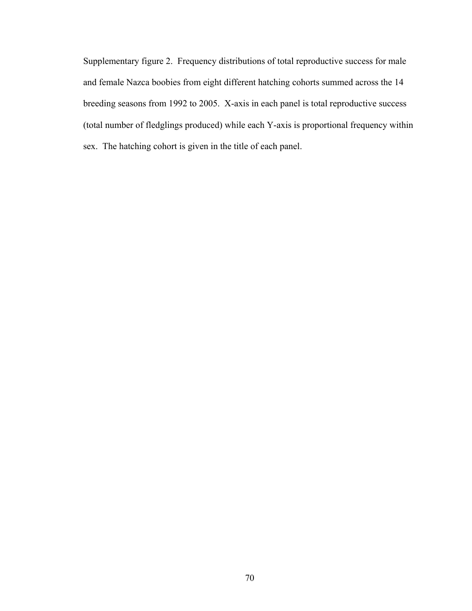Supplementary figure 2. Frequency distributions of total reproductive success for male and female Nazca boobies from eight different hatching cohorts summed across the 14 breeding seasons from 1992 to 2005. X-axis in each panel is total reproductive success (total number of fledglings produced) while each Y-axis is proportional frequency within sex. The hatching cohort is given in the title of each panel.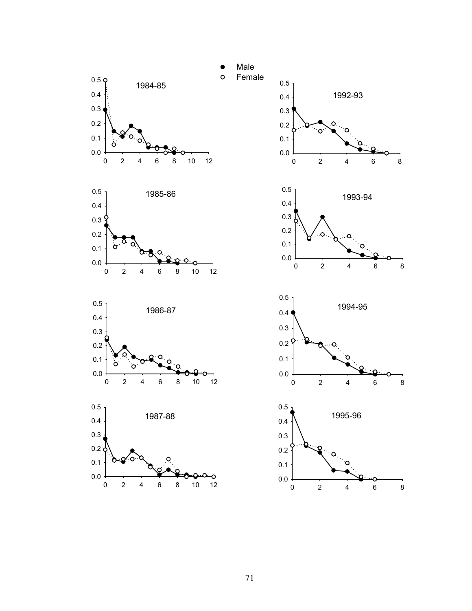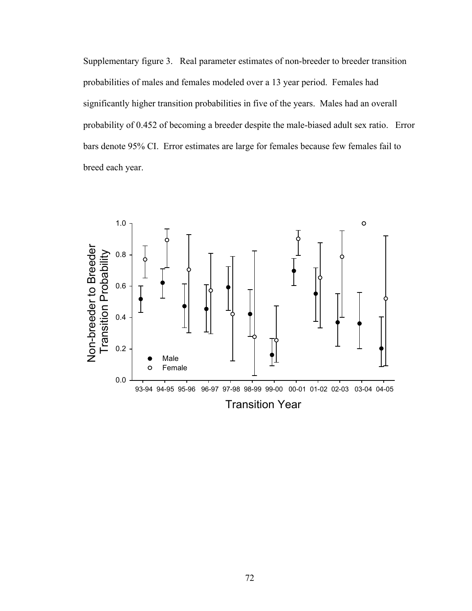Supplementary figure 3. Real parameter estimates of non-breeder to breeder transition probabilities of males and females modeled over a 13 year period. Females had significantly higher transition probabilities in five of the years. Males had an overall probability of 0.452 of becoming a breeder despite the male-biased adult sex ratio. Error bars denote 95% CI. Error estimates are large for females because few females fail to breed each year.

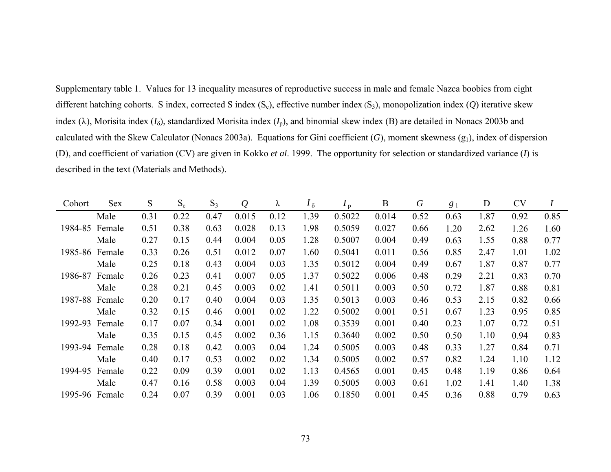Supplementary table 1. Values for 13 inequality measures of reproductive success in male and female Nazca boobies from eight different hatching cohorts. S index, corrected S index (Sc), effective number index (S3), monopolization index (*Q*) iterative skew index ( $\lambda$ ), Morisita index ( $I_0$ ), standardized Morisita index ( $I_p$ ), and binomial skew index (B) are detailed in Nonacs 2003b and calculated with the Skew Calculator (Nonacs 2003a). Equations for Gini coefficient  $(G)$ , moment skewness  $(g_1)$ , index of dispersion (D), and coefficient of variation (CV) are given in Kokko *et al*. 1999. The opportunity for selection or standardized variance (*I*) is described in the text (Materials and Methods).

| Cohort         | <b>Sex</b> | S    | $S_c$ | $S_3$ | $\mathcal{Q}$ | λ    | $I_{\delta}$ | $I_{\rm p}$ | B     | $\boldsymbol{G}$ | $g_1$ | D    | <b>CV</b> |      |
|----------------|------------|------|-------|-------|---------------|------|--------------|-------------|-------|------------------|-------|------|-----------|------|
|                | Male       | 0.31 | 0.22  | 0.47  | 0.015         | 0.12 | 1.39         | 0.5022      | 0.014 | 0.52             | 0.63  | 1.87 | 0.92      | 0.85 |
| 1984-85        | Female     | 0.51 | 0.38  | 0.63  | 0.028         | 0.13 | 1.98         | 0.5059      | 0.027 | 0.66             | 1.20  | 2.62 | 1.26      | 1.60 |
|                | Male       | 0.27 | 0.15  | 0.44  | 0.004         | 0.05 | 1.28         | 0.5007      | 0.004 | 0.49             | 0.63  | 1.55 | 0.88      | 0.77 |
| 1985-86 Female |            | 0.33 | 0.26  | 0.51  | 0.012         | 0.07 | 1.60         | 0.5041      | 0.011 | 0.56             | 0.85  | 2.47 | 1.01      | 1.02 |
|                | Male       | 0.25 | 0.18  | 0.43  | 0.004         | 0.03 | 1.35         | 0.5012      | 0.004 | 0.49             | 0.67  | 1.87 | 0.87      | 0.77 |
| 1986-87        | Female     | 0.26 | 0.23  | 0.41  | 0.007         | 0.05 | 1.37         | 0.5022      | 0.006 | 0.48             | 0.29  | 2.21 | 0.83      | 0.70 |
|                | Male       | 0.28 | 0.21  | 0.45  | 0.003         | 0.02 | 1.41         | 0.5011      | 0.003 | 0.50             | 0.72  | 1.87 | 0.88      | 0.81 |
| 1987-88 Female |            | 0.20 | 0.17  | 0.40  | 0.004         | 0.03 | 1.35         | 0.5013      | 0.003 | 0.46             | 0.53  | 2.15 | 0.82      | 0.66 |
|                | Male       | 0.32 | 0.15  | 0.46  | 0.001         | 0.02 | 1.22         | 0.5002      | 0.001 | 0.51             | 0.67  | 1.23 | 0.95      | 0.85 |
| 1992-93        | Female     | 0.17 | 0.07  | 0.34  | 0.001         | 0.02 | 1.08         | 0.3539      | 0.001 | 0.40             | 0.23  | 1.07 | 0.72      | 0.51 |
|                | Male       | 0.35 | 0.15  | 0.45  | 0.002         | 0.36 | 1.15         | 0.3640      | 0.002 | 0.50             | 0.50  | 1.10 | 0.94      | 0.83 |
| 1993-94        | Female     | 0.28 | 0.18  | 0.42  | 0.003         | 0.04 | 1.24         | 0.5005      | 0.003 | 0.48             | 0.33  | 1.27 | 0.84      | 0.71 |
|                | Male       | 0.40 | 0.17  | 0.53  | 0.002         | 0.02 | 1.34         | 0.5005      | 0.002 | 0.57             | 0.82  | 1.24 | 1.10      | 1.12 |
| 1994-95        | Female     | 0.22 | 0.09  | 0.39  | 0.001         | 0.02 | 1.13         | 0.4565      | 0.001 | 0.45             | 0.48  | 1.19 | 0.86      | 0.64 |
|                | Male       | 0.47 | 0.16  | 0.58  | 0.003         | 0.04 | 1.39         | 0.5005      | 0.003 | 0.61             | 1.02  | 1.41 | 1.40      | 1.38 |
| 1995-96 Female |            | 0.24 | 0.07  | 0.39  | 0.001         | 0.03 | 1.06         | 0.1850      | 0.001 | 0.45             | 0.36  | 0.88 | 0.79      | 0.63 |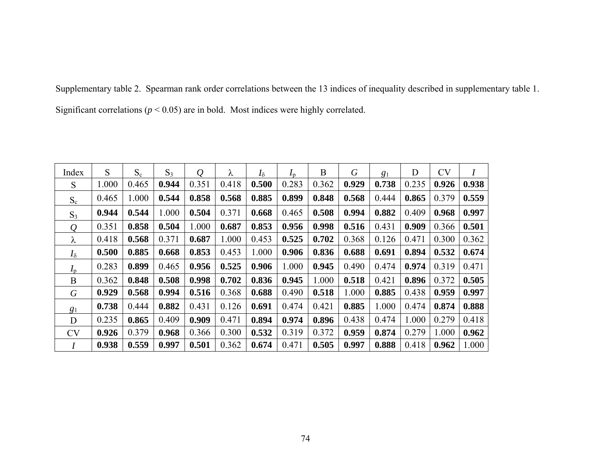Supplementary table 2. Spearman rank order correlations between the 13 indices of inequality described in supplementary table 1. Significant correlations (*p* < 0.05) are in bold. Most indices were highly correlated.

| Index          | S     | $S_c$ | $S_3$ | $\varrho$ | λ     | $I_{\delta}$ | $I_{\rm p}$ | B     | $\boldsymbol{G}$ | 81    | D     | <b>CV</b> | Ι     |
|----------------|-------|-------|-------|-----------|-------|--------------|-------------|-------|------------------|-------|-------|-----------|-------|
| S              | 1.000 | 0.465 | 0.944 | 0.351     | 0.418 | 0.500        | 0.283       | 0.362 | 0.929            | 0.738 | 0.235 | 0.926     | 0.938 |
| $S_c$          | 0.465 | 1.000 | 0.544 | 0.858     | 0.568 | 0.885        | 0.899       | 0.848 | 0.568            | 0.444 | 0.865 | 0.379     | 0.559 |
| $S_3$          | 0.944 | 0.544 | 1.000 | 0.504     | 0.371 | 0.668        | 0.465       | 0.508 | 0.994            | 0.882 | 0.409 | 0.968     | 0.997 |
| $\varrho$      | 0.351 | 0.858 | 0.504 | 1.000     | 0.687 | 0.853        | 0.956       | 0.998 | 0.516            | 0.431 | 0.909 | 0.366     | 0.501 |
| λ              | 0.418 | 0.568 | 0.371 | 0.687     | 1.000 | 0.453        | 0.525       | 0.702 | 0.368            | 0.126 | 0.471 | 0.300     | 0.362 |
| $I_{\delta}$   | 0.500 | 0.885 | 0.668 | 0.853     | 0.453 | 1.000        | 0.906       | 0.836 | 0.688            | 0.691 | 0.894 | 0.532     | 0.674 |
| $I_{p}$        | 0.283 | 0.899 | 0.465 | 0.956     | 0.525 | 0.906        | 1.000       | 0.945 | 0.490            | 0.474 | 0.974 | 0.319     | 0.471 |
| B              | 0.362 | 0.848 | 0.508 | 0.998     | 0.702 | 0.836        | 0.945       | 1.000 | 0.518            | 0.421 | 0.896 | 0.372     | 0.505 |
| $\,G\,$        | 0.929 | 0.568 | 0.994 | 0.516     | 0.368 | 0.688        | 0.490       | 0.518 | 1.000            | 0.885 | 0.438 | 0.959     | 0.997 |
| g <sub>1</sub> | 0.738 | 0.444 | 0.882 | 0.431     | 0.126 | 0.691        | 0.474       | 0.421 | 0.885            | 1.000 | 0.474 | 0.874     | 0.888 |
| D              | 0.235 | 0.865 | 0.409 | 0.909     | 0.471 | 0.894        | 0.974       | 0.896 | 0.438            | 0.474 | 1.000 | 0.279     | 0.418 |
| <b>CV</b>      | 0.926 | 0.379 | 0.968 | 0.366     | 0.300 | 0.532        | 0.319       | 0.372 | 0.959            | 0.874 | 0.279 | 1.000     | 0.962 |
|                | 0.938 | 0.559 | 0.997 | 0.501     | 0.362 | 0.674        | 0.471       | 0.505 | 0.997            | 0.888 | 0.418 | 0.962     | 1.000 |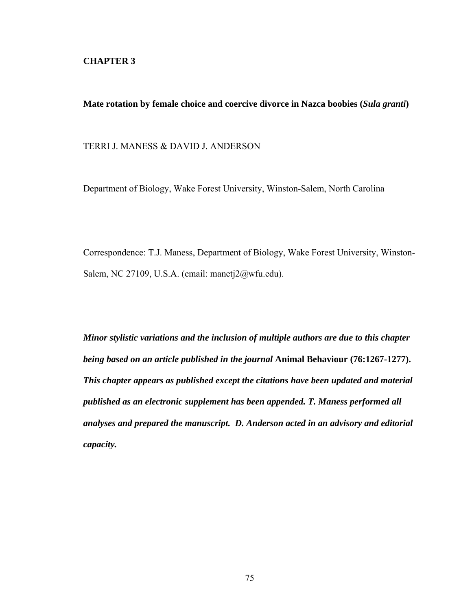# **CHAPTER 3**

**Mate rotation by female choice and coercive divorce in Nazca boobies (***Sula granti***)**

TERRI J. MANESS & DAVID J. ANDERSON

Department of Biology, Wake Forest University, Winston-Salem, North Carolina

Correspondence: T.J. Maness, Department of Biology, Wake Forest University, Winston-Salem, NC 27109, U.S.A. (email: manetj2@wfu.edu).

*Minor stylistic variations and the inclusion of multiple authors are due to this chapter being based on an article published in the journal* **Animal Behaviour (76:1267-1277).**  *This chapter appears as published except the citations have been updated and material published as an electronic supplement has been appended. T. Maness performed all analyses and prepared the manuscript. D. Anderson acted in an advisory and editorial capacity.*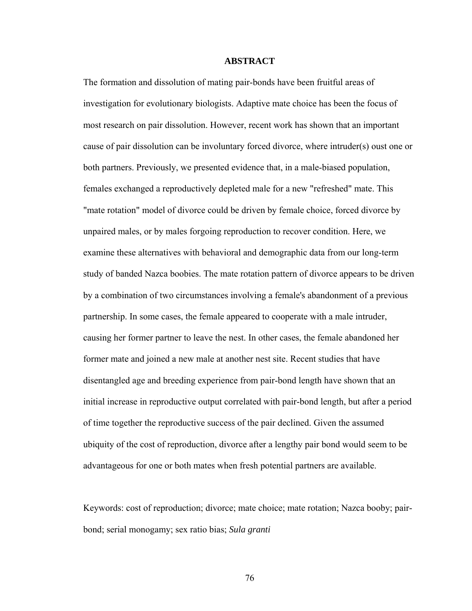#### **ABSTRACT**

The formation and dissolution of mating pair-bonds have been fruitful areas of investigation for evolutionary biologists. Adaptive mate choice has been the focus of most research on pair dissolution. However, recent work has shown that an important cause of pair dissolution can be involuntary forced divorce, where intruder(s) oust one or both partners. Previously, we presented evidence that, in a male-biased population, females exchanged a reproductively depleted male for a new "refreshed" mate. This "mate rotation" model of divorce could be driven by female choice, forced divorce by unpaired males, or by males forgoing reproduction to recover condition. Here, we examine these alternatives with behavioral and demographic data from our long-term study of banded Nazca boobies. The mate rotation pattern of divorce appears to be driven by a combination of two circumstances involving a female's abandonment of a previous partnership. In some cases, the female appeared to cooperate with a male intruder, causing her former partner to leave the nest. In other cases, the female abandoned her former mate and joined a new male at another nest site. Recent studies that have disentangled age and breeding experience from pair-bond length have shown that an initial increase in reproductive output correlated with pair-bond length, but after a period of time together the reproductive success of the pair declined. Given the assumed ubiquity of the cost of reproduction, divorce after a lengthy pair bond would seem to be advantageous for one or both mates when fresh potential partners are available.

Keywords: cost of reproduction; divorce; mate choice; mate rotation; Nazca booby; pairbond; serial monogamy; sex ratio bias; *Sula granti*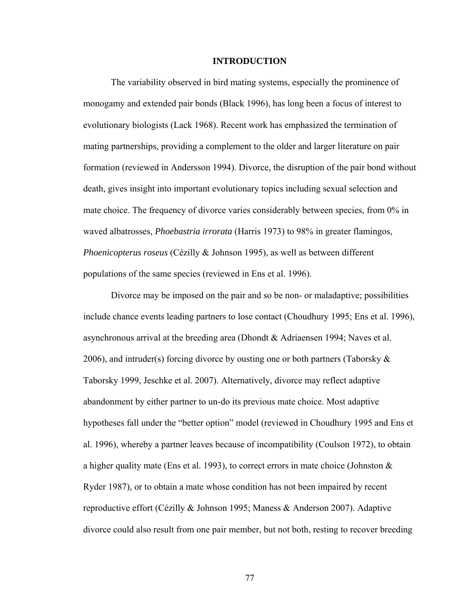#### **INTRODUCTION**

The variability observed in bird mating systems, especially the prominence of monogamy and extended pair bonds (Black 1996), has long been a focus of interest to evolutionary biologists (Lack 1968). Recent work has emphasized the termination of mating partnerships, providing a complement to the older and larger literature on pair formation (reviewed in Andersson 1994). Divorce, the disruption of the pair bond without death, gives insight into important evolutionary topics including sexual selection and mate choice. The frequency of divorce varies considerably between species, from 0% in waved albatrosses, *Phoebastria irrorata* (Harris 1973) to 98% in greater flamingos, *Phoenicopterus roseus* (Cézilly & Johnson 1995), as well as between different populations of the same species (reviewed in Ens et al. 1996).

Divorce may be imposed on the pair and so be non- or maladaptive; possibilities include chance events leading partners to lose contact (Choudhury 1995; Ens et al. 1996), asynchronous arrival at the breeding area (Dhondt & Adriaensen 1994; Naves et al. 2006), and intruder(s) forcing divorce by ousting one or both partners (Taborsky  $\&$ Taborsky 1999, Jeschke et al. 2007). Alternatively, divorce may reflect adaptive abandonment by either partner to un-do its previous mate choice. Most adaptive hypotheses fall under the "better option" model (reviewed in Choudhury 1995 and Ens et al. 1996), whereby a partner leaves because of incompatibility (Coulson 1972), to obtain a higher quality mate (Ens et al. 1993), to correct errors in mate choice (Johnston & Ryder 1987), or to obtain a mate whose condition has not been impaired by recent reproductive effort (Cézilly & Johnson 1995; Maness & Anderson 2007). Adaptive divorce could also result from one pair member, but not both, resting to recover breeding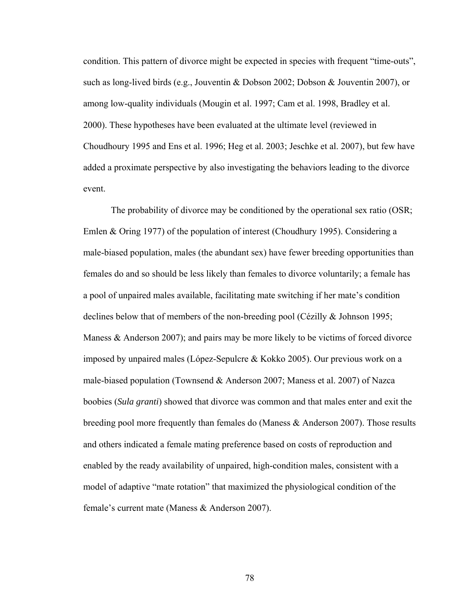condition. This pattern of divorce might be expected in species with frequent "time-outs", such as long-lived birds (e.g., Jouventin & Dobson 2002; Dobson & Jouventin 2007), or among low-quality individuals (Mougin et al. 1997; Cam et al. 1998, Bradley et al. 2000). These hypotheses have been evaluated at the ultimate level (reviewed in Choudhoury 1995 and Ens et al. 1996; Heg et al. 2003; Jeschke et al. 2007), but few have added a proximate perspective by also investigating the behaviors leading to the divorce event.

The probability of divorce may be conditioned by the operational sex ratio (OSR; Emlen & Oring 1977) of the population of interest (Choudhury 1995). Considering a male-biased population, males (the abundant sex) have fewer breeding opportunities than females do and so should be less likely than females to divorce voluntarily; a female has a pool of unpaired males available, facilitating mate switching if her mate's condition declines below that of members of the non-breeding pool (Cézilly & Johnson 1995; Maness  $\&$  Anderson 2007); and pairs may be more likely to be victims of forced divorce imposed by unpaired males (López-Sepulcre & Kokko 2005). Our previous work on a male-biased population (Townsend & Anderson 2007; Maness et al. 2007) of Nazca boobies (*Sula granti*) showed that divorce was common and that males enter and exit the breeding pool more frequently than females do (Maness & Anderson 2007). Those results and others indicated a female mating preference based on costs of reproduction and enabled by the ready availability of unpaired, high-condition males, consistent with a model of adaptive "mate rotation" that maximized the physiological condition of the female's current mate (Maness & Anderson 2007).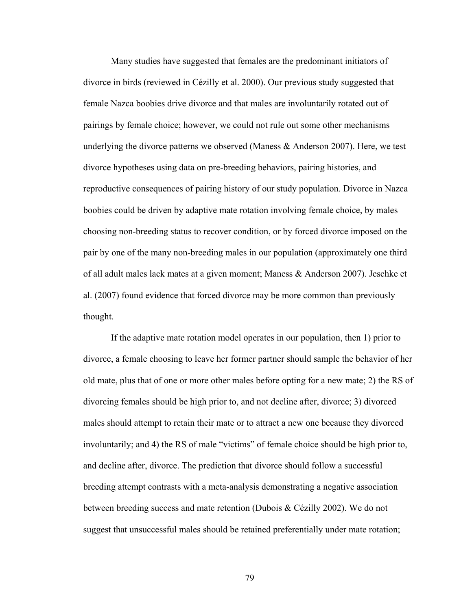Many studies have suggested that females are the predominant initiators of divorce in birds (reviewed in Cézilly et al. 2000). Our previous study suggested that female Nazca boobies drive divorce and that males are involuntarily rotated out of pairings by female choice; however, we could not rule out some other mechanisms underlying the divorce patterns we observed (Maness  $\&$  Anderson 2007). Here, we test divorce hypotheses using data on pre-breeding behaviors, pairing histories, and reproductive consequences of pairing history of our study population. Divorce in Nazca boobies could be driven by adaptive mate rotation involving female choice, by males choosing non-breeding status to recover condition, or by forced divorce imposed on the pair by one of the many non-breeding males in our population (approximately one third of all adult males lack mates at a given moment; Maness & Anderson 2007). Jeschke et al. (2007) found evidence that forced divorce may be more common than previously thought.

If the adaptive mate rotation model operates in our population, then 1) prior to divorce, a female choosing to leave her former partner should sample the behavior of her old mate, plus that of one or more other males before opting for a new mate; 2) the RS of divorcing females should be high prior to, and not decline after, divorce; 3) divorced males should attempt to retain their mate or to attract a new one because they divorced involuntarily; and 4) the RS of male "victims" of female choice should be high prior to, and decline after, divorce. The prediction that divorce should follow a successful breeding attempt contrasts with a meta-analysis demonstrating a negative association between breeding success and mate retention (Dubois & Cézilly 2002). We do not suggest that unsuccessful males should be retained preferentially under mate rotation;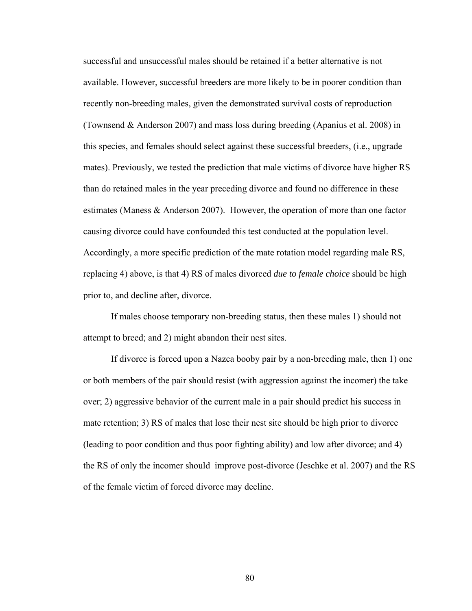successful and unsuccessful males should be retained if a better alternative is not available. However, successful breeders are more likely to be in poorer condition than recently non-breeding males, given the demonstrated survival costs of reproduction (Townsend & Anderson 2007) and mass loss during breeding (Apanius et al. 2008) in this species, and females should select against these successful breeders, (i.e., upgrade mates). Previously, we tested the prediction that male victims of divorce have higher RS than do retained males in the year preceding divorce and found no difference in these estimates (Maness & Anderson 2007). However, the operation of more than one factor causing divorce could have confounded this test conducted at the population level. Accordingly, a more specific prediction of the mate rotation model regarding male RS, replacing 4) above, is that 4) RS of males divorced *due to female choice* should be high prior to, and decline after, divorce.

If males choose temporary non-breeding status, then these males 1) should not attempt to breed; and 2) might abandon their nest sites.

If divorce is forced upon a Nazca booby pair by a non-breeding male, then 1) one or both members of the pair should resist (with aggression against the incomer) the take over; 2) aggressive behavior of the current male in a pair should predict his success in mate retention; 3) RS of males that lose their nest site should be high prior to divorce (leading to poor condition and thus poor fighting ability) and low after divorce; and 4) the RS of only the incomer should improve post-divorce (Jeschke et al. 2007) and the RS of the female victim of forced divorce may decline.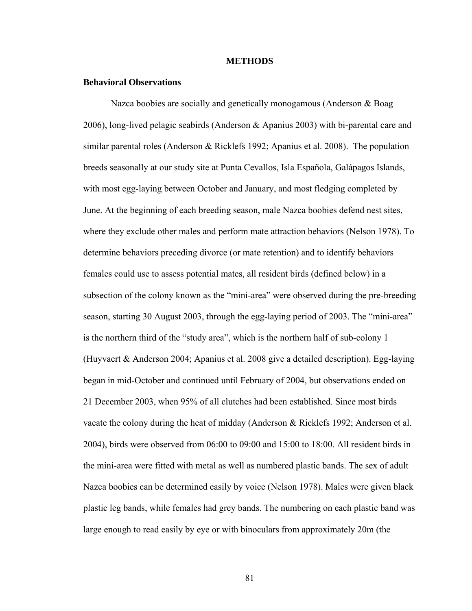#### **METHODS**

#### **Behavioral Observations**

Nazca boobies are socially and genetically monogamous (Anderson & Boag 2006), long-lived pelagic seabirds (Anderson & Apanius 2003) with bi-parental care and similar parental roles (Anderson  $\&$  Ricklefs 1992; Apanius et al. 2008). The population breeds seasonally at our study site at Punta Cevallos, Isla Española, Galápagos Islands, with most egg-laying between October and January, and most fledging completed by June. At the beginning of each breeding season, male Nazca boobies defend nest sites, where they exclude other males and perform mate attraction behaviors (Nelson 1978). To determine behaviors preceding divorce (or mate retention) and to identify behaviors females could use to assess potential mates, all resident birds (defined below) in a subsection of the colony known as the "mini-area" were observed during the pre-breeding season, starting 30 August 2003, through the egg-laying period of 2003. The "mini-area" is the northern third of the "study area", which is the northern half of sub-colony 1 (Huyvaert & Anderson 2004; Apanius et al. 2008 give a detailed description). Egg-laying began in mid-October and continued until February of 2004, but observations ended on 21 December 2003, when 95% of all clutches had been established. Since most birds vacate the colony during the heat of midday (Anderson & Ricklefs 1992; Anderson et al.  $2004$ ), birds were observed from 06:00 to 09:00 and 15:00 to 18:00. All resident birds in the mini-area were fitted with metal as well as numbered plastic bands. The sex of adult Nazca boobies can be determined easily by voice (Nelson 1978). Males were given black plastic leg bands, while females had grey bands. The numbering on each plastic band was large enough to read easily by eye or with binoculars from approximately 20m (the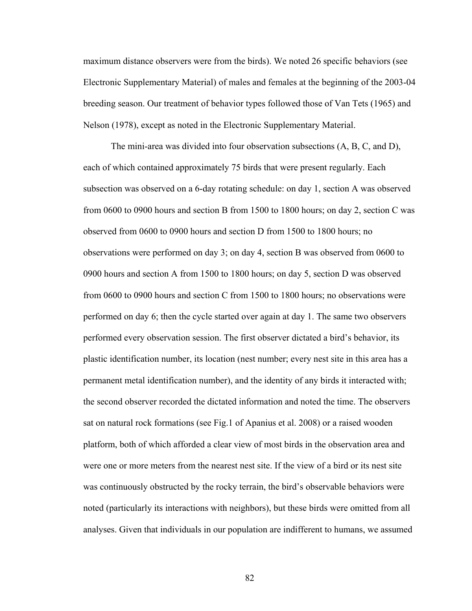maximum distance observers were from the birds). We noted 26 specific behaviors (see Electronic Supplementary Material) of males and females at the beginning of the 2003-04 breeding season. Our treatment of behavior types followed those of Van Tets (1965) and Nelson (1978), except as noted in the Electronic Supplementary Material.

The mini-area was divided into four observation subsections (A, B, C, and D), each of which contained approximately 75 birds that were present regularly. Each subsection was observed on a 6-day rotating schedule: on day 1, section A was observed from 0600 to 0900 hours and section B from 1500 to 1800 hours; on day 2, section C was observed from 0600 to 0900 hours and section D from 1500 to 1800 hours; no observations were performed on day 3; on day 4, section B was observed from 0600 to 0900 hours and section A from 1500 to 1800 hours; on day 5, section D was observed from 0600 to 0900 hours and section C from 1500 to 1800 hours; no observations were performed on day 6; then the cycle started over again at day 1. The same two observers performed every observation session. The first observer dictated a bird's behavior, its plastic identification number, its location (nest number; every nest site in this area has a permanent metal identification number), and the identity of any birds it interacted with; the second observer recorded the dictated information and noted the time. The observers sat on natural rock formations (see Fig.1 of Apanius et al. 2008) or a raised wooden platform, both of which afforded a clear view of most birds in the observation area and were one or more meters from the nearest nest site. If the view of a bird or its nest site was continuously obstructed by the rocky terrain, the bird's observable behaviors were noted (particularly its interactions with neighbors), but these birds were omitted from all analyses. Given that individuals in our population are indifferent to humans, we assumed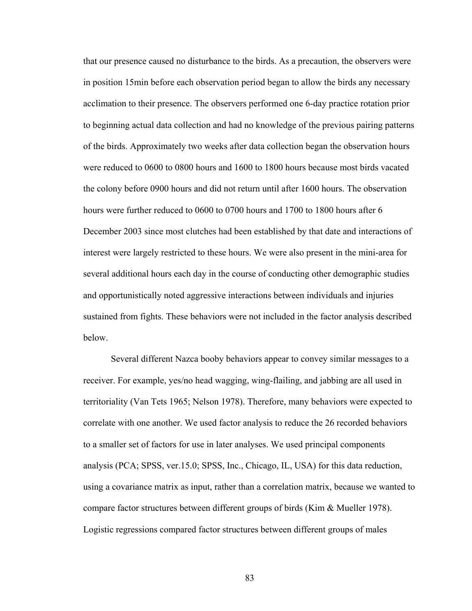that our presence caused no disturbance to the birds. As a precaution, the observers were in position 15min before each observation period began to allow the birds any necessary acclimation to their presence. The observers performed one 6-day practice rotation prior to beginning actual data collection and had no knowledge of the previous pairing patterns of the birds. Approximately two weeks after data collection began the observation hours were reduced to 0600 to 0800 hours and 1600 to 1800 hours because most birds vacated the colony before 0900 hours and did not return until after 1600 hours. The observation hours were further reduced to 0600 to 0700 hours and 1700 to 1800 hours after 6 December 2003 since most clutches had been established by that date and interactions of interest were largely restricted to these hours. We were also present in the mini-area for several additional hours each day in the course of conducting other demographic studies and opportunistically noted aggressive interactions between individuals and injuries sustained from fights. These behaviors were not included in the factor analysis described below.

Several different Nazca booby behaviors appear to convey similar messages to a receiver. For example, yes/no head wagging, wing-flailing, and jabbing are all used in territoriality (Van Tets 1965; Nelson 1978). Therefore, many behaviors were expected to correlate with one another. We used factor analysis to reduce the 26 recorded behaviors to a smaller set of factors for use in later analyses. We used principal components analysis (PCA; SPSS, ver.15.0; SPSS, Inc., Chicago, IL, USA) for this data reduction, using a covariance matrix as input, rather than a correlation matrix, because we wanted to compare factor structures between different groups of birds (Kim & Mueller 1978). Logistic regressions compared factor structures between different groups of males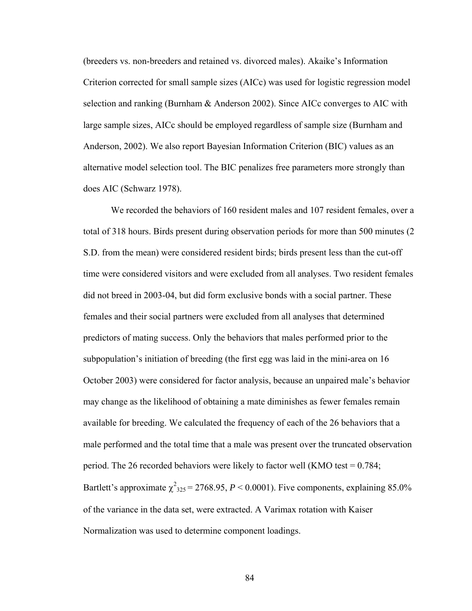(breeders vs. non-breeders and retained vs. divorced males). Akaike's Information Criterion corrected for small sample sizes (AICc) was used for logistic regression model selection and ranking (Burnham & Anderson 2002). Since AICc converges to AIC with large sample sizes, AICc should be employed regardless of sample size (Burnham and Anderson, 2002). We also report Bayesian Information Criterion (BIC) values as an alternative model selection tool. The BIC penalizes free parameters more strongly than does AIC (Schwarz 1978).

We recorded the behaviors of 160 resident males and 107 resident females, over a total of 318 hours. Birds present during observation periods for more than 500 minutes (2 S.D. from the mean) were considered resident birds; birds present less than the cut-off time were considered visitors and were excluded from all analyses. Two resident females did not breed in 2003-04, but did form exclusive bonds with a social partner. These females and their social partners were excluded from all analyses that determined predictors of mating success. Only the behaviors that males performed prior to the subpopulation's initiation of breeding (the first egg was laid in the mini-area on 16 October 2003) were considered for factor analysis, because an unpaired male's behavior may change as the likelihood of obtaining a mate diminishes as fewer females remain available for breeding. We calculated the frequency of each of the 26 behaviors that a male performed and the total time that a male was present over the truncated observation period. The 26 recorded behaviors were likely to factor well (KMO test  $= 0.784$ ; Bartlett's approximate  $\chi^2_{325} = 2768.95$ ,  $P < 0.0001$ ). Five components, explaining 85.0% of the variance in the data set, were extracted. A Varimax rotation with Kaiser Normalization was used to determine component loadings.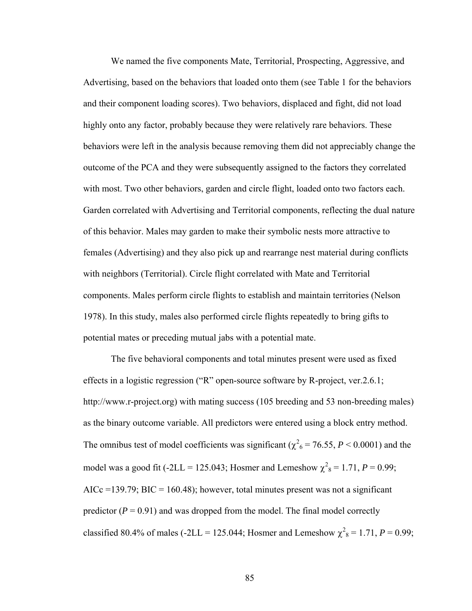We named the five components Mate, Territorial, Prospecting, Aggressive, and Advertising, based on the behaviors that loaded onto them (see Table 1 for the behaviors and their component loading scores). Two behaviors, displaced and fight, did not load highly onto any factor, probably because they were relatively rare behaviors. These behaviors were left in the analysis because removing them did not appreciably change the outcome of the PCA and they were subsequently assigned to the factors they correlated with most. Two other behaviors, garden and circle flight, loaded onto two factors each. Garden correlated with Advertising and Territorial components, reflecting the dual nature of this behavior. Males may garden to make their symbolic nests more attractive to females (Advertising) and they also pick up and rearrange nest material during conflicts with neighbors (Territorial). Circle flight correlated with Mate and Territorial components. Males perform circle flights to establish and maintain territories (Nelson 1978). In this study, males also performed circle flights repeatedly to bring gifts to potential mates or preceding mutual jabs with a potential mate.

The five behavioral components and total minutes present were used as fixed effects in a logistic regression ("R" open-source software by R-project, ver.2.6.1; http://www.r-project.org) with mating success (105 breeding and 53 non-breeding males) as the binary outcome variable. All predictors were entered using a block entry method. The omnibus test of model coefficients was significant ( $\chi^2$ <sub>6</sub> = 76.55, *P* < 0.0001) and the model was a good fit  $(-2LL = 125.043)$ ; Hosmer and Lemeshow  $\chi^2_8 = 1.71$ ,  $P = 0.99$ ; AICc =139.79; BIC = 160.48); however, total minutes present was not a significant predictor  $(P = 0.91)$  and was dropped from the model. The final model correctly classified 80.4% of males (-2LL = 125.044; Hosmer and Lemeshow  $\chi^2 = 1.71$ ,  $P = 0.99$ ;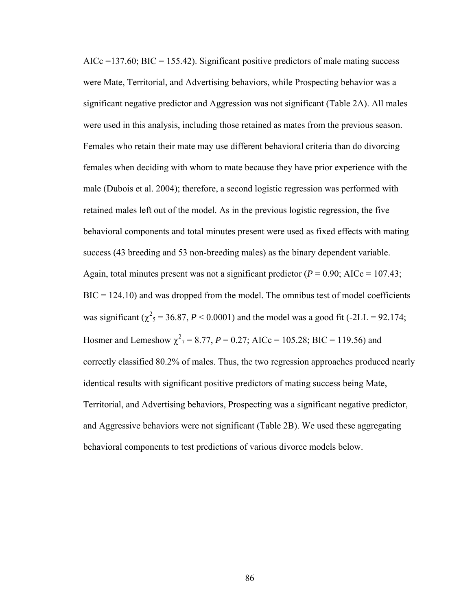$AICc = 137.60$ ;  $BIC = 155.42$ ). Significant positive predictors of male mating success were Mate, Territorial, and Advertising behaviors, while Prospecting behavior was a significant negative predictor and Aggression was not significant (Table 2A). All males were used in this analysis, including those retained as mates from the previous season. Females who retain their mate may use different behavioral criteria than do divorcing females when deciding with whom to mate because they have prior experience with the male (Dubois et al. 2004); therefore, a second logistic regression was performed with retained males left out of the model. As in the previous logistic regression, the five behavioral components and total minutes present were used as fixed effects with mating success (43 breeding and 53 non-breeding males) as the binary dependent variable. Again, total minutes present was not a significant predictor  $(P = 0.90; AICc = 107.43;$  $BIC = 124.10$ ) and was dropped from the model. The omnibus test of model coefficients was significant ( $\chi^2$ <sub>5</sub> = 36.87, *P* < 0.0001) and the model was a good fit (-2LL = 92.174; Hosmer and Lemeshow  $\chi^2$ <sub>7</sub> = 8.77, *P* = 0.27; AICc = 105.28; BIC = 119.56) and correctly classified 80.2% of males. Thus, the two regression approaches produced nearly identical results with significant positive predictors of mating success being Mate, Territorial, and Advertising behaviors, Prospecting was a significant negative predictor, and Aggressive behaviors were not significant (Table 2B). We used these aggregating behavioral components to test predictions of various divorce models below.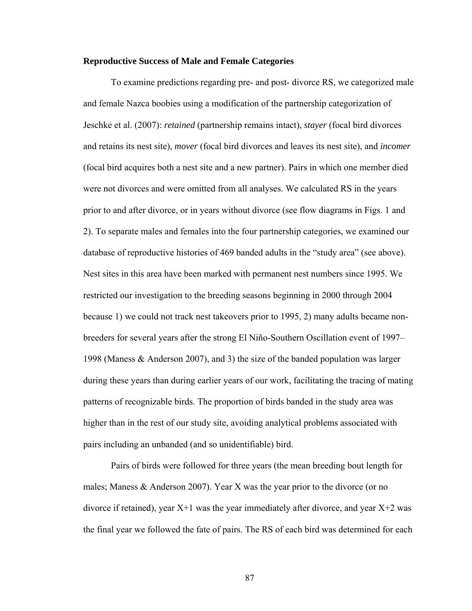## **Reproductive Success of Male and Female Categories**

To examine predictions regarding pre- and post- divorce RS, we categorized male and female Nazca boobies using a modification of the partnership categorization of Jeschke et al. (2007): *retained* (partnership remains intact), *stayer* (focal bird divorces and retains its nest site), *mover* (focal bird divorces and leaves its nest site), and *incomer* (focal bird acquires both a nest site and a new partner). Pairs in which one member died were not divorces and were omitted from all analyses. We calculated RS in the years prior to and after divorce, or in years without divorce (see flow diagrams in Figs. 1 and 2). To separate males and females into the four partnership categories, we examined our database of reproductive histories of 469 banded adults in the "study area" (see above). Nest sites in this area have been marked with permanent nest numbers since 1995. We restricted our investigation to the breeding seasons beginning in 2000 through 2004 because 1) we could not track nest takeovers prior to 1995, 2) many adults became nonbreeders for several years after the strong El Niño-Southern Oscillation event of 1997– 1998 (Maness & Anderson 2007), and 3) the size of the banded population was larger during these years than during earlier years of our work, facilitating the tracing of mating patterns of recognizable birds. The proportion of birds banded in the study area was higher than in the rest of our study site, avoiding analytical problems associated with pairs including an unbanded (and so unidentifiable) bird.

Pairs of birds were followed for three years (the mean breeding bout length for males; Maness & Anderson 2007). Year X was the year prior to the divorce (or no divorce if retained), year  $X+1$  was the year immediately after divorce, and year  $X+2$  was the final year we followed the fate of pairs. The RS of each bird was determined for each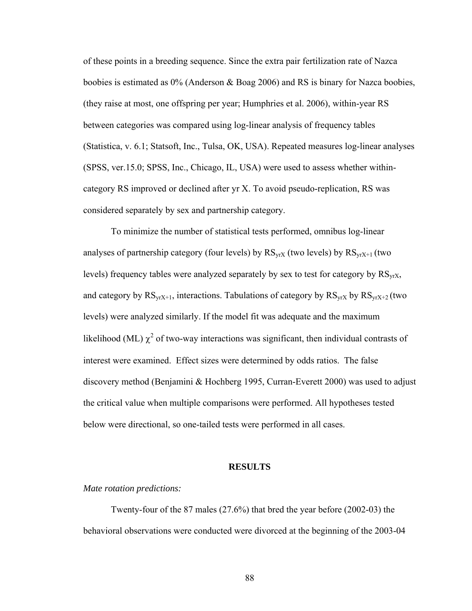of these points in a breeding sequence. Since the extra pair fertilization rate of Nazca boobies is estimated as 0% (Anderson & Boag 2006) and RS is binary for Nazca boobies, (they raise at most, one offspring per year; Humphries et al. 2006), within-year RS between categories was compared using log-linear analysis of frequency tables (Statistica, v. 6.1; Statsoft, Inc., Tulsa, OK, USA). Repeated measures log-linear analyses (SPSS, ver.15.0; SPSS, Inc., Chicago, IL, USA) were used to assess whether withincategory RS improved or declined after yr X. To avoid pseudo-replication, RS was considered separately by sex and partnership category.

To minimize the number of statistical tests performed, omnibus log-linear analyses of partnership category (four levels) by  $RS_{VXX}$  (two levels) by  $RS_{VXX+1}$  (two levels) frequency tables were analyzed separately by sex to test for category by  $RS_{vrX}$ , and category by  $RS_{yrX+1}$ , interactions. Tabulations of category by  $RS_{yrX}$  by  $RS_{yrX+2}$  (two levels) were analyzed similarly. If the model fit was adequate and the maximum likelihood (ML)  $\chi^2$  of two-way interactions was significant, then individual contrasts of interest were examined. Effect sizes were determined by odds ratios. The false discovery method (Benjamini & Hochberg 1995, Curran-Everett 2000) was used to adjust the critical value when multiple comparisons were performed. All hypotheses tested below were directional, so one-tailed tests were performed in all cases.

#### **RESULTS**

## *Mate rotation predictions:*

Twenty-four of the 87 males (27.6%) that bred the year before (2002-03) the behavioral observations were conducted were divorced at the beginning of the 2003-04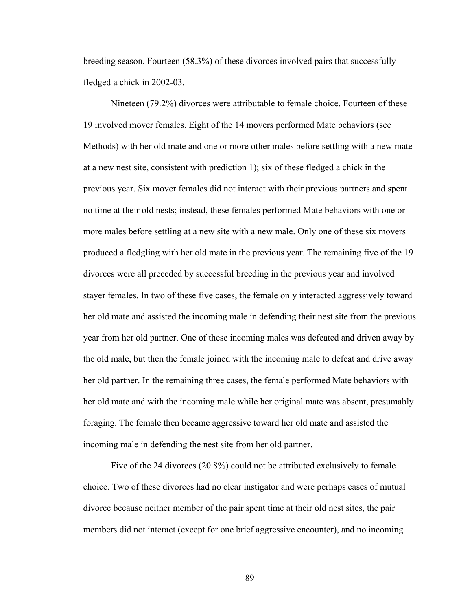breeding season. Fourteen (58.3%) of these divorces involved pairs that successfully fledged a chick in 2002-03.

 Nineteen (79.2%) divorces were attributable to female choice. Fourteen of these 19 involved mover females. Eight of the 14 movers performed Mate behaviors (see Methods) with her old mate and one or more other males before settling with a new mate at a new nest site, consistent with prediction 1); six of these fledged a chick in the previous year. Six mover females did not interact with their previous partners and spent no time at their old nests; instead, these females performed Mate behaviors with one or more males before settling at a new site with a new male. Only one of these six movers produced a fledgling with her old mate in the previous year. The remaining five of the 19 divorces were all preceded by successful breeding in the previous year and involved stayer females. In two of these five cases, the female only interacted aggressively toward her old mate and assisted the incoming male in defending their nest site from the previous year from her old partner. One of these incoming males was defeated and driven away by the old male, but then the female joined with the incoming male to defeat and drive away her old partner. In the remaining three cases, the female performed Mate behaviors with her old mate and with the incoming male while her original mate was absent, presumably foraging. The female then became aggressive toward her old mate and assisted the incoming male in defending the nest site from her old partner.

 Five of the 24 divorces (20.8%) could not be attributed exclusively to female choice. Two of these divorces had no clear instigator and were perhaps cases of mutual divorce because neither member of the pair spent time at their old nest sites, the pair members did not interact (except for one brief aggressive encounter), and no incoming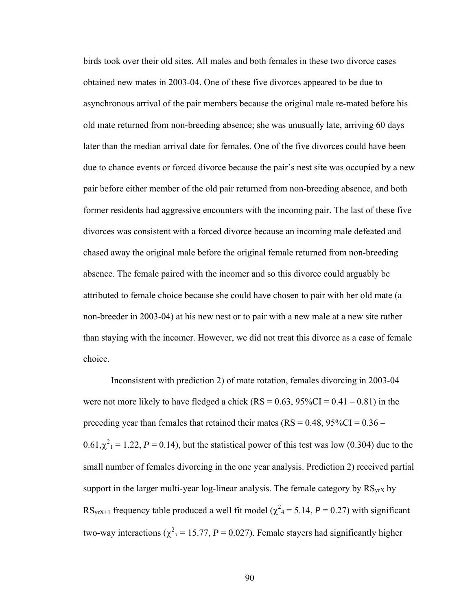birds took over their old sites. All males and both females in these two divorce cases obtained new mates in 2003-04. One of these five divorces appeared to be due to asynchronous arrival of the pair members because the original male re-mated before his old mate returned from non-breeding absence; she was unusually late, arriving 60 days later than the median arrival date for females. One of the five divorces could have been due to chance events or forced divorce because the pair's nest site was occupied by a new pair before either member of the old pair returned from non-breeding absence, and both former residents had aggressive encounters with the incoming pair. The last of these five divorces was consistent with a forced divorce because an incoming male defeated and chased away the original male before the original female returned from non-breeding absence. The female paired with the incomer and so this divorce could arguably be attributed to female choice because she could have chosen to pair with her old mate (a non-breeder in 2003-04) at his new nest or to pair with a new male at a new site rather than staying with the incomer. However, we did not treat this divorce as a case of female choice.

 Inconsistent with prediction 2) of mate rotation, females divorcing in 2003-04 were not more likely to have fledged a chick  $(RS = 0.63, 95\%CI = 0.41 - 0.81)$  in the preceding year than females that retained their mates ( $RS = 0.48$ ,  $95\%CI = 0.36 0.61, \chi^2_1 = 1.22$ ,  $P = 0.14$ ), but the statistical power of this test was low (0.304) due to the small number of females divorcing in the one year analysis. Prediction 2) received partial support in the larger multi-year log-linear analysis. The female category by  $RS_{vrX}$  by RS<sub>yrX+1</sub> frequency table produced a well fit model ( $\chi^2$ <sub>4</sub> = 5.14, *P* = 0.27) with significant two-way interactions ( $\chi^2$ <sub>7</sub> = 15.77, *P* = 0.027). Female stayers had significantly higher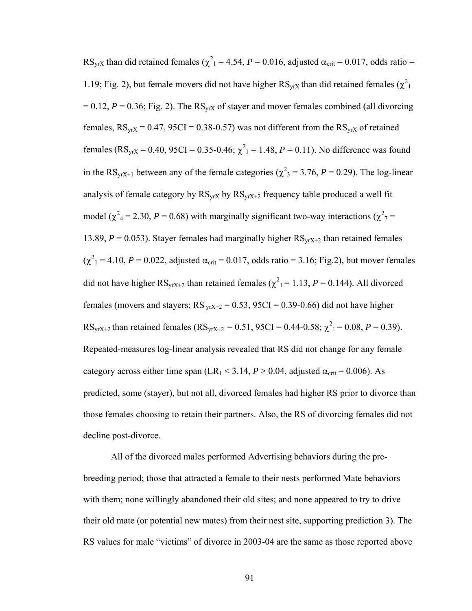RS<sub>yrX</sub> than did retained females ( $\chi^2$ <sub>1</sub> = 4.54, *P* = 0.016, adjusted  $\alpha$ <sub>crit</sub> = 0.017, odds ratio = 1.19; Fig. 2), but female movers did not have higher  $\text{RS}_{\text{yrX}}$  than did retained females  $(\chi^2)$  $= 0.12$ ,  $P = 0.36$ ; Fig. 2). The RS<sub>vrX</sub> of stayer and mover females combined (all divorcing females,  $RS_{VIX} = 0.47$ ,  $95CI = 0.38 - 0.57$ ) was not different from the  $RS_{VIX}$  of retained females ( $\text{RS}_{\text{yrx}} = 0.40$ ,  $95\text{CI} = 0.35 - 0.46$ ;  $\chi^2_1 = 1.48$ ,  $P = 0.11$ ). No difference was found in the RS<sub>yrX+1</sub> between any of the female categories ( $\chi^2$ <sub>3</sub> = 3.76, *P* = 0.29). The log-linear analysis of female category by  $RS_{VIX}$  by  $RS_{VIX+2}$  frequency table produced a well fit model ( $\chi^2$ <sub>4</sub> = 2.30, *P* = 0.68) with marginally significant two-way interactions ( $\chi^2$ <sub>7</sub> = 13.89,  $P = 0.053$ ). Stayer females had marginally higher  $RS_{yrx+2}$  than retained females  $(\chi^2_1 = 4.10, P = 0.022,$  adjusted  $\alpha_{\text{crit}} = 0.017,$  odds ratio = 3.16; Fig.2), but mover females did not have higher  $\text{RS}_{\text{yrX+2}}$  than retained females ( $\chi^2$ <sub>1</sub> = 1.13, *P* = 0.144). All divorced females (movers and stayers;  $RS_{vrx+2} = 0.53$ ,  $95CI = 0.39 - 0.66$ ) did not have higher RS<sub>yrX+2</sub> than retained females (RS<sub>yrX+2</sub> = 0.51, 95CI = 0.44-0.58;  $\chi^2$ <sub>1</sub> = 0.08, *P* = 0.39). Repeated-measures log-linear analysis revealed that RS did not change for any female category across either time span (LR<sub>1</sub> < 3.14,  $P > 0.04$ , adjusted  $\alpha_{\text{crit}} = 0.006$ ). As predicted, some (stayer), but not all, divorced females had higher RS prior to divorce than those females choosing to retain their partners. Also, the RS of divorcing females did not decline post-divorce.

All of the divorced males performed Advertising behaviors during the prebreeding period; those that attracted a female to their nests performed Mate behaviors with them; none willingly abandoned their old sites; and none appeared to try to drive their old mate (or potential new mates) from their nest site, supporting prediction 3). The RS values for male "victims" of divorce in 2003-04 are the same as those reported above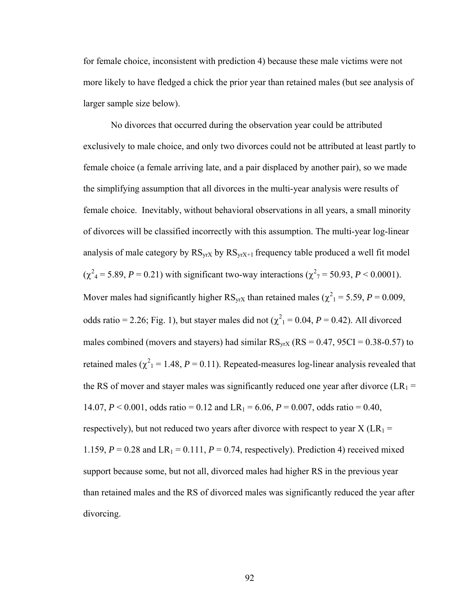for female choice, inconsistent with prediction 4) because these male victims were not more likely to have fledged a chick the prior year than retained males (but see analysis of larger sample size below).

No divorces that occurred during the observation year could be attributed exclusively to male choice, and only two divorces could not be attributed at least partly to female choice (a female arriving late, and a pair displaced by another pair), so we made the simplifying assumption that all divorces in the multi-year analysis were results of female choice. Inevitably, without behavioral observations in all years, a small minority of divorces will be classified incorrectly with this assumption. The multi-year log-linear analysis of male category by  $RS_{VIX}$  by  $RS_{VIX+1}$  frequency table produced a well fit model  $(\chi^2_4 = 5.89, P = 0.21)$  with significant two-way interactions  $(\chi^2_7 = 50.93, P < 0.0001)$ . Mover males had significantly higher  $\text{RS}_{\text{yrx}}$  than retained males ( $\chi^2$ <sub>1</sub> = 5.59, *P* = 0.009, odds ratio = 2.26; Fig. 1), but stayer males did not  $(\chi^2_1 = 0.04, P = 0.42)$ . All divorced males combined (movers and stayers) had similar  $RS_{VIX}$  ( $RS = 0.47$ ,  $95CI = 0.38 - 0.57$ ) to retained males  $(\chi^2_1 = 1.48, P = 0.11)$ . Repeated-measures log-linear analysis revealed that the RS of mover and stayer males was significantly reduced one year after divorce ( $LR_1$  = 14.07,  $P \le 0.001$ , odds ratio = 0.12 and LR<sub>1</sub> = 6.06,  $P = 0.007$ , odds ratio = 0.40, respectively), but not reduced two years after divorce with respect to year  $X$  (LR<sub>1</sub> = 1.159,  $P = 0.28$  and  $LR_1 = 0.111$ ,  $P = 0.74$ , respectively). Prediction 4) received mixed support because some, but not all, divorced males had higher RS in the previous year than retained males and the RS of divorced males was significantly reduced the year after divorcing.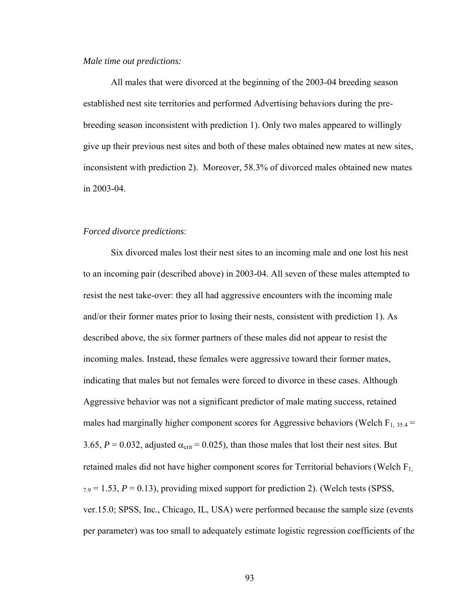#### *Male time out predictions:*

All males that were divorced at the beginning of the 2003-04 breeding season established nest site territories and performed Advertising behaviors during the prebreeding season inconsistent with prediction 1). Only two males appeared to willingly give up their previous nest sites and both of these males obtained new mates at new sites, inconsistent with prediction 2). Moreover, 58.3% of divorced males obtained new mates in 2003-04.

# *Forced divorce predictions*:

Six divorced males lost their nest sites to an incoming male and one lost his nest to an incoming pair (described above) in 2003-04. All seven of these males attempted to resist the nest take-over: they all had aggressive encounters with the incoming male and/or their former mates prior to losing their nests, consistent with prediction 1). As described above, the six former partners of these males did not appear to resist the incoming males. Instead, these females were aggressive toward their former mates, indicating that males but not females were forced to divorce in these cases. Although Aggressive behavior was not a significant predictor of male mating success, retained males had marginally higher component scores for Aggressive behaviors (Welch  $F_{1, 35.4}$  = 3.65,  $P = 0.032$ , adjusted  $\alpha_{\text{crit}} = 0.025$ ), than those males that lost their nest sites. But retained males did not have higher component scores for Territorial behaviors (Welch  $F_{1}$ ,  $_{7.9}$  = 1.53,  $P = 0.13$ ), providing mixed support for prediction 2). (Welch tests (SPSS, ver.15.0; SPSS, Inc., Chicago, IL, USA) were performed because the sample size (events per parameter) was too small to adequately estimate logistic regression coefficients of the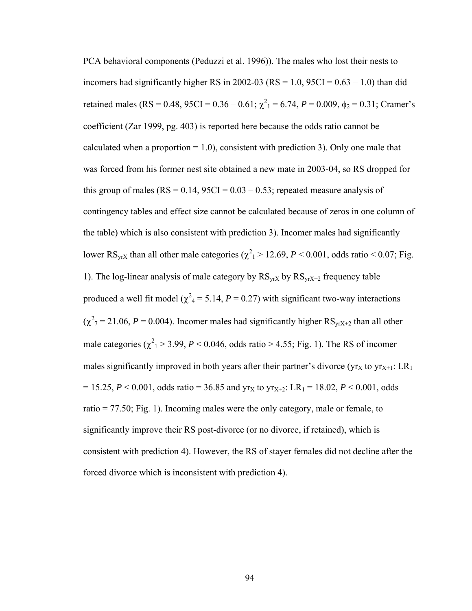PCA behavioral components (Peduzzi et al. 1996)). The males who lost their nests to incomers had significantly higher RS in 2002-03 ( $RS = 1.0$ ,  $95CI = 0.63 - 1.0$ ) than did retained males (RS = 0.48, 95CI = 0.36 – 0.61;  $\chi^2$ <sub>1</sub> = 6.74, *P* = 0.009,  $\phi$ <sub>2</sub> = 0.31; Cramer's coefficient (Zar 1999, pg. 403) is reported here because the odds ratio cannot be calculated when a proportion  $= 1.0$ ), consistent with prediction 3). Only one male that was forced from his former nest site obtained a new mate in 2003-04, so RS dropped for this group of males ( $RS = 0.14$ ,  $95CI = 0.03 - 0.53$ ; repeated measure analysis of contingency tables and effect size cannot be calculated because of zeros in one column of the table) which is also consistent with prediction 3). Incomer males had significantly lower RS<sub>yrX</sub> than all other male categories ( $\chi^2$ <sub>1</sub> > 12.69, *P* < 0.001, odds ratio < 0.07; Fig. 1). The log-linear analysis of male category by  $RS_{yrx}$  by  $RS_{yrx+2}$  frequency table produced a well fit model ( $\chi^2$ <sub>4</sub> = 5.14, *P* = 0.27) with significant two-way interactions  $(\chi^2_{7} = 21.06, P = 0.004)$ . Incomer males had significantly higher RS<sub>yrX+2</sub> than all other male categories  $(\chi^2$ <sub>1</sub> > 3.99, *P* < 0.046, odds ratio > 4.55; Fig. 1). The RS of incomer males significantly improved in both years after their partner's divorce (yr<sub>X</sub> to  $y_{r_{X+1}}$ : LR<sub>1</sub>  $= 15.25, P \le 0.001$ , odds ratio = 36.85 and yr<sub>X</sub> to yr<sub>X+2</sub>: LR<sub>1</sub> = 18.02, *P* < 0.001, odds ratio = 77.50; Fig. 1). Incoming males were the only category, male or female, to significantly improve their RS post-divorce (or no divorce, if retained), which is consistent with prediction 4). However, the RS of stayer females did not decline after the forced divorce which is inconsistent with prediction 4).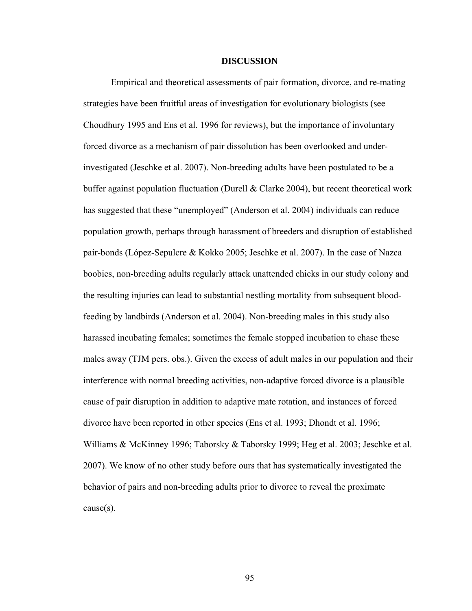#### **DISCUSSION**

Empirical and theoretical assessments of pair formation, divorce, and re-mating strategies have been fruitful areas of investigation for evolutionary biologists (see Choudhury 1995 and Ens et al. 1996 for reviews), but the importance of involuntary forced divorce as a mechanism of pair dissolution has been overlooked and underinvestigated (Jeschke et al. 2007). Non-breeding adults have been postulated to be a buffer against population fluctuation (Durell & Clarke 2004), but recent theoretical work has suggested that these "unemployed" (Anderson et al. 2004) individuals can reduce population growth, perhaps through harassment of breeders and disruption of established pair-bonds (López-Sepulcre & Kokko 2005; Jeschke et al. 2007). In the case of Nazca boobies, non-breeding adults regularly attack unattended chicks in our study colony and the resulting injuries can lead to substantial nestling mortality from subsequent bloodfeeding by landbirds (Anderson et al. 2004). Non-breeding males in this study also harassed incubating females; sometimes the female stopped incubation to chase these males away (TJM pers. obs.). Given the excess of adult males in our population and their interference with normal breeding activities, non-adaptive forced divorce is a plausible cause of pair disruption in addition to adaptive mate rotation, and instances of forced divorce have been reported in other species (Ens et al. 1993; Dhondt et al. 1996; Williams & McKinney 1996; Taborsky & Taborsky 1999; Heg et al. 2003; Jeschke et al. 2007). We know of no other study before ours that has systematically investigated the behavior of pairs and non-breeding adults prior to divorce to reveal the proximate cause(s).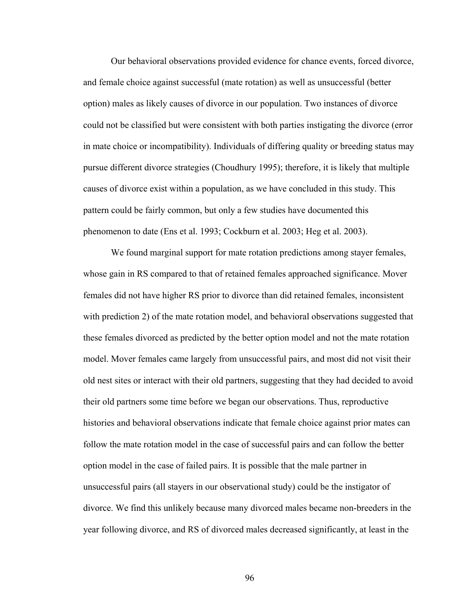Our behavioral observations provided evidence for chance events, forced divorce, and female choice against successful (mate rotation) as well as unsuccessful (better option) males as likely causes of divorce in our population. Two instances of divorce could not be classified but were consistent with both parties instigating the divorce (error in mate choice or incompatibility). Individuals of differing quality or breeding status may pursue different divorce strategies (Choudhury 1995); therefore, it is likely that multiple causes of divorce exist within a population, as we have concluded in this study. This pattern could be fairly common, but only a few studies have documented this phenomenon to date (Ens et al. 1993; Cockburn et al. 2003; Heg et al. 2003).

 We found marginal support for mate rotation predictions among stayer females, whose gain in RS compared to that of retained females approached significance. Mover females did not have higher RS prior to divorce than did retained females, inconsistent with prediction 2) of the mate rotation model, and behavioral observations suggested that these females divorced as predicted by the better option model and not the mate rotation model. Mover females came largely from unsuccessful pairs, and most did not visit their old nest sites or interact with their old partners, suggesting that they had decided to avoid their old partners some time before we began our observations. Thus, reproductive histories and behavioral observations indicate that female choice against prior mates can follow the mate rotation model in the case of successful pairs and can follow the better option model in the case of failed pairs. It is possible that the male partner in unsuccessful pairs (all stayers in our observational study) could be the instigator of divorce. We find this unlikely because many divorced males became non-breeders in the year following divorce, and RS of divorced males decreased significantly, at least in the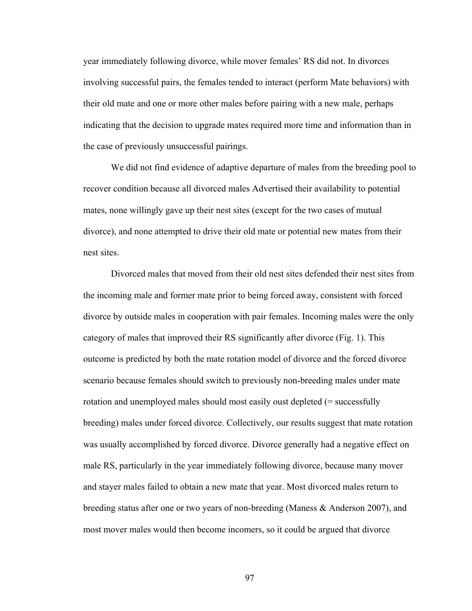year immediately following divorce, while mover females' RS did not. In divorces involving successful pairs, the females tended to interact (perform Mate behaviors) with their old mate and one or more other males before pairing with a new male, perhaps indicating that the decision to upgrade mates required more time and information than in the case of previously unsuccessful pairings.

 We did not find evidence of adaptive departure of males from the breeding pool to recover condition because all divorced males Advertised their availability to potential mates, none willingly gave up their nest sites (except for the two cases of mutual divorce), and none attempted to drive their old mate or potential new mates from their nest sites.

Divorced males that moved from their old nest sites defended their nest sites from the incoming male and former mate prior to being forced away, consistent with forced divorce by outside males in cooperation with pair females. Incoming males were the only category of males that improved their RS significantly after divorce (Fig. 1). This outcome is predicted by both the mate rotation model of divorce and the forced divorce scenario because females should switch to previously non-breeding males under mate rotation and unemployed males should most easily oust depleted (= successfully breeding) males under forced divorce. Collectively, our results suggest that mate rotation was usually accomplished by forced divorce. Divorce generally had a negative effect on male RS, particularly in the year immediately following divorce, because many mover and stayer males failed to obtain a new mate that year. Most divorced males return to breeding status after one or two years of non-breeding (Maness & Anderson 2007), and most mover males would then become incomers, so it could be argued that divorce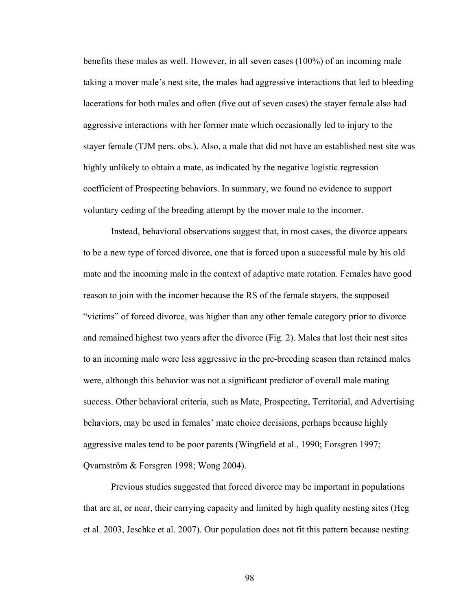benefits these males as well. However, in all seven cases (100%) of an incoming male taking a mover male's nest site, the males had aggressive interactions that led to bleeding lacerations for both males and often (five out of seven cases) the stayer female also had aggressive interactions with her former mate which occasionally led to injury to the stayer female (TJM pers. obs.). Also, a male that did not have an established nest site was highly unlikely to obtain a mate, as indicated by the negative logistic regression coefficient of Prospecting behaviors. In summary, we found no evidence to support voluntary ceding of the breeding attempt by the mover male to the incomer.

Instead, behavioral observations suggest that, in most cases, the divorce appears to be a new type of forced divorce, one that is forced upon a successful male by his old mate and the incoming male in the context of adaptive mate rotation. Females have good reason to join with the incomer because the RS of the female stayers, the supposed "victims" of forced divorce, was higher than any other female category prior to divorce and remained highest two years after the divorce (Fig. 2). Males that lost their nest sites to an incoming male were less aggressive in the pre-breeding season than retained males were, although this behavior was not a significant predictor of overall male mating success. Other behavioral criteria, such as Mate, Prospecting, Territorial, and Advertising behaviors, may be used in females' mate choice decisions, perhaps because highly aggressive males tend to be poor parents (Wingfield et al., 1990; Forsgren 1997; Qvarnström & Forsgren 1998; Wong 2004).

Previous studies suggested that forced divorce may be important in populations that are at, or near, their carrying capacity and limited by high quality nesting sites (Heg et al. 2003, Jeschke et al. 2007). Our population does not fit this pattern because nesting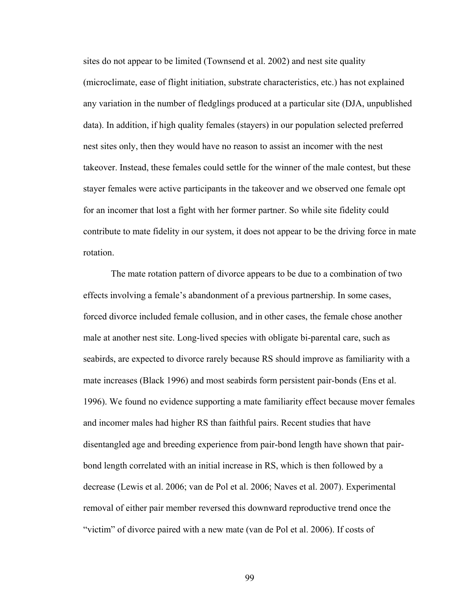sites do not appear to be limited (Townsend et al. 2002) and nest site quality (microclimate, ease of flight initiation, substrate characteristics, etc.) has not explained any variation in the number of fledglings produced at a particular site (DJA, unpublished data). In addition, if high quality females (stayers) in our population selected preferred nest sites only, then they would have no reason to assist an incomer with the nest takeover. Instead, these females could settle for the winner of the male contest, but these stayer females were active participants in the takeover and we observed one female opt for an incomer that lost a fight with her former partner. So while site fidelity could contribute to mate fidelity in our system, it does not appear to be the driving force in mate rotation.

The mate rotation pattern of divorce appears to be due to a combination of two effects involving a female's abandonment of a previous partnership. In some cases, forced divorce included female collusion, and in other cases, the female chose another male at another nest site. Long-lived species with obligate bi-parental care, such as seabirds, are expected to divorce rarely because RS should improve as familiarity with a mate increases (Black 1996) and most seabirds form persistent pair-bonds (Ens et al. 1996). We found no evidence supporting a mate familiarity effect because mover females and incomer males had higher RS than faithful pairs. Recent studies that have disentangled age and breeding experience from pair-bond length have shown that pairbond length correlated with an initial increase in RS, which is then followed by a decrease (Lewis et al. 2006; van de Pol et al. 2006; Naves et al. 2007). Experimental removal of either pair member reversed this downward reproductive trend once the "victim" of divorce paired with a new mate (van de Pol et al. 2006). If costs of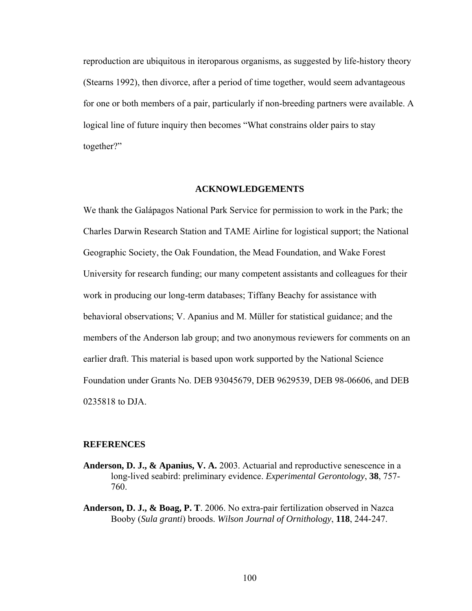reproduction are ubiquitous in iteroparous organisms, as suggested by life-history theory (Stearns 1992), then divorce, after a period of time together, would seem advantageous for one or both members of a pair, particularly if non-breeding partners were available. A logical line of future inquiry then becomes "What constrains older pairs to stay together?"

#### **ACKNOWLEDGEMENTS**

We thank the Galápagos National Park Service for permission to work in the Park; the Charles Darwin Research Station and TAME Airline for logistical support; the National Geographic Society, the Oak Foundation, the Mead Foundation, and Wake Forest University for research funding; our many competent assistants and colleagues for their work in producing our long-term databases; Tiffany Beachy for assistance with behavioral observations; V. Apanius and M. Müller for statistical guidance; and the members of the Anderson lab group; and two anonymous reviewers for comments on an earlier draft. This material is based upon work supported by the National Science Foundation under Grants No. DEB 93045679, DEB 9629539, DEB 98-06606, and DEB 0235818 to DJA.

#### **REFERENCES**

- **Anderson, D. J., & Apanius, V. A.** 2003. Actuarial and reproductive senescence in a long-lived seabird: preliminary evidence. *Experimental Gerontology*, **38**, 757- 760.
- **Anderson, D. J., & Boag, P. T**. 2006. No extra-pair fertilization observed in Nazca Booby (*Sula granti*) broods. *Wilson Journal of Ornithol*o*gy*, **118**, 244-247.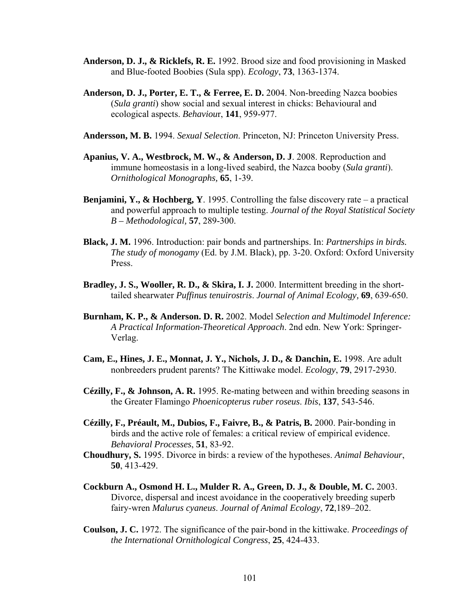- **Anderson, D. J., & Ricklefs, R. E.** 1992. Brood size and food provisioning in Masked and Blue-footed Boobies (Sula spp). *Ecology*, **73**, 1363-1374.
- **Anderson, D. J., Porter, E. T., & Ferree, E. D.** 2004. Non-breeding Nazca boobies (*Sula granti*) show social and sexual interest in chicks: Behavioural and ecological aspects. *Behaviou*r, **141**, 959-977.
- **Andersson, M. B.** 1994. *Sexual Selection*. Princeton, NJ: Princeton University Press.
- **Apanius, V. A., Westbrock, M. W., & Anderson, D. J**. 2008. Reproduction and immune homeostasis in a long-lived seabird, the Nazca booby (*Sula granti*). *Ornithological Monographs,* **65**, 1-39.
- **Benjamini, Y., & Hochberg, Y**. 1995. Controlling the false discovery rate a practical and powerful approach to multiple testing. *Journal of the Royal Statistical Society B – Methodological,* **57**, 289-300.
- **Black, J. M.** 1996. Introduction: pair bonds and partnerships. In: *Partnerships in birds. The study of monogamy* (Ed. by J.M. Black), pp. 3-20. Oxford: Oxford University Press.
- **Bradley, J. S., Wooller, R. D., & Skira, I. J.** 2000. Intermittent breeding in the shorttailed shearwater *Puffinus tenuirostris*. *Journal of Animal Ecology,* **69**, 639-650.
- **Burnham, K. P., & Anderson. D. R.** 2002. Model *Selection and Multimodel Inference: A Practical Information-Theoretical Approach*. 2nd edn. New York: Springer-Verlag.
- **Cam, E., Hines, J. E., Monnat, J. Y., Nichols, J. D., & Danchin, E.** 1998. Are adult nonbreeders prudent parents? The Kittiwake model. *Ecology*, **79**, 2917-2930.
- **Cézilly, F., & Johnson, A. R.** 1995. Re-mating between and within breeding seasons in the Greater Flamingo *Phoenicopterus ruber roseus*. *Ibis*, **137**, 543-546.
- **Cézilly, F., Préault, M., Dubios, F., Faivre, B., & Patris, B.** 2000. Pair-bonding in birds and the active role of females: a critical review of empirical evidence. *Behavioral Processes*, **51**, 83-92.
- **Choudhury, S.** 1995. Divorce in birds: a review of the hypotheses. *Animal Behaviour*, **50**, 413-429.
- **Cockburn A., Osmond H. L., Mulder R. A., Green, D. J., & Double, M. C.** 2003. Divorce, dispersal and incest avoidance in the cooperatively breeding superb fairy-wren *Malurus cyaneus*. *Journal of Animal Ecology*, **72**,189–202.
- **Coulson, J. C.** 1972. The significance of the pair-bond in the kittiwake. *Proceedings of the International Ornithological Congress*, **25**, 424-433.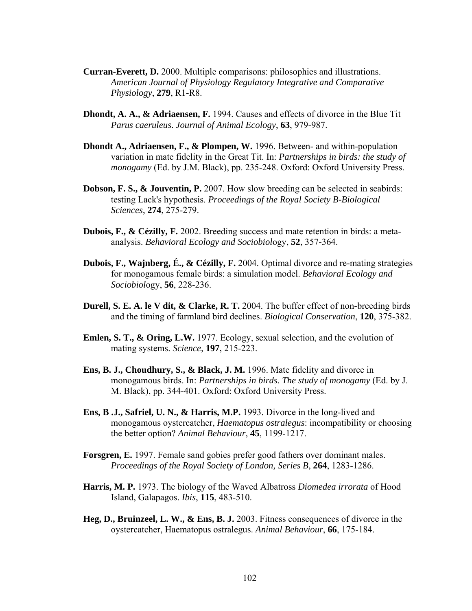- **Curran-Everett, D.** 2000. Multiple comparisons: philosophies and illustrations. *American Journal of Physiology Regulatory Integrative and Comparative Physiology*, **279**, R1-R8.
- **Dhondt, A. A., & Adriaensen, F.** 1994. Causes and effects of divorce in the Blue Tit *Parus caeruleus*. *Journal of Animal Ecology*, **63**, 979-987.
- **Dhondt A., Adriaensen, F., & Plompen, W.** 1996. Between- and within-population variation in mate fidelity in the Great Tit. In: *Partnerships in birds: the study of monogamy* (Ed. by J.M. Black), pp. 235-248. Oxford: Oxford University Press.
- **Dobson, F. S., & Jouventin, P.** 2007. How slow breeding can be selected in seabirds: testing Lack's hypothesis. *Proceedings of the Royal Society B-Biological Sciences*, **274**, 275-279.
- **Dubois, F., & Cézilly, F.** 2002. Breeding success and mate retention in birds: a meta analysis. *Behavioral Ecology and Sociobiol*ogy, **52**, 357-364.
- **Dubois, F., Wajnberg, É., & Cézilly, F.** 2004. Optimal divorce and re-mating strategies for monogamous female birds: a simulation model. *Behavioral Ecology and Sociobiol*ogy, **56**, 228-236.
- **Durell, S. E. A. le V dit, & Clarke, R. T.** 2004. The buffer effect of non-breeding birds and the timing of farmland bird declines. *Biological Conservation*, **120**, 375-382.
- **Emlen, S. T., & Oring, L.W.** 1977. Ecology, sexual selection, and the evolution of mating systems. *Science,* **197**, 215-223.
- **Ens, B. J., Choudhury, S., & Black, J. M.** 1996. Mate fidelity and divorce in monogamous birds. In: *Partnerships in birds. The study of monogamy* (Ed. by J. M. Black), pp. 344-401. Oxford: Oxford University Press.
- **Ens, B .J., Safriel, U. N., & Harris, M.P.** 1993. Divorce in the long-lived and monogamous oystercatcher, *Haematopus ostralegus*: incompatibility or choosing the better option? *Animal Behaviour*, **45**, 1199-1217.
- **Forsgren, E.** 1997. Female sand gobies prefer good fathers over dominant males. *Proceedings of the Royal Society of London, Series B*, **264**, 1283-1286.
- **Harris, M. P.** 1973. The biology of the Waved Albatross *Diomedea irrorata* of Hood Island, Galapagos. *Ibis*, **115**, 483-510.
- **Heg, D., Bruinzeel, L. W., & Ens, B. J.** 2003. Fitness consequences of divorce in the oystercatcher, Haematopus ostralegus. *Animal Behaviour*, **66**, 175-184.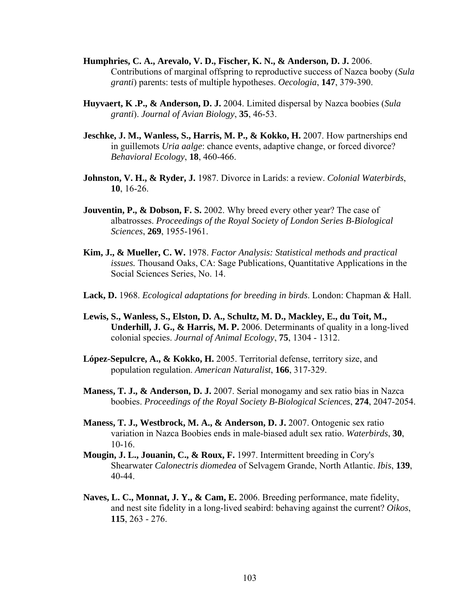- **Humphries, C. A., Arevalo, V. D., Fischer, K. N., & Anderson, D. J.** 2006. Contributions of marginal offspring to reproductive success of Nazca booby (*Sula granti*) parents: tests of multiple hypotheses. *Oecologia*, **147**, 379-390.
- **Huyvaert, K .P., & Anderson, D. J.** 2004. Limited dispersal by Nazca boobies (*Sula granti*). *Journal of Avian Biology*, **35**, 46-53.
- **Jeschke, J. M., Wanless, S., Harris, M. P., & Kokko, H.** 2007. How partnerships end in guillemots *Uria aalge*: chance events, adaptive change, or forced divorce? *Behavioral Ecology*, **18**, 460-466.
- **Johnston, V. H., & Ryder, J.** 1987. Divorce in Larids: a review. *Colonial Waterbirds*, **10**, 16-26.
- **Jouventin, P., & Dobson, F. S.** 2002. Why breed every other year? The case of albatrosses. *Proceedings of the Royal Society of London Series B-Biological Sciences*, **269**, 1955-1961.
- **Kim, J., & Mueller, C. W.** 1978. *Factor Analysis: Statistical methods and practical issues.* Thousand Oaks, CA: Sage Publications, Quantitative Applications in the Social Sciences Series, No. 14.
- **Lack, D.** 1968. *Ecological adaptations for breeding in birds*. London: Chapman & Hall.
- **Lewis, S., Wanless, S., Elston, D. A., Schultz, M. D., Mackley, E., du Toit, M., Underhill, J. G., & Harris, M. P.** 2006. Determinants of quality in a long-lived colonial species. *Journal of Animal Ecology*, **75**, 1304 - 1312.
- **López-Sepulcre, A., & Kokko, H.** 2005. Territorial defense, territory size, and population regulation. *American Naturalist*, **166**, 317-329.
- **Maness, T. J., & Anderson, D. J.** 2007. Serial monogamy and sex ratio bias in Nazca boobies. *Proceedings of the Royal Society B-Biological Sciences*, **274**, 2047-2054.
- **Maness, T. J., Westbrock, M. A., & Anderson, D. J.** 2007. Ontogenic sex ratio variation in Nazca Boobies ends in male-biased adult sex ratio. *Waterbirds*, **30**, 10-16.
- **Mougin, J. L., Jouanin, C., & Roux, F.** 1997. Intermittent breeding in Cory's Shearwater *Calonectris diomedea* of Selvagem Grande, North Atlantic. *Ibis*, **139**, 40-44.
- **Naves, L. C., Monnat, J. Y., & Cam, E.** 2006. Breeding performance, mate fidelity, and nest site fidelity in a long-lived seabird: behaving against the current? *Oikos*, **115**, 263 - 276.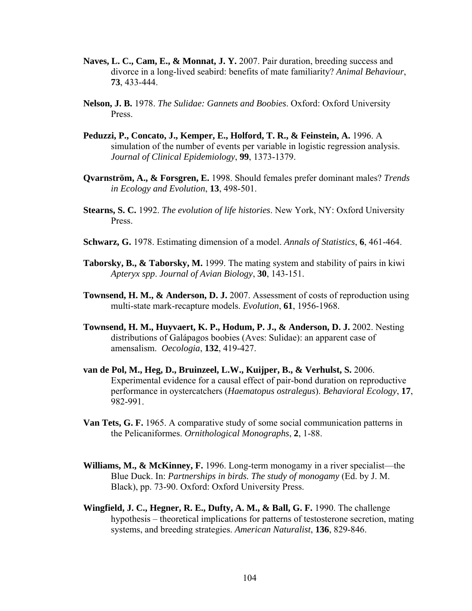- **Naves, L. C., Cam, E., & Monnat, J. Y.** 2007. Pair duration, breeding success and divorce in a long-lived seabird: benefits of mate familiarity? *Animal Behaviour*, **73**, 433-444.
- **Nelson, J. B.** 1978. *The Sulidae: Gannets and Boobies*. Oxford: Oxford University Press.
- **Peduzzi, P., Concato, J., Kemper, E., Holford, T. R., & Feinstein, A.** 1996. A simulation of the number of events per variable in logistic regression analysis. *Journal of Clinical Epidemiology*, **99**, 1373-1379.
- **Qvarnström, A., & Forsgren, E.** 1998. Should females prefer dominant males? *Trends in Ecology and Evolution*, **13**, 498-501.
- **Stearns, S. C.** 1992. *The evolution of life histories*. New York, NY: Oxford University Press.
- **Schwarz, G.** 1978. Estimating dimension of a model. *Annals of Statistics*, **6**, 461-464.
- **Taborsky, B., & Taborsky, M.** 1999. The mating system and stability of pairs in kiwi *Apteryx spp*. *Journal of Avian Biology*, **30**, 143-151.
- **Townsend, H. M., & Anderson, D. J.** 2007. Assessment of costs of reproduction using multi-state mark-recapture models. *Evolution*, **61**, 1956-1968.
- **Townsend, H. M., Huyvaert, K. P., Hodum, P. J., & Anderson, D. J.** 2002. Nesting distributions of Galápagos boobies (Aves: Sulidae): an apparent case of amensalism. *Oecologia*, **132**, 419-427.
- **van de Pol, M., Heg, D., Bruinzeel, L.W., Kuijper, B., & Verhulst, S.** 2006. Experimental evidence for a causal effect of pair-bond duration on reproductive performance in oystercatchers (*Haematopus ostralegus*). *Behavioral Ecology*, **17**, 982-991.
- **Van Tets, G. F.** 1965. A comparative study of some social communication patterns in the Pelicaniformes. *Ornithological Monographs*, **2**, 1-88.
- **Williams, M., & McKinney, F.** 1996. Long-term monogamy in a river specialist—the Blue Duck. In: *Partnerships in birds. The study of monogamy* (Ed. by J. M. Black), pp. 73-90. Oxford: Oxford University Press.
- **Wingfield, J. C., Hegner, R. E., Dufty, A. M., & Ball, G. F.** 1990. The challenge hypothesis – theoretical implications for patterns of testosterone secretion, mating systems, and breeding strategies. *American Naturalist*, **136**, 829-846.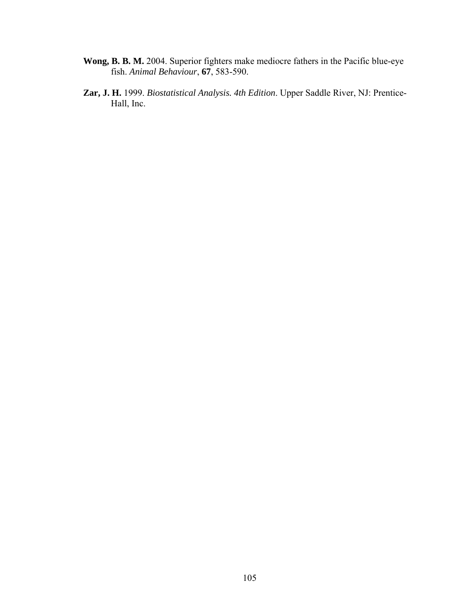- **Wong, B. B. M.** 2004. Superior fighters make mediocre fathers in the Pacific blue-eye fish. *Animal Behaviour*, **67**, 583-590.
- **Zar, J. H.** 1999. *Biostatistical Analysis. 4th Edition*. Upper Saddle River, NJ: Prentice- Hall, Inc.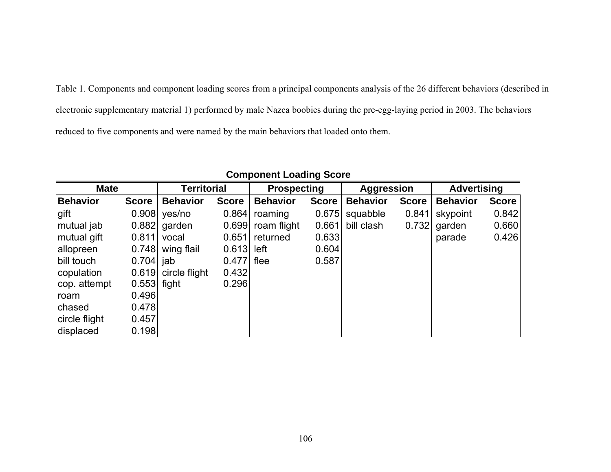Table 1. Components and component loading scores from a principal components analysis of the 26 different behaviors (described in electronic supplementary material 1) performed by male Nazca boobies during the pre-egg-laying period in 2003. The behaviors reduced to five components and were named by the main behaviors that loaded onto them.

| <b>Mate</b>     |               | <b>Territorial</b> |              | <b>Prospecting</b> |              | <b>Aggression</b> |              | <b>Advertising</b> |              |
|-----------------|---------------|--------------------|--------------|--------------------|--------------|-------------------|--------------|--------------------|--------------|
| <b>Behavior</b> | <b>Score</b>  | <b>Behavior</b>    | <b>Score</b> | <b>Behavior</b>    | <b>Score</b> | <b>Behavior</b>   | <b>Score</b> | <b>Behavior</b>    | <b>Score</b> |
| gift            | 0.908         | yes/no             | 0.864        | roaming            | 0.675        | squabble          | 0.841        | skypoint           | 0.842        |
| mutual jab      | 0.882         | garden             | 0.699        | roam flight        | 0.661        | bill clash        | 0.732        | garden             | 0.660        |
| mutual gift     | 0.811         | vocal              | 0.651        | returned           | 0.633        |                   |              | parade             | 0.426        |
| allopreen       | 0.748         | wing flail         | 0.613        | left               | 0.604        |                   |              |                    |              |
| bill touch      | 0.704         | jab                | 0.477        | flee               | 0.587        |                   |              |                    |              |
| copulation      | 0.619         | circle flight      | 0.432        |                    |              |                   |              |                    |              |
| cop. attempt    | $0.553$ fight |                    | 0.296        |                    |              |                   |              |                    |              |
| roam            | 0.496         |                    |              |                    |              |                   |              |                    |              |
| chased          | 0.478         |                    |              |                    |              |                   |              |                    |              |
| circle flight   | 0.457         |                    |              |                    |              |                   |              |                    |              |
| displaced       | 0.198         |                    |              |                    |              |                   |              |                    |              |

# **Component Loading Score**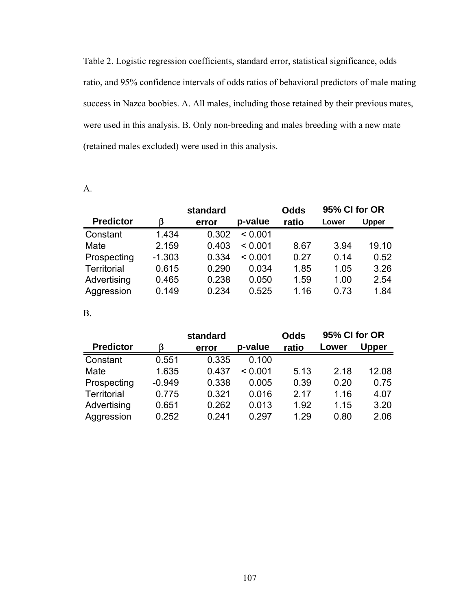Table 2. Logistic regression coefficients, standard error, statistical significance, odds ratio, and 95% confidence intervals of odds ratios of behavioral predictors of male mating success in Nazca boobies. A. All males, including those retained by their previous mates, were used in this analysis. B. Only non-breeding and males breeding with a new mate (retained males excluded) were used in this analysis.

A.

|                  |          | standard |         | <b>Odds</b> | 95% CI for OR |              |  |
|------------------|----------|----------|---------|-------------|---------------|--------------|--|
| <b>Predictor</b> | ß        | error    | p-value | ratio       | Lower         | <b>Upper</b> |  |
| Constant         | 1.434    | 0.302    | < 0.001 |             |               |              |  |
| Mate             | 2.159    | 0.403    | < 0.001 | 8.67        | 3.94          | 19.10        |  |
| Prospecting      | $-1.303$ | 0.334    | < 0.001 | 0.27        | 0.14          | 0.52         |  |
| Territorial      | 0.615    | 0.290    | 0.034   | 1.85        | 1.05          | 3.26         |  |
| Advertising      | 0.465    | 0.238    | 0.050   | 1.59        | 1.00          | 2.54         |  |
| Aggression       | 0.149    | 0.234    | 0.525   | 1.16        | 0.73          | 1.84         |  |

B.

|                  |          | standard |         | <b>Odds</b> | 95% CI for OR |              |  |
|------------------|----------|----------|---------|-------------|---------------|--------------|--|
| <b>Predictor</b> |          | error    | p-value | ratio       | Lower         | <b>Upper</b> |  |
| Constant         | 0.551    | 0.335    | 0.100   |             |               |              |  |
| Mate             | 1.635    | 0.437    | < 0.001 | 5.13        | 2.18          | 12.08        |  |
| Prospecting      | $-0.949$ | 0.338    | 0.005   | 0.39        | 0.20          | 0.75         |  |
| Territorial      | 0.775    | 0.321    | 0.016   | 2.17        | 1.16          | 4.07         |  |
| Advertising      | 0.651    | 0.262    | 0.013   | 1.92        | 1.15          | 3.20         |  |
| Aggression       | 0.252    | 0.241    | 0.297   | 1.29        | 0.80          | 2.06         |  |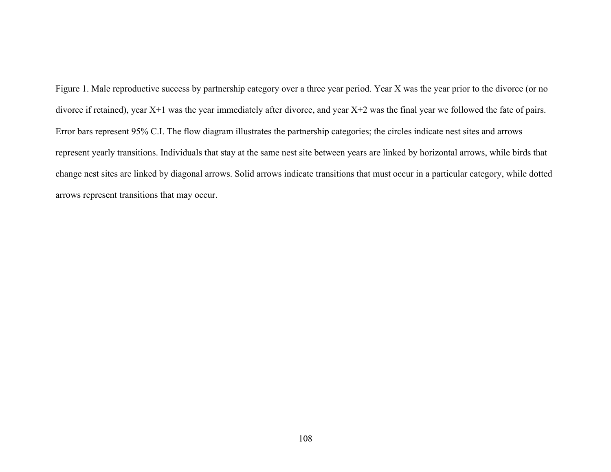Figure 1. Male reproductive success by partnership category over a three year period. Year X was the year prior to the divorce (or no divorce if retained), year X+1 was the year immediately after divorce, and year X+2 was the final year we followed the fate of pairs. Error bars represent 95% C.I. The flow diagram illustrates the partnership categories; the circles indicate nest sites and arrows represent yearly transitions. Individuals that stay at the same nest site between years are linked by horizontal arrows, while birds that change nest sites are linked by diagonal arrows. Solid arrows indicate transitions that must occur in a particular category, while dotted arrows represent transitions that may occur.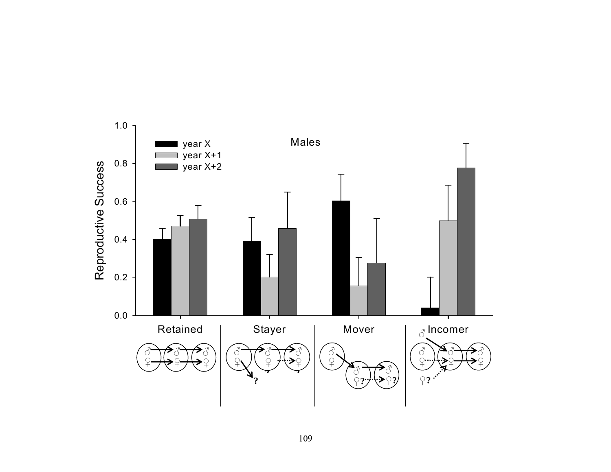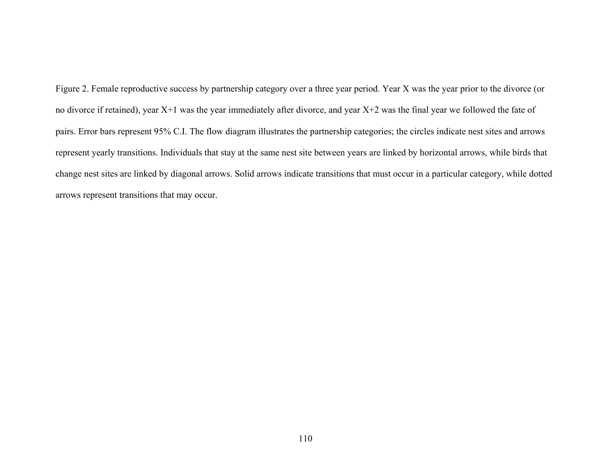Figure 2. Female reproductive success by partnership category over a three year period. Year X was the year prior to the divorce (or no divorce if retained), year X+1 was the year immediately after divorce, and year X+2 was the final year we followed the fate of pairs. Error bars represent 95% C.I. The flow diagram illustrates the partnership categories; the circles indicate nest sites and arrows represent yearly transitions. Individuals that stay at the same nest site between years are linked by horizontal arrows, while birds that change nest sites are linked by diagonal arrows. Solid arrows indicate transitions that must occur in a particular category, while dotted arrows represent transitions that may occur.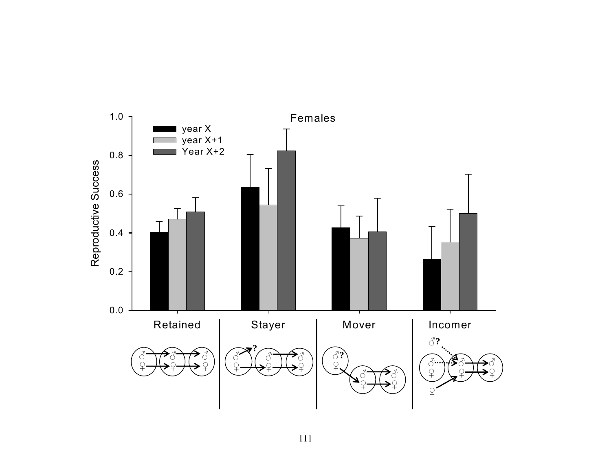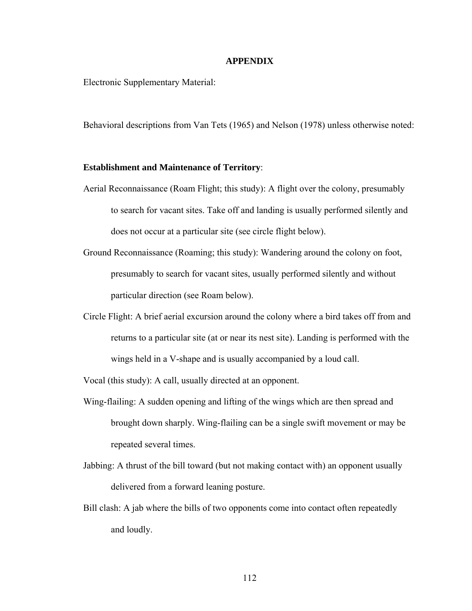#### **APPENDIX**

Electronic Supplementary Material:

Behavioral descriptions from Van Tets (1965) and Nelson (1978) unless otherwise noted:

#### **Establishment and Maintenance of Territory**:

- Aerial Reconnaissance (Roam Flight; this study): A flight over the colony, presumably to search for vacant sites. Take off and landing is usually performed silently and does not occur at a particular site (see circle flight below).
- Ground Reconnaissance (Roaming; this study): Wandering around the colony on foot, presumably to search for vacant sites, usually performed silently and without particular direction (see Roam below).
- Circle Flight: A brief aerial excursion around the colony where a bird takes off from and returns to a particular site (at or near its nest site). Landing is performed with the wings held in a V-shape and is usually accompanied by a loud call.

Vocal (this study): A call, usually directed at an opponent.

- Wing-flailing: A sudden opening and lifting of the wings which are then spread and brought down sharply. Wing-flailing can be a single swift movement or may be repeated several times.
- Jabbing: A thrust of the bill toward (but not making contact with) an opponent usually delivered from a forward leaning posture.
- Bill clash: A jab where the bills of two opponents come into contact often repeatedly and loudly.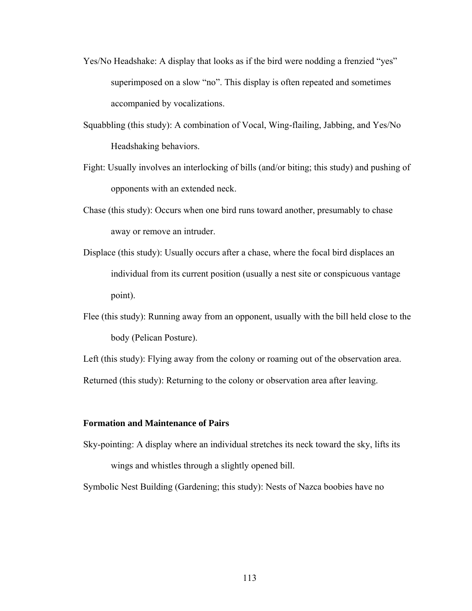- Yes/No Headshake: A display that looks as if the bird were nodding a frenzied "yes" superimposed on a slow "no". This display is often repeated and sometimes accompanied by vocalizations.
- Squabbling (this study): A combination of Vocal, Wing-flailing, Jabbing, and Yes/No Headshaking behaviors.
- Fight: Usually involves an interlocking of bills (and/or biting; this study) and pushing of opponents with an extended neck.
- Chase (this study): Occurs when one bird runs toward another, presumably to chase away or remove an intruder.
- Displace (this study): Usually occurs after a chase, where the focal bird displaces an individual from its current position (usually a nest site or conspicuous vantage point).
- Flee (this study): Running away from an opponent, usually with the bill held close to the body (Pelican Posture).

Left (this study): Flying away from the colony or roaming out of the observation area. Returned (this study): Returning to the colony or observation area after leaving.

#### **Formation and Maintenance of Pairs**

Sky-pointing: A display where an individual stretches its neck toward the sky, lifts its wings and whistles through a slightly opened bill.

Symbolic Nest Building (Gardening; this study): Nests of Nazca boobies have no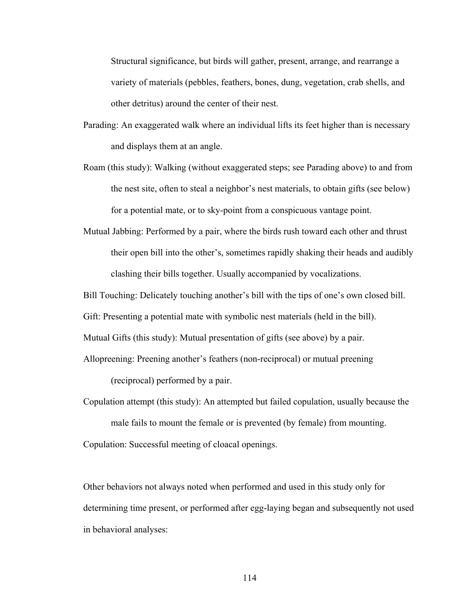Structural significance, but birds will gather, present, arrange, and rearrange a variety of materials (pebbles, feathers, bones, dung, vegetation, crab shells, and other detritus) around the center of their nest.

- Parading: An exaggerated walk where an individual lifts its feet higher than is necessary and displays them at an angle.
- Roam (this study): Walking (without exaggerated steps; see Parading above) to and from the nest site, often to steal a neighbor's nest materials, to obtain gifts (see below) for a potential mate, or to sky-point from a conspicuous vantage point.
- Mutual Jabbing: Performed by a pair, where the birds rush toward each other and thrust their open bill into the other's, sometimes rapidly shaking their heads and audibly clashing their bills together. Usually accompanied by vocalizations.

Bill Touching: Delicately touching another's bill with the tips of one's own closed bill.

Gift: Presenting a potential mate with symbolic nest materials (held in the bill).

Mutual Gifts (this study): Mutual presentation of gifts (see above) by a pair.

Allopreening: Preening another's feathers (non-reciprocal) or mutual preening

(reciprocal) performed by a pair.

Copulation attempt (this study): An attempted but failed copulation, usually because the male fails to mount the female or is prevented (by female) from mounting.

Copulation: Successful meeting of cloacal openings.

Other behaviors not always noted when performed and used in this study only for determining time present, or performed after egg-laying began and subsequently not used in behavioral analyses: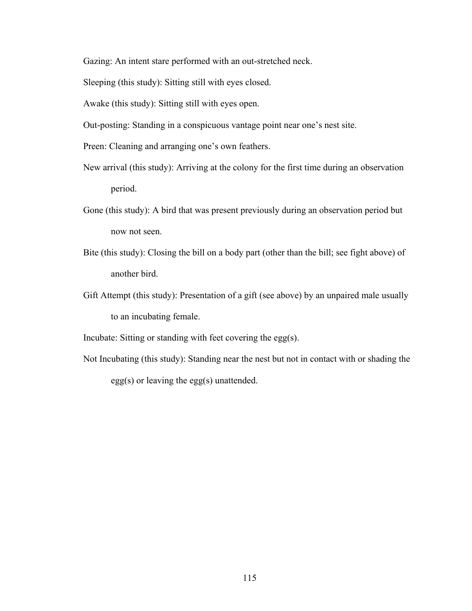Gazing: An intent stare performed with an out-stretched neck.

Sleeping (this study): Sitting still with eyes closed.

Awake (this study): Sitting still with eyes open.

Out-posting: Standing in a conspicuous vantage point near one's nest site.

Preen: Cleaning and arranging one's own feathers.

- New arrival (this study): Arriving at the colony for the first time during an observation period.
- Gone (this study): A bird that was present previously during an observation period but now not seen.
- Bite (this study): Closing the bill on a body part (other than the bill; see fight above) of another bird.
- Gift Attempt (this study): Presentation of a gift (see above) by an unpaired male usually to an incubating female.

Incubate: Sitting or standing with feet covering the egg(s).

Not Incubating (this study): Standing near the nest but not in contact with or shading the egg(s) or leaving the egg(s) unattended.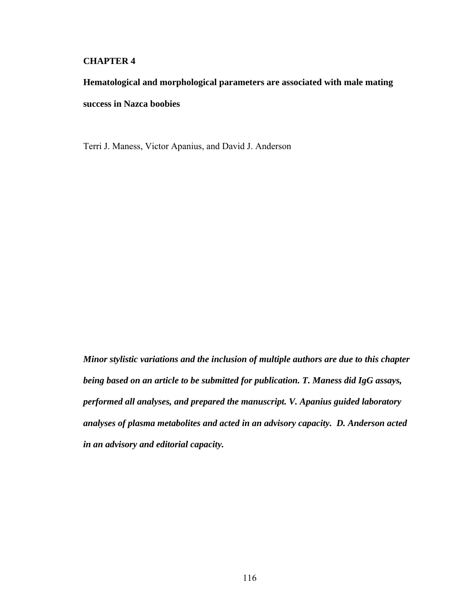# **CHAPTER 4**

# **Hematological and morphological parameters are associated with male mating success in Nazca boobies**

Terri J. Maness, Victor Apanius, and David J. Anderson

*Minor stylistic variations and the inclusion of multiple authors are due to this chapter being based on an article to be submitted for publication. T. Maness did IgG assays, performed all analyses, and prepared the manuscript. V. Apanius guided laboratory analyses of plasma metabolites and acted in an advisory capacity. D. Anderson acted in an advisory and editorial capacity.*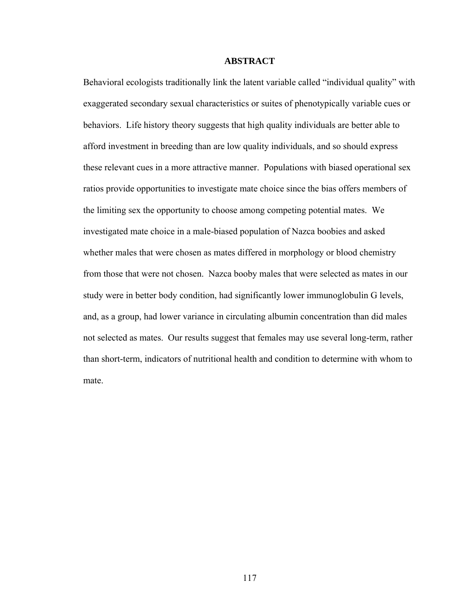#### **ABSTRACT**

Behavioral ecologists traditionally link the latent variable called "individual quality" with exaggerated secondary sexual characteristics or suites of phenotypically variable cues or behaviors. Life history theory suggests that high quality individuals are better able to afford investment in breeding than are low quality individuals, and so should express these relevant cues in a more attractive manner. Populations with biased operational sex ratios provide opportunities to investigate mate choice since the bias offers members of the limiting sex the opportunity to choose among competing potential mates. We investigated mate choice in a male-biased population of Nazca boobies and asked whether males that were chosen as mates differed in morphology or blood chemistry from those that were not chosen. Nazca booby males that were selected as mates in our study were in better body condition, had significantly lower immunoglobulin G levels, and, as a group, had lower variance in circulating albumin concentration than did males not selected as mates. Our results suggest that females may use several long-term, rather than short-term, indicators of nutritional health and condition to determine with whom to mate.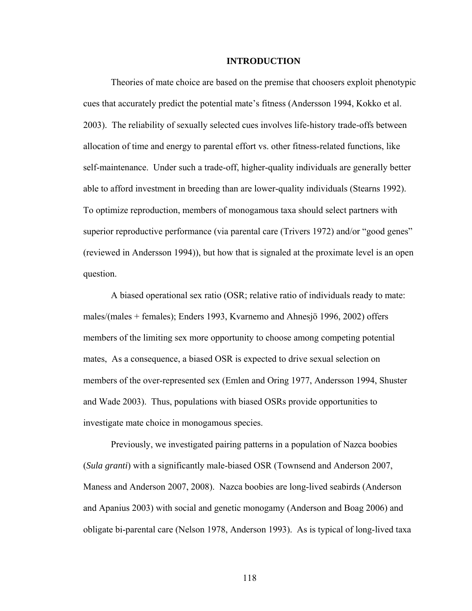#### **INTRODUCTION**

Theories of mate choice are based on the premise that choosers exploit phenotypic cues that accurately predict the potential mate's fitness (Andersson 1994, Kokko et al. 2003). The reliability of sexually selected cues involves life-history trade-offs between allocation of time and energy to parental effort vs. other fitness-related functions, like self-maintenance. Under such a trade-off, higher-quality individuals are generally better able to afford investment in breeding than are lower-quality individuals (Stearns 1992). To optimize reproduction, members of monogamous taxa should select partners with superior reproductive performance (via parental care (Trivers 1972) and/or "good genes" (reviewed in Andersson 1994)), but how that is signaled at the proximate level is an open question.

A biased operational sex ratio (OSR; relative ratio of individuals ready to mate: males/(males + females); Enders 1993, Kvarnemo and Ahnesjö 1996, 2002) offers members of the limiting sex more opportunity to choose among competing potential mates, As a consequence, a biased OSR is expected to drive sexual selection on members of the over-represented sex (Emlen and Oring 1977, Andersson 1994, Shuster and Wade 2003). Thus, populations with biased OSRs provide opportunities to investigate mate choice in monogamous species.

Previously, we investigated pairing patterns in a population of Nazca boobies (*Sula granti*) with a significantly male-biased OSR (Townsend and Anderson 2007, Maness and Anderson 2007, 2008). Nazca boobies are long-lived seabirds (Anderson and Apanius 2003) with social and genetic monogamy (Anderson and Boag 2006) and obligate bi-parental care (Nelson 1978, Anderson 1993). As is typical of long-lived taxa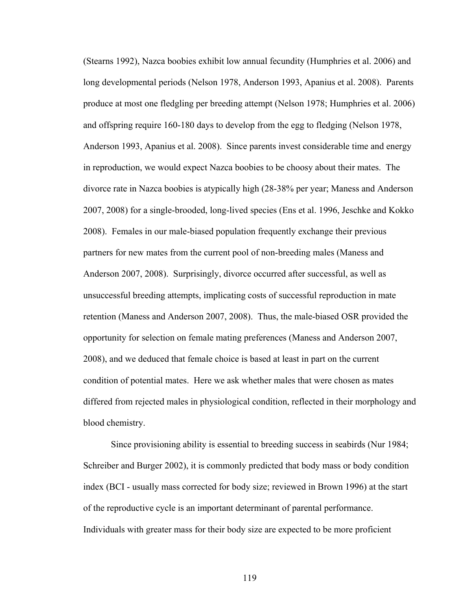(Stearns 1992), Nazca boobies exhibit low annual fecundity (Humphries et al. 2006) and long developmental periods (Nelson 1978, Anderson 1993, Apanius et al. 2008). Parents produce at most one fledgling per breeding attempt (Nelson 1978; Humphries et al. 2006) and offspring require 160-180 days to develop from the egg to fledging (Nelson 1978, Anderson 1993, Apanius et al. 2008). Since parents invest considerable time and energy in reproduction, we would expect Nazca boobies to be choosy about their mates. The divorce rate in Nazca boobies is atypically high (28-38% per year; Maness and Anderson 2007, 2008) for a single-brooded, long-lived species (Ens et al. 1996, Jeschke and Kokko 2008). Females in our male-biased population frequently exchange their previous partners for new mates from the current pool of non-breeding males (Maness and Anderson 2007, 2008). Surprisingly, divorce occurred after successful, as well as unsuccessful breeding attempts, implicating costs of successful reproduction in mate retention (Maness and Anderson 2007, 2008). Thus, the male-biased OSR provided the opportunity for selection on female mating preferences (Maness and Anderson 2007, 2008), and we deduced that female choice is based at least in part on the current condition of potential mates. Here we ask whether males that were chosen as mates differed from rejected males in physiological condition, reflected in their morphology and blood chemistry.

 Since provisioning ability is essential to breeding success in seabirds (Nur 1984; Schreiber and Burger 2002), it is commonly predicted that body mass or body condition index (BCI - usually mass corrected for body size; reviewed in Brown 1996) at the start of the reproductive cycle is an important determinant of parental performance. Individuals with greater mass for their body size are expected to be more proficient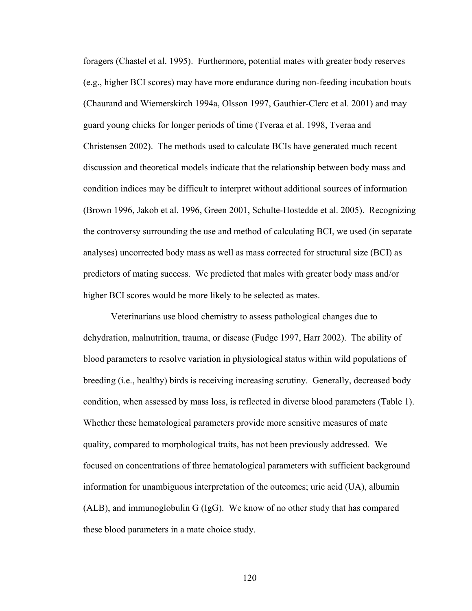foragers (Chastel et al. 1995). Furthermore, potential mates with greater body reserves (e.g., higher BCI scores) may have more endurance during non-feeding incubation bouts (Chaurand and Wiemerskirch 1994a, Olsson 1997, Gauthier-Clerc et al. 2001) and may guard young chicks for longer periods of time (Tveraa et al. 1998, Tveraa and Christensen 2002). The methods used to calculate BCIs have generated much recent discussion and theoretical models indicate that the relationship between body mass and condition indices may be difficult to interpret without additional sources of information (Brown 1996, Jakob et al. 1996, Green 2001, Schulte-Hostedde et al. 2005). Recognizing the controversy surrounding the use and method of calculating BCI, we used (in separate analyses) uncorrected body mass as well as mass corrected for structural size (BCI) as predictors of mating success. We predicted that males with greater body mass and/or higher BCI scores would be more likely to be selected as mates.

Veterinarians use blood chemistry to assess pathological changes due to dehydration, malnutrition, trauma, or disease (Fudge 1997, Harr 2002). The ability of blood parameters to resolve variation in physiological status within wild populations of breeding (i.e., healthy) birds is receiving increasing scrutiny. Generally, decreased body condition, when assessed by mass loss, is reflected in diverse blood parameters (Table 1). Whether these hematological parameters provide more sensitive measures of mate quality, compared to morphological traits, has not been previously addressed. We focused on concentrations of three hematological parameters with sufficient background information for unambiguous interpretation of the outcomes; uric acid (UA), albumin (ALB), and immunoglobulin G (IgG). We know of no other study that has compared these blood parameters in a mate choice study.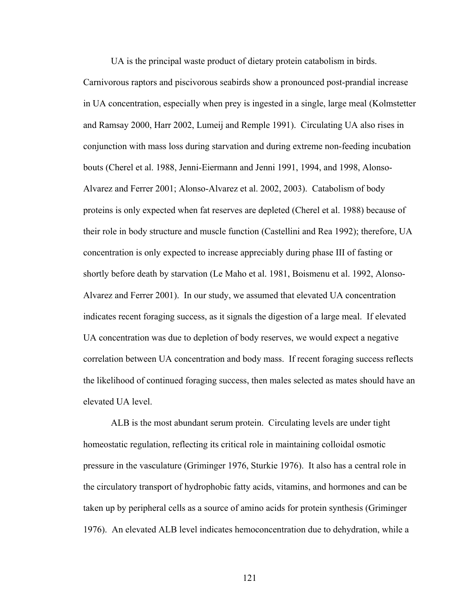UA is the principal waste product of dietary protein catabolism in birds.

Carnivorous raptors and piscivorous seabirds show a pronounced post-prandial increase in UA concentration, especially when prey is ingested in a single, large meal (Kolmstetter and Ramsay 2000, Harr 2002, Lumeij and Remple 1991). Circulating UA also rises in conjunction with mass loss during starvation and during extreme non-feeding incubation bouts (Cherel et al. 1988, Jenni-Eiermann and Jenni 1991, 1994, and 1998, Alonso-Alvarez and Ferrer 2001; Alonso-Alvarez et al. 2002, 2003). Catabolism of body proteins is only expected when fat reserves are depleted (Cherel et al. 1988) because of their role in body structure and muscle function (Castellini and Rea 1992); therefore, UA concentration is only expected to increase appreciably during phase III of fasting or shortly before death by starvation (Le Maho et al. 1981, Boismenu et al. 1992, Alonso-Alvarez and Ferrer 2001). In our study, we assumed that elevated UA concentration indicates recent foraging success, as it signals the digestion of a large meal. If elevated UA concentration was due to depletion of body reserves, we would expect a negative correlation between UA concentration and body mass. If recent foraging success reflects the likelihood of continued foraging success, then males selected as mates should have an elevated UA level.

 ALB is the most abundant serum protein. Circulating levels are under tight homeostatic regulation, reflecting its critical role in maintaining colloidal osmotic pressure in the vasculature (Griminger 1976, Sturkie 1976). It also has a central role in the circulatory transport of hydrophobic fatty acids, vitamins, and hormones and can be taken up by peripheral cells as a source of amino acids for protein synthesis (Griminger 1976). An elevated ALB level indicates hemoconcentration due to dehydration, while a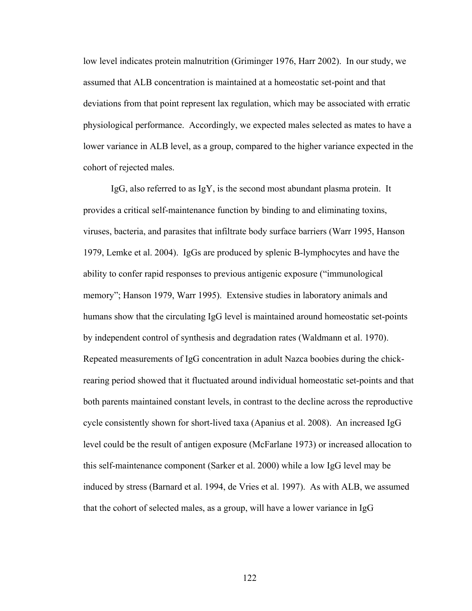low level indicates protein malnutrition (Griminger 1976, Harr 2002). In our study, we assumed that ALB concentration is maintained at a homeostatic set-point and that deviations from that point represent lax regulation, which may be associated with erratic physiological performance. Accordingly, we expected males selected as mates to have a lower variance in ALB level, as a group, compared to the higher variance expected in the cohort of rejected males.

IgG, also referred to as IgY, is the second most abundant plasma protein. It provides a critical self-maintenance function by binding to and eliminating toxins, viruses, bacteria, and parasites that infiltrate body surface barriers (Warr 1995, Hanson 1979, Lemke et al. 2004). IgGs are produced by splenic B-lymphocytes and have the ability to confer rapid responses to previous antigenic exposure ("immunological memory"; Hanson 1979, Warr 1995). Extensive studies in laboratory animals and humans show that the circulating IgG level is maintained around homeostatic set-points by independent control of synthesis and degradation rates (Waldmann et al. 1970). Repeated measurements of IgG concentration in adult Nazca boobies during the chickrearing period showed that it fluctuated around individual homeostatic set-points and that both parents maintained constant levels, in contrast to the decline across the reproductive cycle consistently shown for short-lived taxa (Apanius et al. 2008). An increased IgG level could be the result of antigen exposure (McFarlane 1973) or increased allocation to this self-maintenance component (Sarker et al. 2000) while a low IgG level may be induced by stress (Barnard et al. 1994, de Vries et al. 1997). As with ALB, we assumed that the cohort of selected males, as a group, will have a lower variance in IgG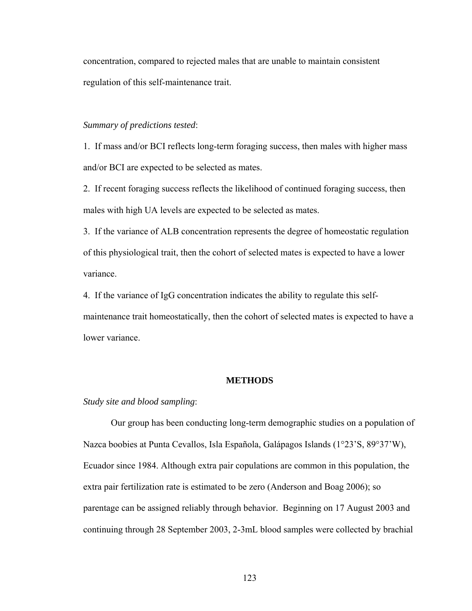concentration, compared to rejected males that are unable to maintain consistent regulation of this self-maintenance trait.

# *Summary of predictions tested*:

1. If mass and/or BCI reflects long-term foraging success, then males with higher mass and/or BCI are expected to be selected as mates.

2. If recent foraging success reflects the likelihood of continued foraging success, then males with high UA levels are expected to be selected as mates.

3. If the variance of ALB concentration represents the degree of homeostatic regulation of this physiological trait, then the cohort of selected mates is expected to have a lower variance.

4. If the variance of IgG concentration indicates the ability to regulate this selfmaintenance trait homeostatically, then the cohort of selected mates is expected to have a lower variance.

#### **METHODS**

#### *Study site and blood sampling*:

Our group has been conducting long-term demographic studies on a population of Nazca boobies at Punta Cevallos, Isla Española, Galápagos Islands (1°23'S, 89°37'W), Ecuador since 1984. Although extra pair copulations are common in this population, the extra pair fertilization rate is estimated to be zero (Anderson and Boag 2006); so parentage can be assigned reliably through behavior. Beginning on 17 August 2003 and continuing through 28 September 2003, 2-3mL blood samples were collected by brachial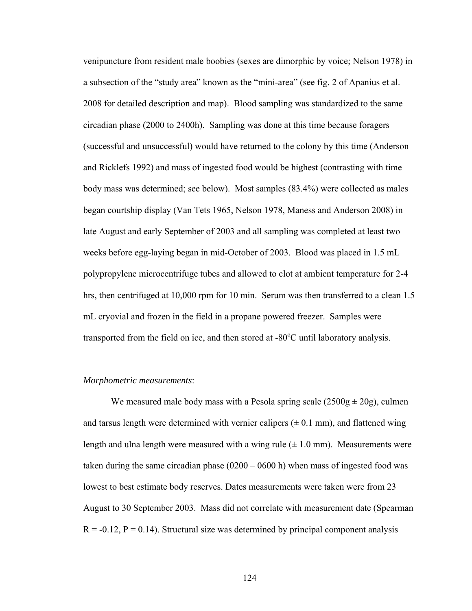venipuncture from resident male boobies (sexes are dimorphic by voice; Nelson 1978) in a subsection of the "study area" known as the "mini-area" (see fig. 2 of Apanius et al. 2008 for detailed description and map). Blood sampling was standardized to the same circadian phase (2000 to 2400h). Sampling was done at this time because foragers (successful and unsuccessful) would have returned to the colony by this time (Anderson and Ricklefs 1992) and mass of ingested food would be highest (contrasting with time body mass was determined; see below). Most samples (83.4%) were collected as males began courtship display (Van Tets 1965, Nelson 1978, Maness and Anderson 2008) in late August and early September of 2003 and all sampling was completed at least two weeks before egg-laying began in mid-October of 2003. Blood was placed in 1.5 mL polypropylene microcentrifuge tubes and allowed to clot at ambient temperature for 2-4 hrs, then centrifuged at 10,000 rpm for 10 min. Serum was then transferred to a clean 1.5 mL cryovial and frozen in the field in a propane powered freezer. Samples were transported from the field on ice, and then stored at  $-80^{\circ}$ C until laboratory analysis.

#### *Morphometric measurements*:

We measured male body mass with a Pesola spring scale  $(2500g \pm 20g)$ , culmen and tarsus length were determined with vernier calipers  $(\pm 0.1 \text{ mm})$ , and flattened wing length and ulna length were measured with a wing rule  $(\pm 1.0 \text{ mm})$ . Measurements were taken during the same circadian phase (0200 – 0600 h) when mass of ingested food was lowest to best estimate body reserves. Dates measurements were taken were from 23 August to 30 September 2003. Mass did not correlate with measurement date (Spearman  $R = -0.12$ ,  $P = 0.14$ ). Structural size was determined by principal component analysis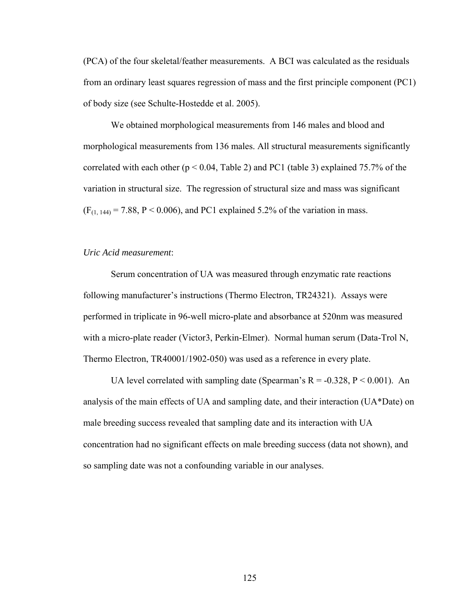(PCA) of the four skeletal/feather measurements. A BCI was calculated as the residuals from an ordinary least squares regression of mass and the first principle component (PC1) of body size (see Schulte-Hostedde et al. 2005).

We obtained morphological measurements from 146 males and blood and morphological measurements from 136 males. All structural measurements significantly correlated with each other ( $p < 0.04$ , Table 2) and PC1 (table 3) explained 75.7% of the variation in structural size. The regression of structural size and mass was significant  $(F_{(1, 144)} = 7.88, P < 0.006)$ , and PC1 explained 5.2% of the variation in mass.

#### *Uric Acid measurement*:

Serum concentration of UA was measured through enzymatic rate reactions following manufacturer's instructions (Thermo Electron, TR24321). Assays were performed in triplicate in 96-well micro-plate and absorbance at 520nm was measured with a micro-plate reader (Victor3, Perkin-Elmer). Normal human serum (Data-Trol N, Thermo Electron, TR40001/1902-050) was used as a reference in every plate.

UA level correlated with sampling date (Spearman's  $R = -0.328$ ,  $P < 0.001$ ). An analysis of the main effects of UA and sampling date, and their interaction (UA\*Date) on male breeding success revealed that sampling date and its interaction with UA concentration had no significant effects on male breeding success (data not shown), and so sampling date was not a confounding variable in our analyses.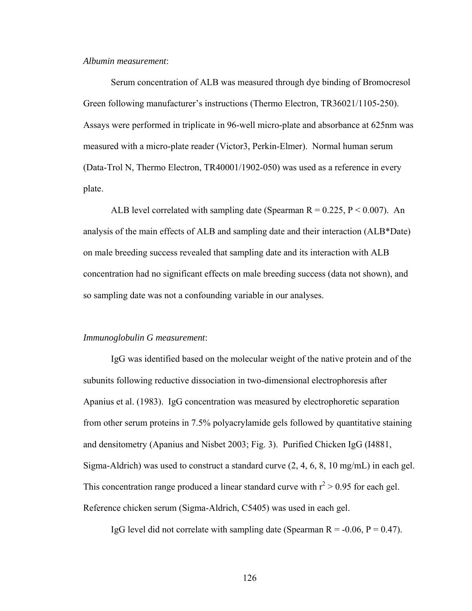#### *Albumin measurement*:

Serum concentration of ALB was measured through dye binding of Bromocresol Green following manufacturer's instructions (Thermo Electron, TR36021/1105-250). Assays were performed in triplicate in 96-well micro-plate and absorbance at 625nm was measured with a micro-plate reader (Victor3, Perkin-Elmer). Normal human serum (Data-Trol N, Thermo Electron, TR40001/1902-050) was used as a reference in every plate.

ALB level correlated with sampling date (Spearman  $R = 0.225$ ,  $P < 0.007$ ). An analysis of the main effects of ALB and sampling date and their interaction (ALB\*Date) on male breeding success revealed that sampling date and its interaction with ALB concentration had no significant effects on male breeding success (data not shown), and so sampling date was not a confounding variable in our analyses.

#### *Immunoglobulin G measurement*:

IgG was identified based on the molecular weight of the native protein and of the subunits following reductive dissociation in two-dimensional electrophoresis after Apanius et al. (1983). IgG concentration was measured by electrophoretic separation from other serum proteins in 7.5% polyacrylamide gels followed by quantitative staining and densitometry (Apanius and Nisbet 2003; Fig. 3). Purified Chicken IgG (I4881, Sigma-Aldrich) was used to construct a standard curve (2, 4, 6, 8, 10 mg/mL) in each gel. This concentration range produced a linear standard curve with  $r^2 > 0.95$  for each gel. Reference chicken serum (Sigma-Aldrich, C5405) was used in each gel.

IgG level did not correlate with sampling date (Spearman  $R = -0.06$ ,  $P = 0.47$ ).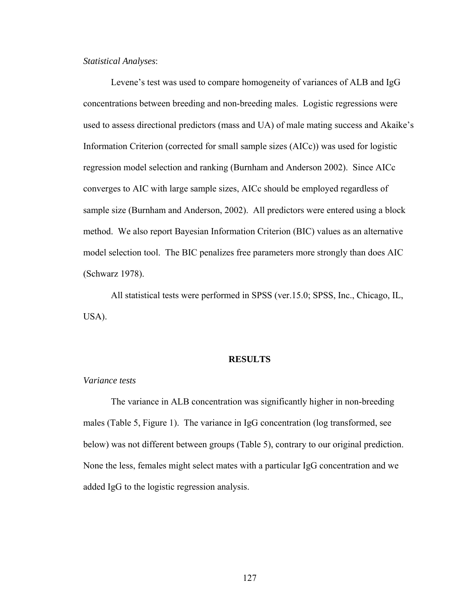# *Statistical Analyses*:

Levene's test was used to compare homogeneity of variances of ALB and IgG concentrations between breeding and non-breeding males. Logistic regressions were used to assess directional predictors (mass and UA) of male mating success and Akaike's Information Criterion (corrected for small sample sizes (AICc)) was used for logistic regression model selection and ranking (Burnham and Anderson 2002). Since AICc converges to AIC with large sample sizes, AICc should be employed regardless of sample size (Burnham and Anderson, 2002). All predictors were entered using a block method. We also report Bayesian Information Criterion (BIC) values as an alternative model selection tool. The BIC penalizes free parameters more strongly than does AIC (Schwarz 1978).

 All statistical tests were performed in SPSS (ver.15.0; SPSS, Inc., Chicago, IL, USA).

#### **RESULTS**

#### *Variance tests*

 The variance in ALB concentration was significantly higher in non-breeding males (Table 5, Figure 1). The variance in IgG concentration (log transformed, see below) was not different between groups (Table 5), contrary to our original prediction. None the less, females might select mates with a particular IgG concentration and we added IgG to the logistic regression analysis.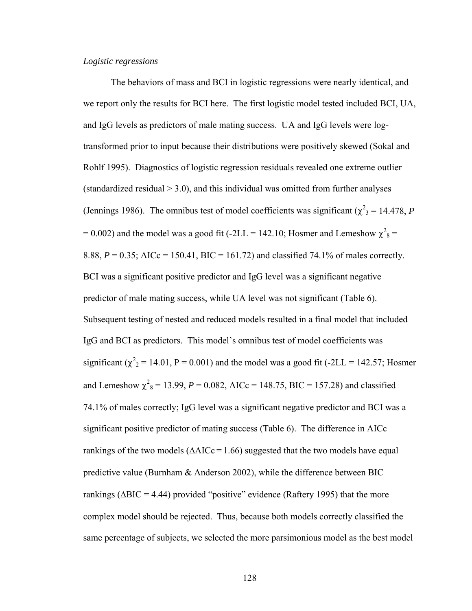# *Logistic regressions*

The behaviors of mass and BCI in logistic regressions were nearly identical, and we report only the results for BCI here. The first logistic model tested included BCI, UA, and IgG levels as predictors of male mating success. UA and IgG levels were logtransformed prior to input because their distributions were positively skewed (Sokal and Rohlf 1995). Diagnostics of logistic regression residuals revealed one extreme outlier (standardized residual  $> 3.0$ ), and this individual was omitted from further analyses (Jennings 1986). The omnibus test of model coefficients was significant ( $\chi^2$ <sub>3</sub> = 14.478, *P*  $= 0.002$ ) and the model was a good fit (-2LL = 142.10; Hosmer and Lemeshow  $\chi^2$ <sub>8</sub> = 8.88,  $P = 0.35$ ; AICc = 150.41, BIC = 161.72) and classified 74.1% of males correctly. BCI was a significant positive predictor and IgG level was a significant negative predictor of male mating success, while UA level was not significant (Table 6). Subsequent testing of nested and reduced models resulted in a final model that included IgG and BCI as predictors. This model's omnibus test of model coefficients was significant ( $\chi^2$ <sub>2</sub> = 14.01, P = 0.001) and the model was a good fit (-2LL = 142.57; Hosmer and Lemeshow  $\chi^2$ <sub>8</sub> = 13.99, *P* = 0.082, AICc = 148.75, BIC = 157.28) and classified 74.1% of males correctly; IgG level was a significant negative predictor and BCI was a significant positive predictor of mating success (Table 6). The difference in AICc rankings of the two models ( $\triangle AICc = 1.66$ ) suggested that the two models have equal predictive value (Burnham & Anderson 2002), while the difference between BIC rankings ( $\triangle BIC = 4.44$ ) provided "positive" evidence (Raftery 1995) that the more complex model should be rejected. Thus, because both models correctly classified the same percentage of subjects, we selected the more parsimonious model as the best model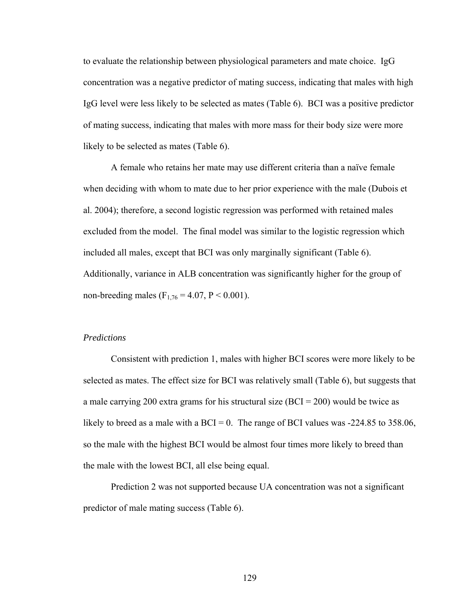to evaluate the relationship between physiological parameters and mate choice. IgG concentration was a negative predictor of mating success, indicating that males with high IgG level were less likely to be selected as mates (Table 6). BCI was a positive predictor of mating success, indicating that males with more mass for their body size were more likely to be selected as mates (Table 6).

A female who retains her mate may use different criteria than a naïve female when deciding with whom to mate due to her prior experience with the male (Dubois et al. 2004); therefore, a second logistic regression was performed with retained males excluded from the model. The final model was similar to the logistic regression which included all males, except that BCI was only marginally significant (Table 6). Additionally, variance in ALB concentration was significantly higher for the group of non-breeding males ( $F_{1,76} = 4.07$ ,  $P < 0.001$ ).

## *Predictions*

 Consistent with prediction 1, males with higher BCI scores were more likely to be selected as mates. The effect size for BCI was relatively small (Table 6), but suggests that a male carrying 200 extra grams for his structural size  $(BCI = 200)$  would be twice as likely to breed as a male with a BCI = 0. The range of BCI values was  $-224.85$  to 358.06, so the male with the highest BCI would be almost four times more likely to breed than the male with the lowest BCI, all else being equal.

 Prediction 2 was not supported because UA concentration was not a significant predictor of male mating success (Table 6).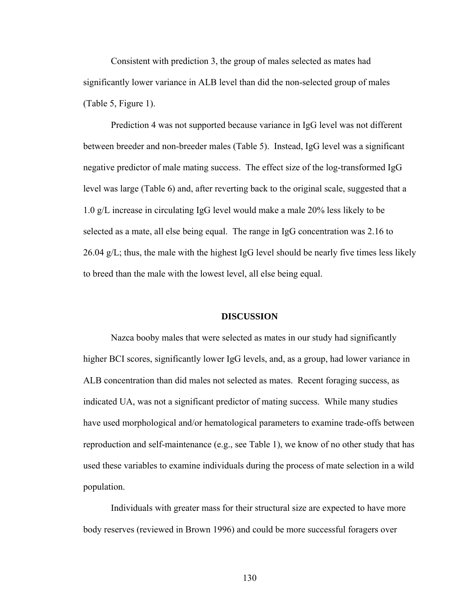Consistent with prediction 3, the group of males selected as mates had significantly lower variance in ALB level than did the non-selected group of males (Table 5, Figure 1).

 Prediction 4 was not supported because variance in IgG level was not different between breeder and non-breeder males (Table 5). Instead, IgG level was a significant negative predictor of male mating success. The effect size of the log-transformed IgG level was large (Table 6) and, after reverting back to the original scale, suggested that a 1.0 g/L increase in circulating IgG level would make a male 20% less likely to be selected as a mate, all else being equal. The range in IgG concentration was 2.16 to 26.04 g/L; thus, the male with the highest IgG level should be nearly five times less likely to breed than the male with the lowest level, all else being equal.

#### **DISCUSSION**

Nazca booby males that were selected as mates in our study had significantly higher BCI scores, significantly lower IgG levels, and, as a group, had lower variance in ALB concentration than did males not selected as mates. Recent foraging success, as indicated UA, was not a significant predictor of mating success. While many studies have used morphological and/or hematological parameters to examine trade-offs between reproduction and self-maintenance (e.g., see Table 1), we know of no other study that has used these variables to examine individuals during the process of mate selection in a wild population.

Individuals with greater mass for their structural size are expected to have more body reserves (reviewed in Brown 1996) and could be more successful foragers over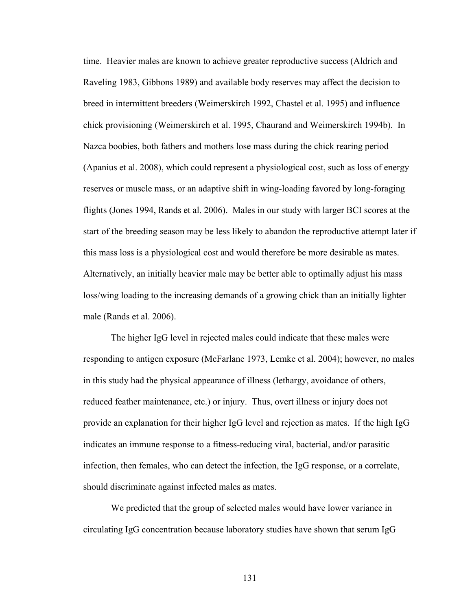time. Heavier males are known to achieve greater reproductive success (Aldrich and Raveling 1983, Gibbons 1989) and available body reserves may affect the decision to breed in intermittent breeders (Weimerskirch 1992, Chastel et al. 1995) and influence chick provisioning (Weimerskirch et al. 1995, Chaurand and Weimerskirch 1994b). In Nazca boobies, both fathers and mothers lose mass during the chick rearing period (Apanius et al. 2008), which could represent a physiological cost, such as loss of energy reserves or muscle mass, or an adaptive shift in wing-loading favored by long-foraging flights (Jones 1994, Rands et al. 2006). Males in our study with larger BCI scores at the start of the breeding season may be less likely to abandon the reproductive attempt later if this mass loss is a physiological cost and would therefore be more desirable as mates. Alternatively, an initially heavier male may be better able to optimally adjust his mass loss/wing loading to the increasing demands of a growing chick than an initially lighter male (Rands et al. 2006).

The higher IgG level in rejected males could indicate that these males were responding to antigen exposure (McFarlane 1973, Lemke et al. 2004); however, no males in this study had the physical appearance of illness (lethargy, avoidance of others, reduced feather maintenance, etc.) or injury. Thus, overt illness or injury does not provide an explanation for their higher IgG level and rejection as mates. If the high IgG indicates an immune response to a fitness-reducing viral, bacterial, and/or parasitic infection, then females, who can detect the infection, the IgG response, or a correlate, should discriminate against infected males as mates.

We predicted that the group of selected males would have lower variance in circulating IgG concentration because laboratory studies have shown that serum IgG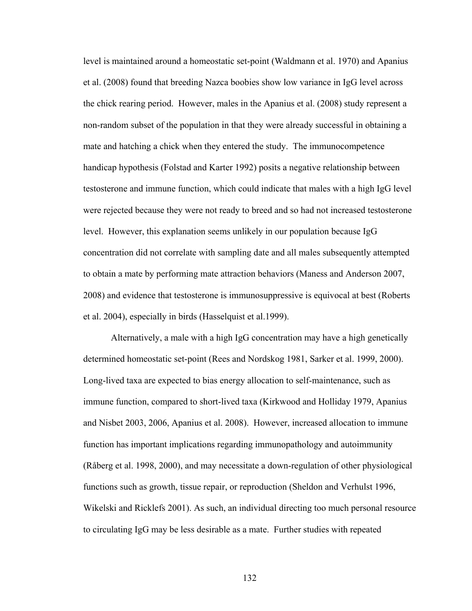level is maintained around a homeostatic set-point (Waldmann et al. 1970) and Apanius et al. (2008) found that breeding Nazca boobies show low variance in IgG level across the chick rearing period. However, males in the Apanius et al. (2008) study represent a non-random subset of the population in that they were already successful in obtaining a mate and hatching a chick when they entered the study. The immunocompetence handicap hypothesis (Folstad and Karter 1992) posits a negative relationship between testosterone and immune function, which could indicate that males with a high IgG level were rejected because they were not ready to breed and so had not increased testosterone level. However, this explanation seems unlikely in our population because IgG concentration did not correlate with sampling date and all males subsequently attempted to obtain a mate by performing mate attraction behaviors (Maness and Anderson 2007, 2008) and evidence that testosterone is immunosuppressive is equivocal at best (Roberts et al. 2004), especially in birds (Hasselquist et al.1999).

Alternatively, a male with a high IgG concentration may have a high genetically determined homeostatic set-point (Rees and Nordskog 1981, Sarker et al. 1999, 2000). Long-lived taxa are expected to bias energy allocation to self-maintenance, such as immune function, compared to short-lived taxa (Kirkwood and Holliday 1979, Apanius and Nisbet 2003, 2006, Apanius et al. 2008). However, increased allocation to immune function has important implications regarding immunopathology and autoimmunity (Råberg et al. 1998, 2000), and may necessitate a down-regulation of other physiological functions such as growth, tissue repair, or reproduction (Sheldon and Verhulst 1996, Wikelski and Ricklefs 2001). As such, an individual directing too much personal resource to circulating IgG may be less desirable as a mate. Further studies with repeated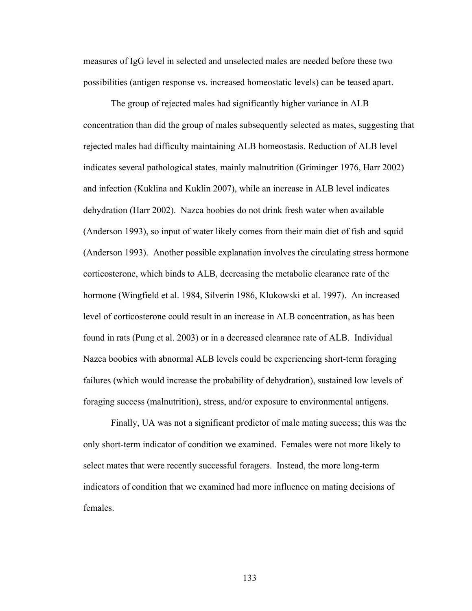measures of IgG level in selected and unselected males are needed before these two possibilities (antigen response vs. increased homeostatic levels) can be teased apart.

 The group of rejected males had significantly higher variance in ALB concentration than did the group of males subsequently selected as mates, suggesting that rejected males had difficulty maintaining ALB homeostasis. Reduction of ALB level indicates several pathological states, mainly malnutrition (Griminger 1976, Harr 2002) and infection (Kuklina and Kuklin 2007), while an increase in ALB level indicates dehydration (Harr 2002). Nazca boobies do not drink fresh water when available (Anderson 1993), so input of water likely comes from their main diet of fish and squid (Anderson 1993). Another possible explanation involves the circulating stress hormone corticosterone, which binds to ALB, decreasing the metabolic clearance rate of the hormone (Wingfield et al. 1984, Silverin 1986, Klukowski et al. 1997). An increased level of corticosterone could result in an increase in ALB concentration, as has been found in rats (Pung et al. 2003) or in a decreased clearance rate of ALB. Individual Nazca boobies with abnormal ALB levels could be experiencing short-term foraging failures (which would increase the probability of dehydration), sustained low levels of foraging success (malnutrition), stress, and/or exposure to environmental antigens.

 Finally, UA was not a significant predictor of male mating success; this was the only short-term indicator of condition we examined. Females were not more likely to select mates that were recently successful foragers. Instead, the more long-term indicators of condition that we examined had more influence on mating decisions of females.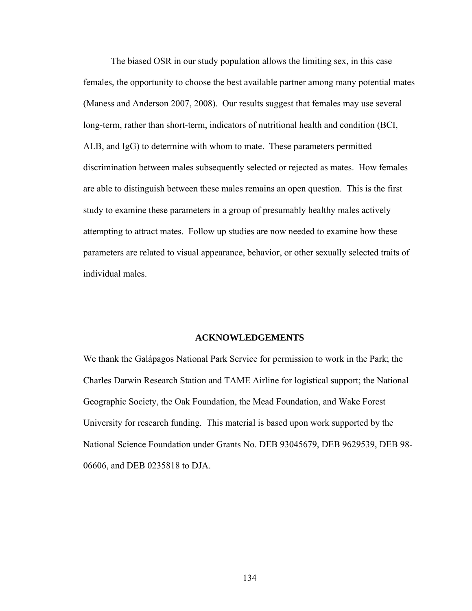The biased OSR in our study population allows the limiting sex, in this case females, the opportunity to choose the best available partner among many potential mates (Maness and Anderson 2007, 2008). Our results suggest that females may use several long-term, rather than short-term, indicators of nutritional health and condition (BCI, ALB, and IgG) to determine with whom to mate. These parameters permitted discrimination between males subsequently selected or rejected as mates. How females are able to distinguish between these males remains an open question. This is the first study to examine these parameters in a group of presumably healthy males actively attempting to attract mates. Follow up studies are now needed to examine how these parameters are related to visual appearance, behavior, or other sexually selected traits of individual males.

#### **ACKNOWLEDGEMENTS**

We thank the Galápagos National Park Service for permission to work in the Park; the Charles Darwin Research Station and TAME Airline for logistical support; the National Geographic Society, the Oak Foundation, the Mead Foundation, and Wake Forest University for research funding. This material is based upon work supported by the National Science Foundation under Grants No. DEB 93045679, DEB 9629539, DEB 98- 06606, and DEB 0235818 to DJA.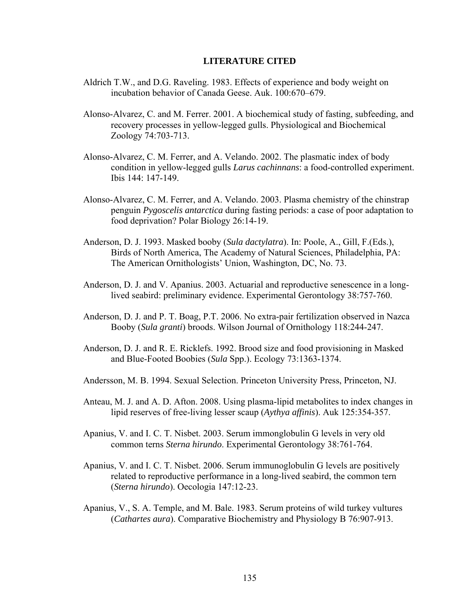#### **LITERATURE CITED**

- Aldrich T.W., and D.G. Raveling. 1983. Effects of experience and body weight on incubation behavior of Canada Geese. Auk. 100:670–679.
- Alonso-Alvarez, C. and M. Ferrer. 2001. A biochemical study of fasting, subfeeding, and recovery processes in yellow-legged gulls. Physiological and Biochemical Zoology 74:703-713.
- Alonso-Alvarez, C. M. Ferrer, and A. Velando. 2002. The plasmatic index of body condition in yellow-legged gulls *Larus cachinnans*: a food-controlled experiment. Ibis 144: 147-149.
- Alonso-Alvarez, C. M. Ferrer, and A. Velando. 2003. Plasma chemistry of the chinstrap penguin *Pygoscelis antarctica* during fasting periods: a case of poor adaptation to food deprivation? Polar Biology 26:14-19.
- Anderson, D. J. 1993. Masked booby (*Sula dactylatra*). In: Poole, A., Gill, F.(Eds.), Birds of North America, The Academy of Natural Sciences, Philadelphia, PA: The American Ornithologists' Union, Washington, DC, No. 73.
- Anderson, D. J. and V. Apanius. 2003. Actuarial and reproductive senescence in a long lived seabird: preliminary evidence. Experimental Gerontology 38:757-760.
- Anderson, D. J. and P. T. Boag, P.T. 2006. No extra-pair fertilization observed in Nazca Booby (*Sula granti*) broods. Wilson Journal of Ornithology 118:244-247.
- Anderson, D. J. and R. E. Ricklefs. 1992. Brood size and food provisioning in Masked and Blue-Footed Boobies (*Sula* Spp.). Ecology 73:1363-1374.
- Andersson, M. B. 1994. Sexual Selection. Princeton University Press, Princeton, NJ.
- Anteau, M. J. and A. D. Afton. 2008. Using plasma-lipid metabolites to index changes in lipid reserves of free-living lesser scaup (*Aythya affinis*). Auk 125:354-357.
- Apanius, V. and I. C. T. Nisbet. 2003. Serum immonglobulin G levels in very old common terns *Sterna hirundo*. Experimental Gerontology 38:761-764.
- Apanius, V. and I. C. T. Nisbet. 2006. Serum immunoglobulin G levels are positively related to reproductive performance in a long-lived seabird, the common tern (*Sterna hirundo*). Oecologia 147:12-23.
- Apanius, V., S. A. Temple, and M. Bale. 1983. Serum proteins of wild turkey vultures (*Cathartes aura*). Comparative Biochemistry and Physiology B 76:907-913.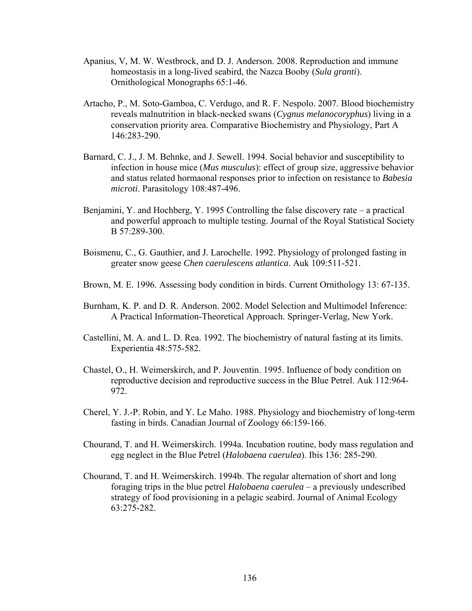- Apanius, V, M. W. Westbrock, and D. J. Anderson. 2008. Reproduction and immune homeostasis in a long-lived seabird, the Nazca Booby (*Sula granti*). Ornithological Monographs 65:1-46.
- Artacho, P., M. Soto-Gamboa, C. Verdugo, and R. F. Nespolo. 2007. Blood biochemistry reveals malnutrition in black-necked swans (*Cygnus melanocoryphus*) living in a conservation priority area. Comparative Biochemistry and Physiology, Part A 146:283-290.
- Barnard, C. J., J. M. Behnke, and J. Sewell. 1994. Social behavior and susceptibility to infection in house mice (*Mus musculus*): effect of group size, aggressive behavior and status related hormaonal responses prior to infection on resistance to *Babesia microti*. Parasitology 108:487-496.
- Benjamini, Y. and Hochberg, Y. 1995 Controlling the false discovery rate a practical and powerful approach to multiple testing. Journal of the Royal Statistical Society B 57:289-300.
- Boismenu, C., G. Gauthier, and J. Larochelle. 1992. Physiology of prolonged fasting in greater snow geese *Chen caerulescens atlantica*. Auk 109:511-521.
- Brown, M. E. 1996. Assessing body condition in birds. Current Ornithology 13: 67-135.
- Burnham, K. P. and D. R. Anderson. 2002. Model Selection and Multimodel Inference: A Practical Information-Theoretical Approach. Springer-Verlag, New York.
- Castellini, M. A. and L. D. Rea. 1992. The biochemistry of natural fasting at its limits. Experientia 48:575-582.
- Chastel, O., H. Weimerskirch, and P. Jouventin. 1995. Influence of body condition on reproductive decision and reproductive success in the Blue Petrel. Auk 112:964- 972.
- Cherel, Y. J.-P. Robin, and Y. Le Maho. 1988. Physiology and biochemistry of long-term fasting in birds. Canadian Journal of Zoology 66:159-166.
- Chourand, T. and H. Weimerskirch. 1994a. Incubation routine, body mass regulation and egg neglect in the Blue Petrel (*Halobaena caerulea*). Ibis 136: 285-290.
- Chourand, T. and H. Weimerskirch. 1994b. The regular alternation of short and long foraging trips in the blue petrel *Halobaena caerulea* – a previously undescribed strategy of food provisioning in a pelagic seabird. Journal of Animal Ecology 63:275-282.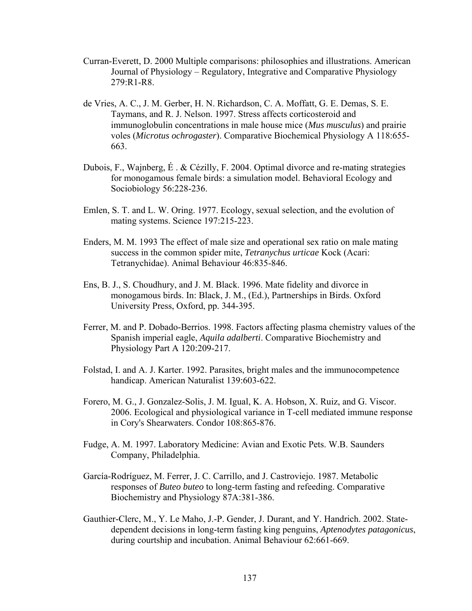- Curran-Everett, D. 2000 Multiple comparisons: philosophies and illustrations. American Journal of Physiology – Regulatory, Integrative and Comparative Physiology 279:R1-R8.
- de Vries, A. C., J. M. Gerber, H. N. Richardson, C. A. Moffatt, G. E. Demas, S. E. Taymans, and R. J. Nelson. 1997. Stress affects corticosteroid and immunoglobulin concentrations in male house mice (*Mus musculus*) and prairie voles (*Microtus ochrogaster*). Comparative Biochemical Physiology A 118:655- 663.
- Dubois, F., Wajnberg, É . & Cézilly, F. 2004. Optimal divorce and re-mating strategies for monogamous female birds: a simulation model. Behavioral Ecology and Sociobiology 56:228-236.
- Emlen, S. T. and L. W. Oring. 1977. Ecology, sexual selection, and the evolution of mating systems. Science 197:215-223.
- Enders, M. M. 1993 The effect of male size and operational sex ratio on male mating success in the common spider mite, *Tetranychus urticae* Kock (Acari: Tetranychidae). Animal Behaviour 46:835-846.
- Ens, B. J., S. Choudhury, and J. M. Black. 1996. Mate fidelity and divorce in monogamous birds. In: Black, J. M., (Ed.), Partnerships in Birds. Oxford University Press, Oxford, pp. 344-395.
- Ferrer, M. and P. Dobado-Berrios. 1998. Factors affecting plasma chemistry values of the Spanish imperial eagle, *Aquila adalberti*. Comparative Biochemistry and Physiology Part A 120:209-217.
- Folstad, I. and A. J. Karter. 1992. Parasites, bright males and the immunocompetence handicap. American Naturalist 139:603-622.
- Forero, M. G., J. Gonzalez-Solis, J. M. Igual, K. A. Hobson, X. Ruiz, and G. Viscor. 2006. Ecological and physiological variance in T-cell mediated immune response in Cory's Shearwaters. Condor 108:865-876.
- Fudge, A. M. 1997. Laboratory Medicine: Avian and Exotic Pets. W.B. Saunders Company, Philadelphia.
- García-Rodríguez, M. Ferrer, J. C. Carrillo, and J. Castroviejo. 1987. Metabolic responses of *Buteo buteo* to long-term fasting and refeeding. Comparative Biochemistry and Physiology 87A:381-386.
- Gauthier-Clerc, M., Y. Le Maho, J.-P. Gender, J. Durant, and Y. Handrich. 2002. Statedependent decisions in long-term fasting king penguins, *Aptenodytes patagonicus*, during courtship and incubation. Animal Behaviour 62:661-669.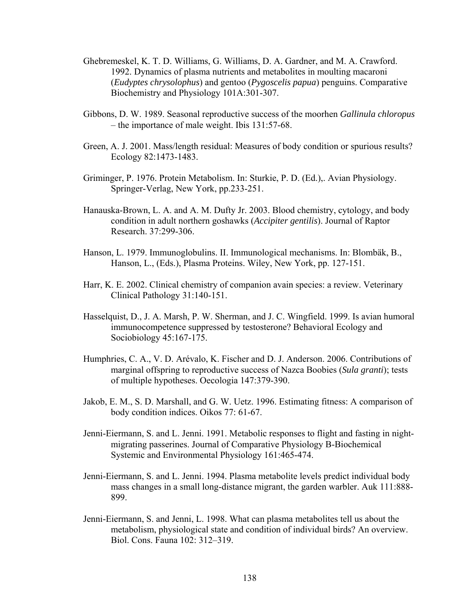- Ghebremeskel, K. T. D. Williams, G. Williams, D. A. Gardner, and M. A. Crawford. 1992. Dynamics of plasma nutrients and metabolites in moulting macaroni (*Eudyptes chrysolophus*) and gentoo (*Pygoscelis papua*) penguins. Comparative Biochemistry and Physiology 101A:301-307.
- Gibbons, D. W. 1989. Seasonal reproductive success of the moorhen *Gallinula chloropus*  – the importance of male weight. Ibis 131:57-68.
- Green, A. J. 2001. Mass/length residual: Measures of body condition or spurious results? Ecology 82:1473-1483.
- Griminger, P. 1976. Protein Metabolism. In: Sturkie, P. D. (Ed.),. Avian Physiology. Springer-Verlag, New York, pp.233-251.
- Hanauska-Brown, L. A. and A. M. Dufty Jr. 2003. Blood chemistry, cytology, and body condition in adult northern goshawks (*Accipiter gentilis*). Journal of Raptor Research. 37:299-306.
- Hanson, L. 1979. Immunoglobulins. II. Immunological mechanisms. In: Blombäk, B., Hanson, L., (Eds.), Plasma Proteins. Wiley, New York, pp. 127-151.
- Harr, K. E. 2002. Clinical chemistry of companion avain species: a review. Veterinary Clinical Pathology 31:140-151.
- Hasselquist, D., J. A. Marsh, P. W. Sherman, and J. C. Wingfield. 1999. Is avian humoral immunocompetence suppressed by testosterone? Behavioral Ecology and Sociobiology 45:167-175.
- Humphries, C. A., V. D. Arévalo, K. Fischer and D. J. Anderson. 2006. Contributions of marginal offspring to reproductive success of Nazca Boobies (*Sula granti*); tests of multiple hypotheses. Oecologia 147:379-390.
- Jakob, E. M., S. D. Marshall, and G. W. Uetz. 1996. Estimating fitness: A comparison of body condition indices. Oikos 77: 61-67.
- Jenni-Eiermann, S. and L. Jenni. 1991. Metabolic responses to flight and fasting in nightmigrating passerines. Journal of Comparative Physiology B-Biochemical Systemic and Environmental Physiology 161:465-474.
- Jenni-Eiermann, S. and L. Jenni. 1994. Plasma metabolite levels predict individual body mass changes in a small long-distance migrant, the garden warbler. Auk 111:888- 899.
- Jenni-Eiermann, S. and Jenni, L. 1998. What can plasma metabolites tell us about the metabolism, physiological state and condition of individual birds? An overview. Biol. Cons. Fauna 102: 312–319.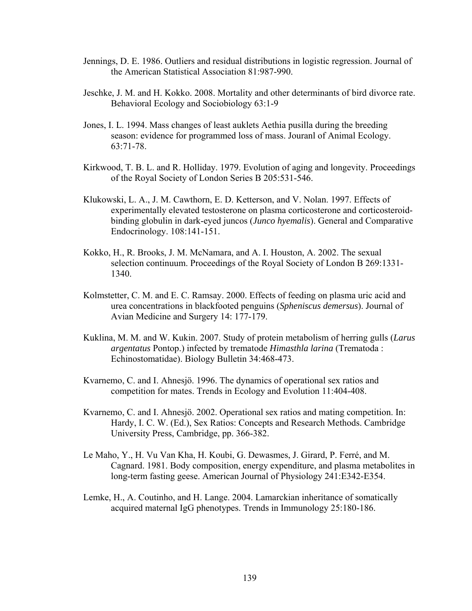- Jennings, D. E. 1986. Outliers and residual distributions in logistic regression. Journal of the American Statistical Association 81:987-990.
- Jeschke, J. M. and H. Kokko. 2008. Mortality and other determinants of bird divorce rate. Behavioral Ecology and Sociobiology 63:1-9
- Jones, I. L. 1994. Mass changes of least auklets Aethia pusilla during the breeding season: evidence for programmed loss of mass. Jouranl of Animal Ecology. 63:71-78.
- Kirkwood, T. B. L. and R. Holliday. 1979. Evolution of aging and longevity. Proceedings of the Royal Society of London Series B 205:531-546.
- Klukowski, L. A., J. M. Cawthorn, E. D. Ketterson, and V. Nolan. 1997. Effects of experimentally elevated testosterone on plasma corticosterone and corticosteroidbinding globulin in dark-eyed juncos (*Junco hyemalis*). General and Comparative Endocrinology. 108:141-151.
- Kokko, H., R. Brooks, J. M. McNamara, and A. I. Houston, A. 2002. The sexual selection continuum. Proceedings of the Royal Society of London B 269:1331- 1340.
- Kolmstetter, C. M. and E. C. Ramsay. 2000. Effects of feeding on plasma uric acid and urea concentrations in blackfooted penguins (*Spheniscus demersus*). Journal of Avian Medicine and Surgery 14: 177-179.
- Kuklina, M. M. and W. Kukin. 2007. Study of protein metabolism of herring gulls (*Larus argentatus* Pontop.) infected by trematode *Himasthla larina* (Trematoda : Echinostomatidae). Biology Bulletin 34:468-473.
- Kvarnemo, C. and I. Ahnesjö. 1996. The dynamics of operational sex ratios and competition for mates. Trends in Ecology and Evolution 11:404-408.
- Kvarnemo, C. and I. Ahnesjö. 2002. Operational sex ratios and mating competition. In: Hardy, I. C. W. (Ed.), Sex Ratios: Concepts and Research Methods. Cambridge University Press, Cambridge, pp. 366-382.
- Le Maho, Y., H. Vu Van Kha, H. Koubi, G. Dewasmes, J. Girard, P. Ferré, and M. Cagnard. 1981. Body composition, energy expenditure, and plasma metabolites in long-term fasting geese. American Journal of Physiology 241:E342-E354.
- Lemke, H., A. Coutinho, and H. Lange. 2004. Lamarckian inheritance of somatically acquired maternal IgG phenotypes. Trends in Immunology 25:180-186.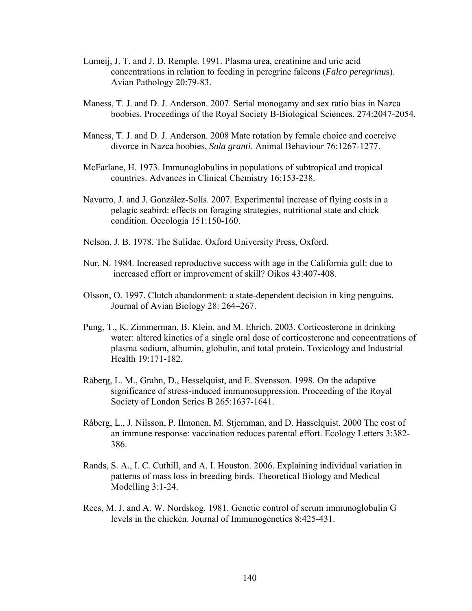- Lumeij, J. T. and J. D. Remple. 1991. Plasma urea, creatinine and uric acid concentrations in relation to feeding in peregrine falcons (*Falco peregrinu*s). Avian Pathology 20:79-83.
- Maness, T. J. and D. J. Anderson. 2007. Serial monogamy and sex ratio bias in Nazca boobies. Proceedings of the Royal Society B-Biological Sciences. 274:2047-2054.
- Maness, T. J. and D. J. Anderson. 2008 Mate rotation by female choice and coercive divorce in Nazca boobies, *Sula granti*. Animal Behaviour 76:1267-1277.
- McFarlane, H. 1973. Immunoglobulins in populations of subtropical and tropical countries. Advances in Clinical Chemistry 16:153-238.
- Navarro, J. and J. González-Solís. 2007. Experimental increase of flying costs in a pelagic seabird: effects on foraging strategies, nutritional state and chick condition. Oecologia 151:150-160.
- Nelson, J. B. 1978. The Sulidae. Oxford University Press, Oxford.
- Nur, N. 1984. Increased reproductive success with age in the California gull: due to increased effort or improvement of skill? Oikos 43:407-408.
- Olsson, O. 1997. Clutch abandonment: a state-dependent decision in king penguins. Journal of Avian Biology 28: 264–267.
- Pung, T., K. Zimmerman, B. Klein, and M. Ehrich. 2003. Corticosterone in drinking water: altered kinetics of a single oral dose of corticosterone and concentrations of plasma sodium, albumin, globulin, and total protein. Toxicology and Industrial Health 19:171-182.
- Råberg, L. M., Grahn, D., Hesselquist, and E. Svensson. 1998. On the adaptive significance of stress-induced immunosuppression. Proceeding of the Royal Society of London Series B 265:1637-1641.
- Råberg, L., J. Nilsson, P. Ilmonen, M. Stjernman, and D. Hasselquist. 2000 The cost of an immune response: vaccination reduces parental effort. Ecology Letters 3:382- 386.
- Rands, S. A., I. C. Cuthill, and A. I. Houston. 2006. Explaining individual variation in patterns of mass loss in breeding birds. Theoretical Biology and Medical Modelling 3:1-24.
- Rees, M. J. and A. W. Nordskog. 1981. Genetic control of serum immunoglobulin G levels in the chicken. Journal of Immunogenetics 8:425-431.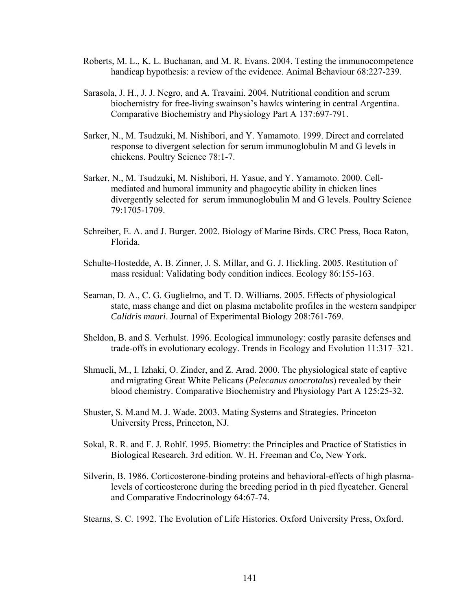- Roberts, M. L., K. L. Buchanan, and M. R. Evans. 2004. Testing the immunocompetence handicap hypothesis: a review of the evidence. Animal Behaviour 68:227-239.
- Sarasola, J. H., J. J. Negro, and A. Travaini. 2004. Nutritional condition and serum biochemistry for free-living swainson's hawks wintering in central Argentina. Comparative Biochemistry and Physiology Part A 137:697-791.
- Sarker, N., M. Tsudzuki, M. Nishibori, and Y. Yamamoto. 1999. Direct and correlated response to divergent selection for serum immunoglobulin M and G levels in chickens. Poultry Science 78:1-7.
- Sarker, N., M. Tsudzuki, M. Nishibori, H. Yasue, and Y. Yamamoto. 2000. Cellmediated and humoral immunity and phagocytic ability in chicken lines divergently selected for serum immunoglobulin M and G levels. Poultry Science 79:1705-1709.
- Schreiber, E. A. and J. Burger. 2002. Biology of Marine Birds. CRC Press, Boca Raton, Florida.
- Schulte-Hostedde, A. B. Zinner, J. S. Millar, and G. J. Hickling. 2005. Restitution of mass residual: Validating body condition indices. Ecology 86:155-163.
- Seaman, D. A., C. G. Guglielmo, and T. D. Williams. 2005. Effects of physiological state, mass change and diet on plasma metabolite profiles in the western sandpiper *Calidris mauri*. Journal of Experimental Biology 208:761-769.
- Sheldon, B. and S. Verhulst. 1996. Ecological immunology: costly parasite defenses and trade-offs in evolutionary ecology. Trends in Ecology and Evolution 11:317–321.
- Shmueli, M., I. Izhaki, O. Zinder, and Z. Arad. 2000. The physiological state of captive and migrating Great White Pelicans (*Pelecanus onocrotalus*) revealed by their blood chemistry. Comparative Biochemistry and Physiology Part A 125:25-32.
- Shuster, S. M.and M. J. Wade. 2003. Mating Systems and Strategies. Princeton University Press, Princeton, NJ.
- Sokal, R. R. and F. J. Rohlf. 1995. Biometry: the Principles and Practice of Statistics in Biological Research. 3rd edition. W. H. Freeman and Co, New York.
- Silverin, B. 1986. Corticosterone-binding proteins and behavioral-effects of high plasmalevels of corticosterone during the breeding period in th pied flycatcher. General and Comparative Endocrinology 64:67-74.
- Stearns, S. C. 1992. The Evolution of Life Histories. Oxford University Press, Oxford.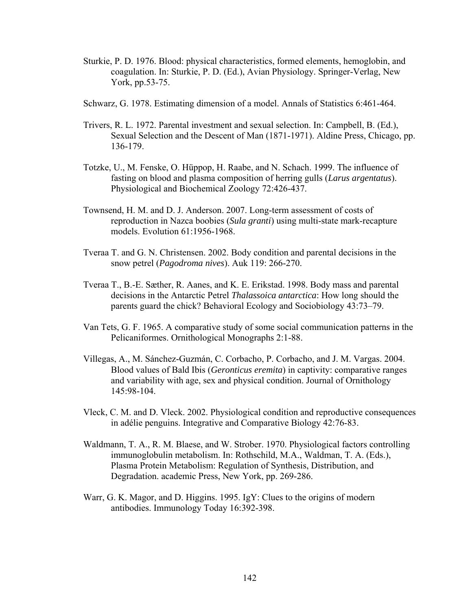- Sturkie, P. D. 1976. Blood: physical characteristics, formed elements, hemoglobin, and coagulation. In: Sturkie, P. D. (Ed.), Avian Physiology. Springer-Verlag, New York, pp.53-75.
- Schwarz, G. 1978. Estimating dimension of a model. Annals of Statistics 6:461-464.
- Trivers, R. L. 1972. Parental investment and sexual selection. In: Campbell, B. (Ed.), Sexual Selection and the Descent of Man (1871-1971). Aldine Press, Chicago, pp. 136-179.
- Totzke, U., M. Fenske, O. Hüppop, H. Raabe, and N. Schach. 1999. The influence of fasting on blood and plasma composition of herring gulls (*Larus argentatus*). Physiological and Biochemical Zoology 72:426-437.
- Townsend, H. M. and D. J. Anderson. 2007. Long-term assessment of costs of reproduction in Nazca boobies (*Sula granti*) using multi-state mark-recapture models. Evolution 61:1956-1968.
- Tveraa T. and G. N. Christensen. 2002. Body condition and parental decisions in the snow petrel (*Pagodroma nives*). Auk 119: 266-270.
- Tveraa T., B.-E. Sæther, R. Aanes, and K. E. Erikstad. 1998. Body mass and parental decisions in the Antarctic Petrel *Thalassoica antarctica*: How long should the parents guard the chick? Behavioral Ecology and Sociobiology 43:73–79.
- Van Tets, G. F. 1965. A comparative study of some social communication patterns in the Pelicaniformes. Ornithological Monographs 2:1-88.
- Villegas, A., M. Sánchez-Guzmán, C. Corbacho, P. Corbacho, and J. M. Vargas. 2004. Blood values of Bald Ibis (*Geronticus eremita*) in captivity: comparative ranges and variability with age, sex and physical condition. Journal of Ornithology 145:98-104.
- Vleck, C. M. and D. Vleck. 2002. Physiological condition and reproductive consequences in adélie penguins. Integrative and Comparative Biology 42:76-83.
- Waldmann, T. A., R. M. Blaese, and W. Strober. 1970. Physiological factors controlling immunoglobulin metabolism. In: Rothschild, M.A., Waldman, T. A. (Eds.), Plasma Protein Metabolism: Regulation of Synthesis, Distribution, and Degradation. academic Press, New York, pp. 269-286.
- Warr, G. K. Magor, and D. Higgins. 1995. IgY: Clues to the origins of modern antibodies. Immunology Today 16:392-398.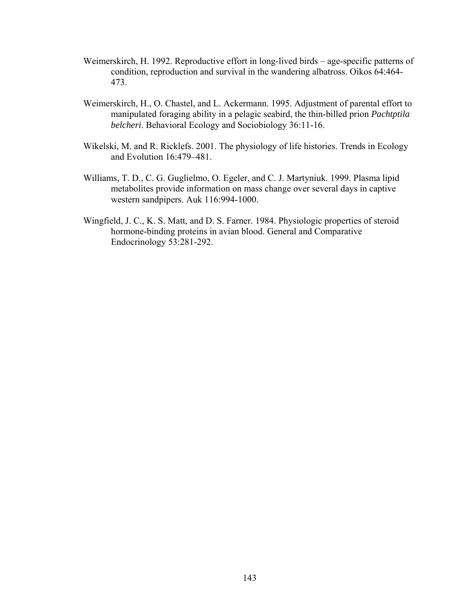- Weimerskirch, H. 1992. Reproductive effort in long-lived birds age-specific patterns of condition, reproduction and survival in the wandering albatross. Oikos 64:464- 473.
- Weimerskirch, H., O. Chastel, and L. Ackermann. 1995. Adjustment of parental effort to manipulated foraging ability in a pelagic seabird, the thin-billed prion *Pachtptila belcheri*. Behavioral Ecology and Sociobiology 36:11-16.
- Wikelski, M. and R. Ricklefs. 2001. The physiology of life histories. Trends in Ecology and Evolution 16:479–481.
- Williams, T. D., C. G. Guglielmo, O. Egeler, and C. J. Martyniuk. 1999. Plasma lipid metabolites provide information on mass change over several days in captive western sandpipers. Auk 116:994-1000.
- Wingfield, J. C., K. S. Matt, and D. S. Farner. 1984. Physiologic properties of steroid hormone-binding proteins in avian blood. General and Comparative Endocrinology 53:281-292.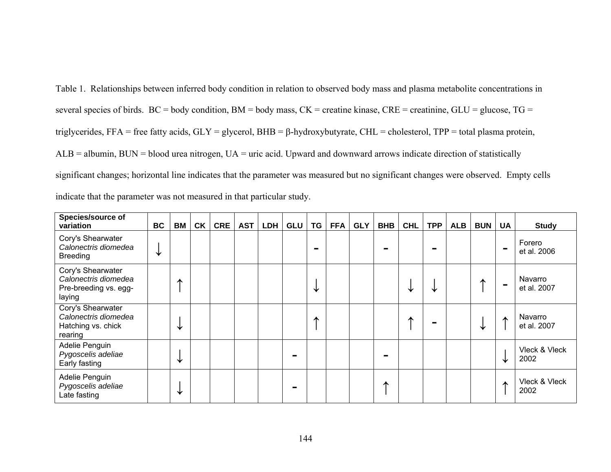Table 1. Relationships between inferred body condition in relation to observed body mass and plasma metabolite concentrations in several species of birds.  $BC = body$  condition,  $BM = body$  mass,  $CK =$  creatine kinase,  $CRE =$  creatinine,  $GLU =$  glucose,  $TG =$ triglycerides, FFA = free fatty acids, GLY = glycerol, BHB = β-hydroxybutyrate, CHL = cholesterol, TPP = total plasma protein, ALB = albumin, BUN = blood urea nitrogen, UA = uric acid. Upward and downward arrows indicate direction of statistically significant changes; horizontal line indicates that the parameter was measured but no significant changes were observed. Empty cells indicate that the parameter was not measured in that particular study.

| <b>Species/source of</b><br>variation                                        | BC | <b>BM</b> | <b>CK</b> | <b>CRE</b> | <b>AST</b> | LDH | <b>GLU</b> | TG              | <b>FFA</b> | <b>GLY</b> | <b>BHB</b> | <b>CHL</b> | <b>TPP</b> | <b>ALB</b> | <b>BUN</b> | <b>UA</b>      | <b>Study</b>           |
|------------------------------------------------------------------------------|----|-----------|-----------|------------|------------|-----|------------|-----------------|------------|------------|------------|------------|------------|------------|------------|----------------|------------------------|
| Cory's Shearwater<br>Calonectris diomedea<br><b>Breeding</b>                 | V  |           |           |            |            |     |            | <b>Contract</b> |            |            |            |            |            |            |            | $\blacksquare$ | Forero<br>et al. 2006  |
| Cory's Shearwater<br>Calonectris diomedea<br>Pre-breeding vs. egg-<br>laying |    | ́         |           |            |            |     |            | V               |            |            |            | ₩          | ╰┢         |            |            | $\sim$         | Navarro<br>et al. 2007 |
| Cory's Shearwater<br>Calonectris diomedea<br>Hatching vs. chick<br>rearing   |    | V         |           |            |            |     |            | ́               |            |            |            |            |            |            | ₩          | ∧              | Navarro<br>et al. 2007 |
| Adelie Penguin<br>Pygoscelis adeliae<br>Early fasting                        |    | V         |           |            |            |     |            |                 |            |            |            |            |            |            |            | ↓              | Vleck & Vleck<br>2002  |
| Adelie Penguin<br>Pygoscelis adeliae<br>Late fasting                         |    | ✦         |           |            |            |     | ÷          |                 |            |            | ∧          |            |            |            |            | ∧              | Vleck & Vleck<br>2002  |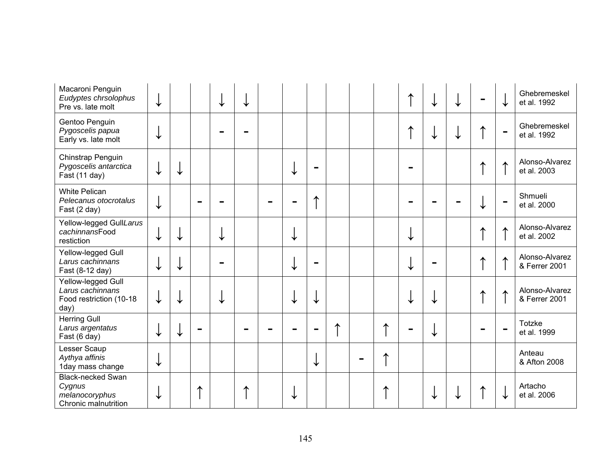| Macaroni Penguin<br>Eudyptes chrsolophus<br>Pre vs. late molt                | ↓ |   | V |  |   |                |   |   | ↓ | V |   | ↓                | Ghebremeskel<br>et al. 1992     |
|------------------------------------------------------------------------------|---|---|---|--|---|----------------|---|---|---|---|---|------------------|---------------------------------|
| Gentoo Penguin<br>Pygoscelis papua<br>Early vs. late molt                    | ↓ |   |   |  |   |                |   |   | ✦ |   | ^ | $\blacksquare$   | Ghebremeskel<br>et al. 1992     |
| Chinstrap Penguin<br>Pygoscelis antarctica<br>Fast (11 day)                  |   | ↓ |   |  | ↓ | $\blacksquare$ |   |   |   |   |   | $\blacktriangle$ | Alonso-Alvarez<br>et al. 2003   |
| <b>White Pelican</b><br>Pelecanus otocrotalus<br>Fast (2 day)                |   |   |   |  |   | ∧              |   |   |   |   |   | $\blacksquare$   | Shmueli<br>et al. 2000          |
| Yellow-legged GullLarus<br>cachinnansFood<br>restiction                      | ↓ | ↓ | V |  | ✦ |                |   |   |   |   |   | $\blacktriangle$ | Alonso-Alvarez<br>et al. 2002   |
| Yellow-legged Gull<br>Larus cachinnans<br>Fast (8-12 day)                    |   | ↓ |   |  | V |                |   |   |   |   | ∧ | 木                | Alonso-Alvarez<br>& Ferrer 2001 |
| Yellow-legged Gull<br>Larus cachinnans<br>Food restriction (10-18<br>day)    |   |   |   |  |   | ↓              |   |   |   |   |   | ↑                | Alonso-Alvarez<br>& Ferrer 2001 |
| <b>Herring Gull</b><br>Larus argentatus<br>Fast (6 day)                      | ↓ | ✔ |   |  |   |                | ∧ | ⋏ | V |   |   |                  | <b>Totzke</b><br>et al. 1999    |
| Lesser Scaup<br>Aythya affinis<br>1day mass change                           | ✦ |   |   |  |   | ↓              |   | ́ |   |   |   |                  | Anteau<br>& Afton 2008          |
| <b>Black-necked Swan</b><br>Cygnus<br>melanocoryphus<br>Chronic malnutrition | ✦ |   |   |  |   |                |   |   |   |   |   | ↓                | Artacho<br>et al. 2006          |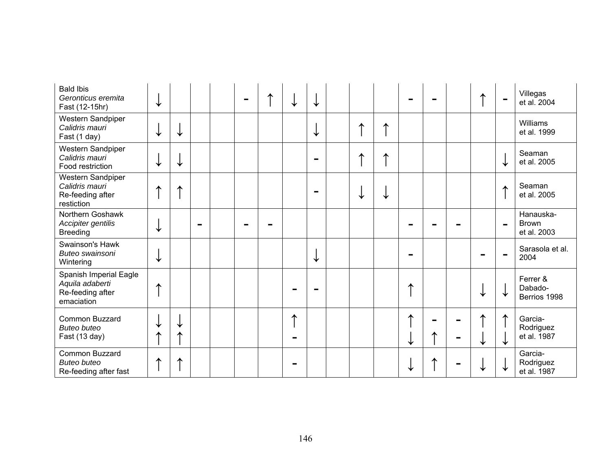| <b>Bald Ibis</b><br>Geronticus eremita<br>Fast (12-15hr)                    | V |        |  | $\equiv$ |   | ↓              |  |   |   |  | ∧ | $\blacksquare$ | Villegas<br>et al. 2004                  |
|-----------------------------------------------------------------------------|---|--------|--|----------|---|----------------|--|---|---|--|---|----------------|------------------------------------------|
| Western Sandpiper<br>Calidris mauri<br>Fast (1 day)                         | V | ✔      |  |          |   | V              |  | ∧ |   |  |   |                | Williams<br>et al. 1999                  |
| Western Sandpiper<br>Calidris mauri<br>Food restriction                     | V | ↓      |  |          |   | $\blacksquare$ |  | ∧ |   |  |   | ↓              | Seaman<br>et al. 2005                    |
| Western Sandpiper<br>Calidris mauri<br>Re-feeding after<br>restiction       |   | ⋏      |  |          |   | m.             |  |   |   |  |   | ∧              | Seaman<br>et al. 2005                    |
| Northern Goshawk<br>Accipiter gentilis<br><b>Breeding</b>                   | ↓ |        |  |          |   |                |  |   |   |  |   | $\blacksquare$ | Hanauska-<br><b>Brown</b><br>et al. 2003 |
| Swainson's Hawk<br>Buteo swainsoni<br>Wintering                             | V |        |  |          |   | ↓              |  |   |   |  |   | ÷              | Sarasola et al.<br>2004                  |
| Spanish Imperial Eagle<br>Aquila adaberti<br>Re-feeding after<br>emaciation | ⋏ |        |  |          |   |                |  |   | ∧ |  |   | ↓              | Ferrer &<br>Dabado-<br>Berrios 1998      |
| Common Buzzard<br><b>Buteo buteo</b><br>Fast (13 day)                       | ⋏ | V<br>ᄉ |  |          | ⋏ |                |  |   | ↓ |  | ✔ | ∧<br>↓         | Garcia-<br>Rodriguez<br>et al. 1987      |
| Common Buzzard<br><b>Buteo buteo</b><br>Re-feeding after fast               |   |        |  |          |   |                |  |   |   |  |   | ↓              | Garcia-<br>Rodriguez<br>et al. 1987      |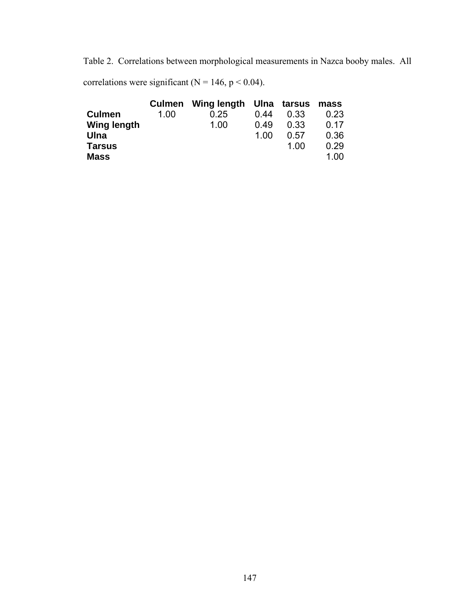Table 2. Correlations between morphological measurements in Nazca booby males. All

correlations were significant ( $N = 146$ ,  $p < 0.04$ ).

|                    |      | Culmen Wing length Ulna tarsus |      |      | mass |
|--------------------|------|--------------------------------|------|------|------|
| <b>Culmen</b>      | 1.00 | 0.25                           | 0.44 | 0.33 | 0.23 |
| <b>Wing length</b> |      | 1.00                           | 0.49 | 0.33 | 0.17 |
| Ulna               |      |                                | 1.00 | 0.57 | 0.36 |
| <b>Tarsus</b>      |      |                                |      | 1.00 | 0.29 |
| <b>Mass</b>        |      |                                |      |      | 1.00 |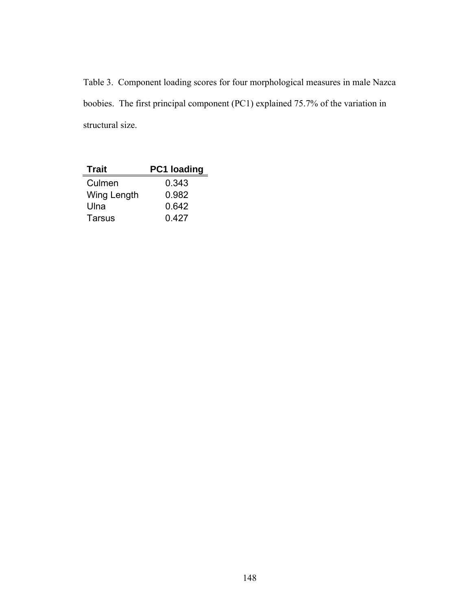Table 3. Component loading scores for four morphological measures in male Nazca boobies. The first principal component (PC1) explained 75.7% of the variation in structural size.

| <b>Trait</b>  | PC1 loading |
|---------------|-------------|
| Culmen        | 0.343       |
| Wing Length   | 0.982       |
| Ulna          | 0.642       |
| <b>Tarsus</b> | 0.427       |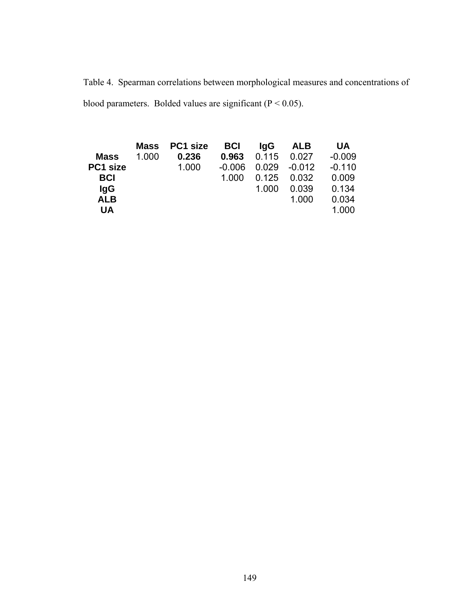Table 4. Spearman correlations between morphological measures and concentrations of blood parameters. Bolded values are significant ( $P < 0.05$ ).

|             | <b>Mass</b> | PC1 size | <b>BCI</b> | lgG   | ALB      | UA       |
|-------------|-------------|----------|------------|-------|----------|----------|
| <b>Mass</b> | 1.000       | 0.236    | 0.963      | 0.115 | 0.027    | $-0.009$ |
| PC1 size    |             | 1.000    | $-0.006$   | 0.029 | $-0.012$ | $-0.110$ |
| <b>BCI</b>  |             |          | 1.000      | 0.125 | 0.032    | 0.009    |
| lgG         |             |          |            | 1.000 | 0.039    | 0.134    |
| <b>ALB</b>  |             |          |            |       | 1.000    | 0.034    |
| <b>UA</b>   |             |          |            |       |          | 1.000    |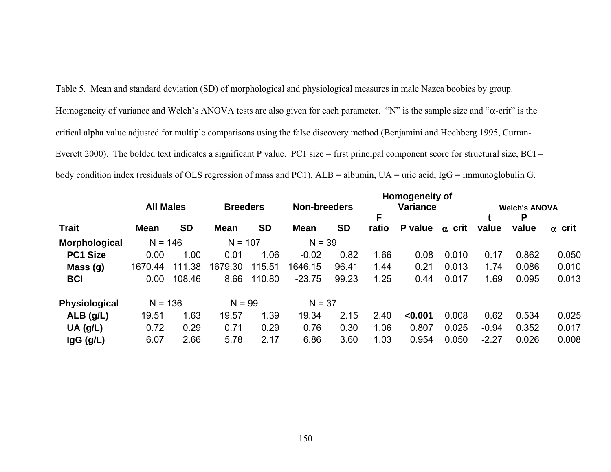Table 5. Mean and standard deviation (SD) of morphological and physiological measures in male Nazca boobies by group. Homogeneity of variance and Welch's ANOVA tests are also given for each parameter. "N" is the sample size and "α-crit" is the critical alpha value adjusted for multiple comparisons using the false discovery method (Benjamini and Hochberg 1995, Curran-Everett 2000). The bolded text indicates a significant P value. PC1 size = first principal component score for structural size, BCI = body condition index (residuals of OLS regression of mass and PC1), ALB = albumin, UA = uric acid, IgG = immunoglobulin G.

|                 |                  |           |                 |           |                     |           |       | <b>Homogeneity of</b> |                |         |                      |                |
|-----------------|------------------|-----------|-----------------|-----------|---------------------|-----------|-------|-----------------------|----------------|---------|----------------------|----------------|
|                 | <b>All Males</b> |           | <b>Breeders</b> |           | <b>Non-breeders</b> |           |       | <b>Variance</b>       |                |         | <b>Welch's ANOVA</b> |                |
|                 |                  |           |                 |           |                     |           | F     |                       |                |         | P                    |                |
| <b>Trait</b>    | <b>Mean</b>      | <b>SD</b> | <b>Mean</b>     | <b>SD</b> | <b>Mean</b>         | <b>SD</b> | ratio | P value               | $\alpha$ –crit | value   | value                | $\alpha$ –crit |
| Morphological   | $N = 146$        |           | $N = 107$       |           | $N = 39$            |           |       |                       |                |         |                      |                |
| <b>PC1 Size</b> | 0.00             | 1.00      | 0.01            | 1.06      | $-0.02$             | 0.82      | 1.66  | 0.08                  | 0.010          | 0.17    | 0.862                | 0.050          |
| Mass(g)         | 1670.44          | 111.38    | 1679.30         | 115.51    | 1646.15             | 96.41     | 1.44  | 0.21                  | 0.013          | 1.74    | 0.086                | 0.010          |
| <b>BCI</b>      | 0.00             | 108.46    | 8.66            | 110.80    | $-23.75$            | 99.23     | 1.25  | 0.44                  | 0.017          | 1.69    | 0.095                | 0.013          |
| Physiological   | $N = 136$        |           | $N = 99$        |           | $N = 37$            |           |       |                       |                |         |                      |                |
| $ALB$ (g/L)     | 19.51            | 1.63      | 19.57           | 1.39      | 19.34               | 2.15      | 2.40  | < 0.001               | 0.008          | 0.62    | 0.534                | 0.025          |
| $UA$ (g/L)      | 0.72             | 0.29      | 0.71            | 0.29      | 0.76                | 0.30      | 1.06  | 0.807                 | 0.025          | $-0.94$ | 0.352                | 0.017          |
| $\lg G$ (g/L)   | 6.07             | 2.66      | 5.78            | 2.17      | 6.86                | 3.60      | 1.03  | 0.954                 | 0.050          | $-2.27$ | 0.026                | 0.008          |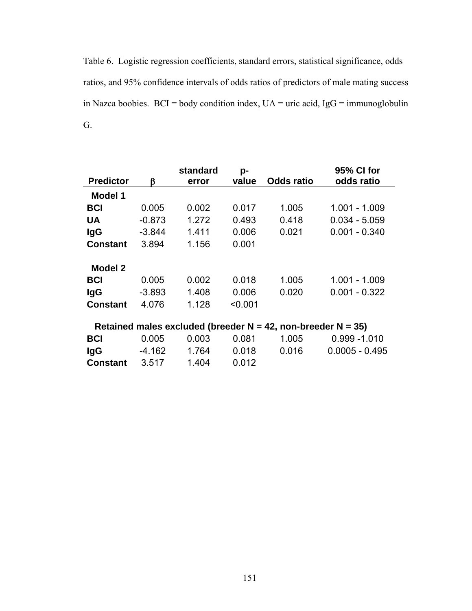Table 6. Logistic regression coefficients, standard errors, statistical significance, odds ratios, and 95% confidence intervals of odds ratios of predictors of male mating success in Nazca boobies.  $BCI = body$  condition index,  $UA =$  uric acid,  $IgG =$  immunoglobulin G.

|                  |          | standard | p-      |                                                                    | 95% CI for       |
|------------------|----------|----------|---------|--------------------------------------------------------------------|------------------|
| <b>Predictor</b> | ĸ        | error    | value   | <b>Odds ratio</b>                                                  | odds ratio       |
| <b>Model 1</b>   |          |          |         |                                                                    |                  |
| <b>BCI</b>       | 0.005    | 0.002    | 0.017   | 1.005                                                              | 1.001 - 1.009    |
| <b>UA</b>        | $-0.873$ | 1.272    | 0.493   | 0.418                                                              | $0.034 - 5.059$  |
| lgG              | $-3.844$ | 1.411    | 0.006   | 0.021                                                              | $0.001 - 0.340$  |
| <b>Constant</b>  | 3.894    | 1.156    | 0.001   |                                                                    |                  |
| Model 2          |          |          |         |                                                                    |                  |
| <b>BCI</b>       | 0.005    | 0.002    | 0.018   | 1.005                                                              | 1.001 - 1.009    |
| <b>IgG</b>       | $-3.893$ | 1.408    | 0.006   | 0.020                                                              | $0.001 - 0.322$  |
| <b>Constant</b>  | 4.076    | 1.128    | < 0.001 |                                                                    |                  |
|                  |          |          |         | Retained males excluded (breeder $N = 42$ , non-breeder $N = 35$ ) |                  |
| <b>BCI</b>       | 0.005    | 0.003    | 0.081   | 1.005                                                              | $0.999 - 1.010$  |
| lgG              | $-4.162$ | 1.764    | 0.018   | 0.016                                                              | $0.0005 - 0.495$ |
| <b>Constant</b>  | 3.517    | 1.404    | 0.012   |                                                                    |                  |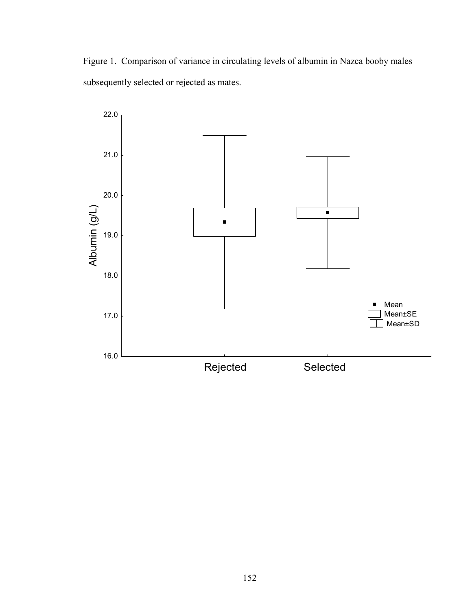Figure 1. Comparison of variance in circulating levels of albumin in Nazca booby males subsequently selected or rejected as mates.

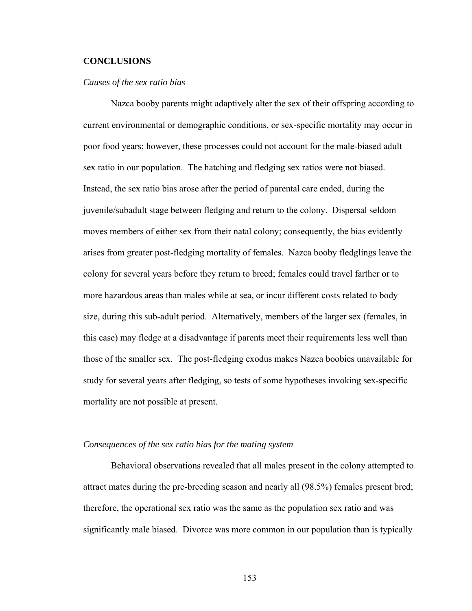#### **CONCLUSIONS**

#### *Causes of the sex ratio bias*

 Nazca booby parents might adaptively alter the sex of their offspring according to current environmental or demographic conditions, or sex-specific mortality may occur in poor food years; however, these processes could not account for the male-biased adult sex ratio in our population. The hatching and fledging sex ratios were not biased. Instead, the sex ratio bias arose after the period of parental care ended, during the juvenile/subadult stage between fledging and return to the colony. Dispersal seldom moves members of either sex from their natal colony; consequently, the bias evidently arises from greater post-fledging mortality of females. Nazca booby fledglings leave the colony for several years before they return to breed; females could travel farther or to more hazardous areas than males while at sea, or incur different costs related to body size, during this sub-adult period. Alternatively, members of the larger sex (females, in this case) may fledge at a disadvantage if parents meet their requirements less well than those of the smaller sex. The post-fledging exodus makes Nazca boobies unavailable for study for several years after fledging, so tests of some hypotheses invoking sex-specific mortality are not possible at present.

#### *Consequences of the sex ratio bias for the mating system*

Behavioral observations revealed that all males present in the colony attempted to attract mates during the pre-breeding season and nearly all (98.5%) females present bred; therefore, the operational sex ratio was the same as the population sex ratio and was significantly male biased. Divorce was more common in our population than is typically

153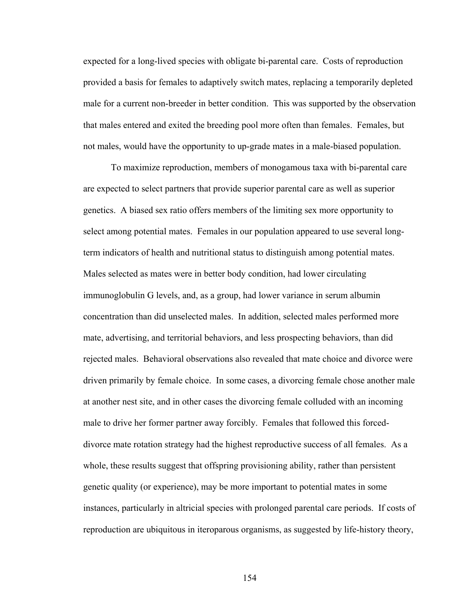expected for a long-lived species with obligate bi-parental care. Costs of reproduction provided a basis for females to adaptively switch mates, replacing a temporarily depleted male for a current non-breeder in better condition. This was supported by the observation that males entered and exited the breeding pool more often than females. Females, but not males, would have the opportunity to up-grade mates in a male-biased population.

To maximize reproduction, members of monogamous taxa with bi-parental care are expected to select partners that provide superior parental care as well as superior genetics. A biased sex ratio offers members of the limiting sex more opportunity to select among potential mates. Females in our population appeared to use several longterm indicators of health and nutritional status to distinguish among potential mates. Males selected as mates were in better body condition, had lower circulating immunoglobulin G levels, and, as a group, had lower variance in serum albumin concentration than did unselected males. In addition, selected males performed more mate, advertising, and territorial behaviors, and less prospecting behaviors, than did rejected males. Behavioral observations also revealed that mate choice and divorce were driven primarily by female choice. In some cases, a divorcing female chose another male at another nest site, and in other cases the divorcing female colluded with an incoming male to drive her former partner away forcibly. Females that followed this forceddivorce mate rotation strategy had the highest reproductive success of all females. As a whole, these results suggest that offspring provisioning ability, rather than persistent genetic quality (or experience), may be more important to potential mates in some instances, particularly in altricial species with prolonged parental care periods. If costs of reproduction are ubiquitous in iteroparous organisms, as suggested by life-history theory,

154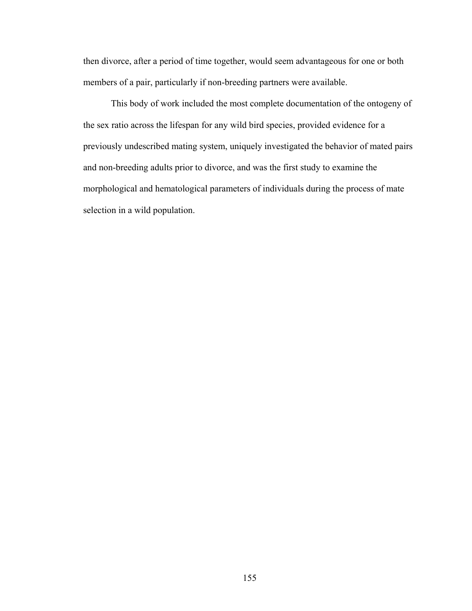then divorce, after a period of time together, would seem advantageous for one or both members of a pair, particularly if non-breeding partners were available.

This body of work included the most complete documentation of the ontogeny of the sex ratio across the lifespan for any wild bird species, provided evidence for a previously undescribed mating system, uniquely investigated the behavior of mated pairs and non-breeding adults prior to divorce, and was the first study to examine the morphological and hematological parameters of individuals during the process of mate selection in a wild population.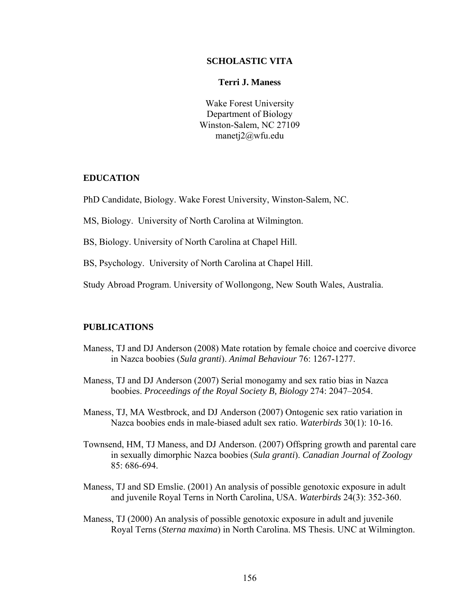#### **SCHOLASTIC VITA**

#### **Terri J. Maness**

Wake Forest University Department of Biology Winston-Salem, NC 27109 manetj2@wfu.edu

## **EDUCATION**

PhD Candidate, Biology. Wake Forest University, Winston-Salem, NC.

MS, Biology. University of North Carolina at Wilmington.

BS, Biology. University of North Carolina at Chapel Hill.

BS, Psychology. University of North Carolina at Chapel Hill.

Study Abroad Program. University of Wollongong, New South Wales, Australia.

## **PUBLICATIONS**

- Maness, TJ and DJ Anderson (2008) Mate rotation by female choice and coercive divorce in Nazca boobies (*Sula granti*). *Animal Behaviour* 76: 1267-1277.
- Maness, TJ and DJ Anderson (2007) Serial monogamy and sex ratio bias in Nazca boobies. *Proceedings of the Royal Society B, Biology* 274: 2047–2054.

Maness, TJ, MA Westbrock, and DJ Anderson (2007) Ontogenic sex ratio variation in Nazca boobies ends in male-biased adult sex ratio. *Waterbirds* 30(1): 10-16.

- Townsend, HM, TJ Maness, and DJ Anderson. (2007) Offspring growth and parental care in sexually dimorphic Nazca boobies (*Sula granti*). *Canadian Journal of Zoology* 85: 686-694.
- Maness, TJ and SD Emslie. (2001) An analysis of possible genotoxic exposure in adult and juvenile Royal Terns in North Carolina, USA. *Waterbirds* 24(3): 352-360.
- Maness, TJ (2000) An analysis of possible genotoxic exposure in adult and juvenile Royal Terns (*Sterna maxima*) in North Carolina. MS Thesis. UNC at Wilmington.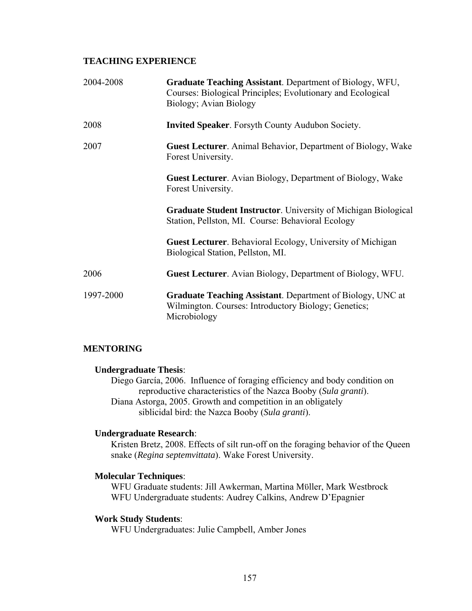## **TEACHING EXPERIENCE**

| 2004-2008 | Graduate Teaching Assistant. Department of Biology, WFU,<br>Courses: Biological Principles; Evolutionary and Ecological<br>Biology; Avian Biology |
|-----------|---------------------------------------------------------------------------------------------------------------------------------------------------|
| 2008      | <b>Invited Speaker.</b> Forsyth County Audubon Society.                                                                                           |
| 2007      | <b>Guest Lecturer.</b> Animal Behavior, Department of Biology, Wake<br>Forest University.                                                         |
|           | <b>Guest Lecturer.</b> Avian Biology, Department of Biology, Wake<br>Forest University.                                                           |
|           | <b>Graduate Student Instructor.</b> University of Michigan Biological<br>Station, Pellston, MI. Course: Behavioral Ecology                        |
|           | <b>Guest Lecturer.</b> Behavioral Ecology, University of Michigan<br>Biological Station, Pellston, MI.                                            |
| 2006      | <b>Guest Lecturer.</b> Avian Biology, Department of Biology, WFU.                                                                                 |
| 1997-2000 | Graduate Teaching Assistant. Department of Biology, UNC at<br>Wilmington. Courses: Introductory Biology; Genetics;<br>Microbiology                |

## **MENTORING**

#### **Undergraduate Thesis**:

Diego García, 2006. Influence of foraging efficiency and body condition on reproductive characteristics of the Nazca Booby (*Sula granti*). Diana Astorga, 2005. Growth and competition in an obligately siblicidal bird: the Nazca Booby (*Sula granti*).

#### **Undergraduate Research**:

 Kristen Bretz, 2008. Effects of silt run-off on the foraging behavior of the Queen snake (*Regina septemvittata*). Wake Forest University.

## **Molecular Techniques**:

WFU Graduate students: Jill Awkerman, Martina Mϋller, Mark Westbrock WFU Undergraduate students: Audrey Calkins, Andrew D'Epagnier

### **Work Study Students**:

WFU Undergraduates: Julie Campbell, Amber Jones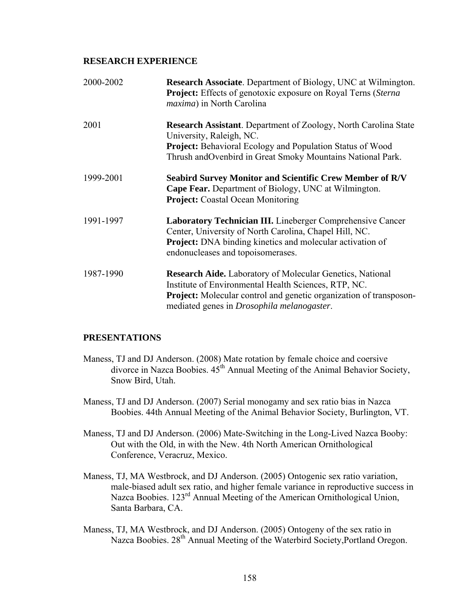## **RESEARCH EXPERIENCE**

| 2000-2002 | <b>Research Associate.</b> Department of Biology, UNC at Wilmington.<br><b>Project:</b> Effects of genotoxic exposure on Royal Terns (Sterna)<br>maxima) in North Carolina                                                                                  |
|-----------|-------------------------------------------------------------------------------------------------------------------------------------------------------------------------------------------------------------------------------------------------------------|
| 2001      | <b>Research Assistant</b> . Department of Zoology, North Carolina State<br>University, Raleigh, NC.<br><b>Project:</b> Behavioral Ecology and Population Status of Wood<br>Thrush and Ovenbird in Great Smoky Mountains National Park.                      |
| 1999-2001 | <b>Seabird Survey Monitor and Scientific Crew Member of R/V</b><br><b>Cape Fear.</b> Department of Biology, UNC at Wilmington.<br><b>Project:</b> Coastal Ocean Monitoring                                                                                  |
| 1991-1997 | Laboratory Technician III. Lineberger Comprehensive Cancer<br>Center, University of North Carolina, Chapel Hill, NC.<br><b>Project:</b> DNA binding kinetics and molecular activation of<br>endonucleases and topoisomerases.                               |
| 1987-1990 | <b>Research Aide.</b> Laboratory of Molecular Genetics, National<br>Institute of Environmental Health Sciences, RTP, NC.<br><b>Project:</b> Molecular control and genetic organization of transposon-<br>mediated genes in <i>Drosophila melanogaster</i> . |

## **PRESENTATIONS**

- Maness, TJ and DJ Anderson. (2008) Mate rotation by female choice and coersive divorce in Nazca Boobies.  $45<sup>th</sup>$  Annual Meeting of the Animal Behavior Society, Snow Bird, Utah.
- Maness, TJ and DJ Anderson. (2007) Serial monogamy and sex ratio bias in Nazca Boobies. 44th Annual Meeting of the Animal Behavior Society, Burlington, VT.
- Maness, TJ and DJ Anderson. (2006) Mate-Switching in the Long-Lived Nazca Booby: Out with the Old, in with the New. 4th North American Ornithological Conference, Veracruz, Mexico.
- Maness, TJ, MA Westbrock, and DJ Anderson. (2005) Ontogenic sex ratio variation, male-biased adult sex ratio, and higher female variance in reproductive success in Nazca Boobies. 123<sup>rd</sup> Annual Meeting of the American Ornithological Union, Santa Barbara, CA.
- Maness, TJ, MA Westbrock, and DJ Anderson. (2005) Ontogeny of the sex ratio in Nazca Boobies. 28<sup>th</sup> Annual Meeting of the Waterbird Society, Portland Oregon.